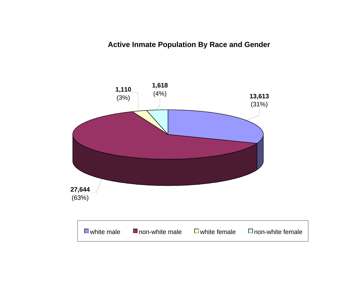**Active Inmate Population By Race and Gender**

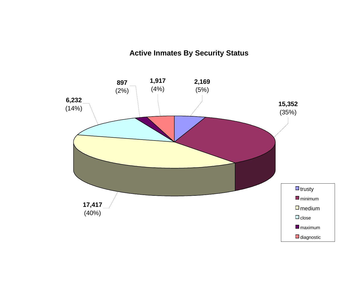# **Active Inmates By Security Status**

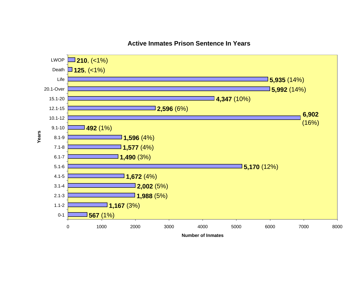

# **Active Inmates Prison Sentence In Years**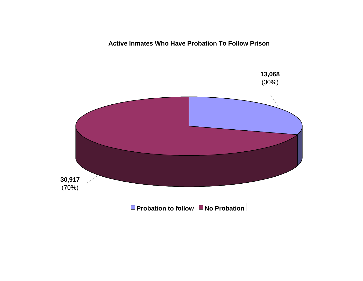**Active Inmates Who Have Probation To Follow Prison**

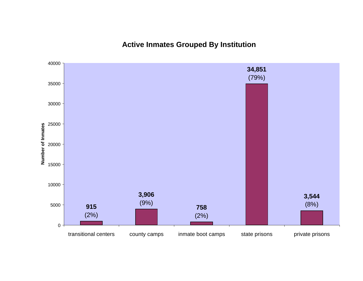**Active Inmates Grouped By Institution**

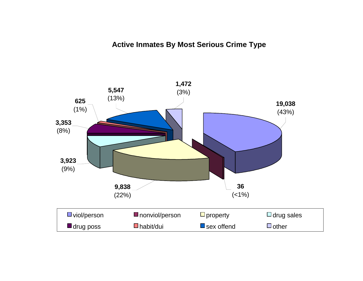# **Active Inmates By Most Serious Crime Type**

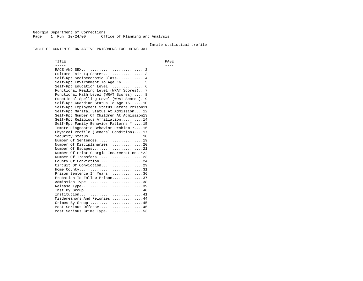Georgia Department of Corrections Page 1 Run 10/24/00 Office of Planning and Analysis

#### Inmate statistical profile

TABLE OF CONTENTS FOR ACTIVE PRISONERS EXCLUDING JAIL

 TITLE PAGE ----- ---- RACE AND SEX............................ 2 Culture Fair IQ Scores.................. 3 Self-Rpt Socioeconomic Class............ 4 Self-Rpt Environment To Age 16.......... 5 Self-Rpt Education Level................ 6 Functional Reading Level (WRAT Scores).. 7 Functional Math Level (WRAT Scores)..... 8 Functional Spelling Level (WRAT Scores). 9 Self-Rpt Guardian Status To Age 16......10 Self-Rpt Employment Status Before Prison11 Self-Rpt Marital Status At Admission....12 Self-Rpt Number Of Children At Admission13 Self-Rpt Religious Affiliation..........14 Self-Rpt Family Behavior Patterns \*.....15 Inmate Diagnostic Behavior Problem \*....16 Physical Profile (General Condition)....17 Security Status...........................18 Number Of Sentences.....................19 Number Of Disciplinaries................20 Number Of Escapes........................21 Number Of Prior Georgia Incarcerations \*22 Number Of Transfers.....................23 County Of Conviction....................24 Circuit Of Conviction...................29 Home County.............................31 Prison Sentence In Years................36 Probation To Follow Prison..............37Admission Type.............................38 Release Type...............................39 Inst By Group.............................40 Institution................................41 Misdemeanors And Felonies...............44 Crimes By Group.........................45 Most Serious Offense....................46 Most Serious Crime Type.................53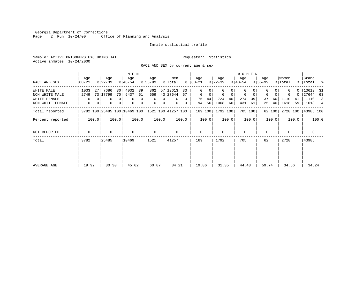Georgia Department of Corrections<br>Page 2 Run 10/24/00 Offi Office of Planning and Analysis

# Inmate statistical profile

Sample: ACTIVE PRISONERS EXCLUDING JAIL **Requestor:** Statistics Active inmates 10/24/2000

RACE AND SEX by current age & sex

|                                                                  |                              |                                                                                   | M E N                                                        |                                                                              |                                                                                     |                                                          |                                                         | <b>WOMEN</b>                                                     |                                                              |                                                       |                                                         |
|------------------------------------------------------------------|------------------------------|-----------------------------------------------------------------------------------|--------------------------------------------------------------|------------------------------------------------------------------------------|-------------------------------------------------------------------------------------|----------------------------------------------------------|---------------------------------------------------------|------------------------------------------------------------------|--------------------------------------------------------------|-------------------------------------------------------|---------------------------------------------------------|
| RACE AND SEX                                                     | Age<br>$00 - 21$             | Age<br>$ 22-39 $                                                                  | Age<br>$ 40-54 $                                             | Age<br>$8 55-99$                                                             | Men<br>% Total                                                                      | Age<br>$8   00 - 21$                                     | Age<br>$ 22-39 $                                        | Age<br>$ 40-54 $                                                 | Age<br>$8155 - 99$                                           | Women<br>% Total                                      | Grand<br>%   Total %                                    |
| WHITE MALE<br>NON WHITE MALE<br>WHITE FEMALE<br>NON WHITE FEMALE | 1033<br>27<br>2749<br>0<br>0 | 7686<br>30<br>73 17799<br>70 <sub>1</sub><br>0 <sup>1</sup><br>0<br>0<br> 0 <br>0 | 4032<br>39<br>6437<br>61<br>$\mathbf 0$<br>0<br>0<br>$\circ$ | 862<br>659<br>$\mathbf{0}$<br>$\mathbf{0}$<br>$\mathbf{0}$<br>0 <sup>1</sup> | 57 13613<br>33<br>43 27644<br>67<br>$\mathbf{0}$<br>$\Omega$<br>$\overline{0}$<br>0 | 0<br>$\mathbf{0}$<br>$\mathbf 0$<br>75<br>44<br>56<br>94 | 0<br>$\mathbf 0$<br>$\Omega$<br>724<br>40<br>1068<br>60 | $\Omega$<br>$\mathbf 0$<br>$\mathbf 0$<br>274<br>39<br>431<br>61 | $\mathbf 0$<br>$\Omega$<br>37<br>60<br>40 <sup>1</sup><br>25 | 0<br>$\Omega$<br>$\Omega$<br>1110<br>41<br>1618<br>59 | 13613<br>- 31<br>27644<br>63<br>1110<br>-3<br>1618<br>4 |
| Total reported                                                   |                              | 3782 100 25485 100 10469 100                                                      |                                                              |                                                                              | 1521 100 41257 100                                                                  | 169 100                                                  | 1792 100                                                | 705 100                                                          | 62 100                                                       | 2728 100                                              | 43985 100                                               |
| Percent reported                                                 | 100.0                        | 100.0                                                                             | 100.0                                                        | 100.0                                                                        | 100.0                                                                               | 100.0                                                    | 100.0                                                   | 100.0                                                            | 100.0                                                        | 100.0                                                 | 100.0                                                   |
| NOT REPORTED                                                     | $\Omega$                     | $\Omega$                                                                          | $\mathbf 0$                                                  | $\mathbf 0$                                                                  | $\Omega$                                                                            | $\mathbf{0}$                                             | $\Omega$                                                | $\Omega$                                                         | $\Omega$                                                     | $\Omega$                                              | 0                                                       |
| Total                                                            | 3782                         | 25485                                                                             | 10469                                                        | 1521                                                                         | 41257                                                                               | 169                                                      | 1792                                                    | 705                                                              | 62                                                           | 2728                                                  | 43985                                                   |
| AVERAGE AGE                                                      | 19.92                        | 30.30                                                                             | 45.02                                                        | 60.87                                                                        | 34.21                                                                               | 19.86                                                    | 31.35                                                   | 44.43                                                            | 59.74                                                        | 34.66                                                 | 34.24                                                   |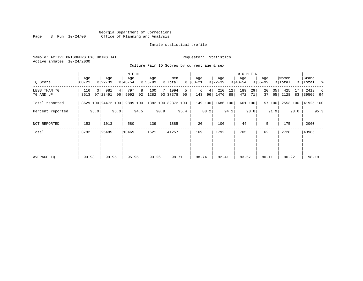# Georgia Department of Corrections Page 3 Run  $10/24/00$  Office of Planning and Analysis

# Inmate statistical profile

Sample: ACTIVE PRISONERS EXCLUDING JAIL **Requestor:** Statistics Active inmates 10/24/2000

Culture Fair IQ Scores by current age & sex

| IQ Score                  | Age<br>  00-21 | Age<br>$ 22-39 $       |          | M E N<br>Age<br>$ 40-54 $ |         | Age<br>$8 55-99$ |      | Men<br>% Total     | နွ      | Age<br>$ 00-21$ |         | Age<br>$ 22-39 $ |          | W O M E N<br>Age<br>$ 40-54 $ |          | Age<br>$8 55-99$ |          | Women<br>% Total |          | Grand<br>%   Total % |      |
|---------------------------|----------------|------------------------|----------|---------------------------|---------|------------------|------|--------------------|---------|-----------------|---------|------------------|----------|-------------------------------|----------|------------------|----------|------------------|----------|----------------------|------|
| LESS THAN 70<br>70 AND UP | 116<br>3513    | 981<br>3 I<br>97 23491 | 4 <br>96 | 797<br>9092               | 8<br>92 | 100<br>1282      |      | 7 1994<br>93 37378 | 5<br>95 | 6<br>143        | 4<br>96 | 210<br>1476      | 12<br>88 | 189<br>472                    | 29<br>71 | 20<br>37         | 35<br>65 | 425<br>2128      | 17<br>83 | 2419<br>39506 94     | 6    |
| Total reported            |                | 3629 100 24472 100     |          | 9889 100                  |         |                  |      | 1382 100 39372 100 |         |                 | 149 100 | 1686 100         |          |                               | 661 100  |                  | 57 100   | 2553 100         |          | 41925 100            |      |
| Percent reported          |                | 96.0                   | 96.0     |                           | 94.5    |                  | 90.9 |                    | 95.4    |                 | 88.2    |                  | 94.1     |                               | 93.8     |                  | 91.9     |                  | 93.6     |                      | 95.3 |
| NOT REPORTED              | 153            | 1013                   |          | 580                       |         | 139              |      | 1885               |         | 20              |         | 106              |          | 44                            |          | 5                |          | 175              |          | 2060                 |      |
| Total                     | 3782           | 25485                  |          | 10469                     |         | 1521             |      | 41257              |         | 169             |         | 1792             |          | 705                           |          | 62               |          | 2728             |          | 43985                |      |
| AVERAGE IQ                | 99.98          | 99.95                  |          | 95.95                     |         | 93.26            |      | 98.71              |         | 98.74           |         | 92.41            |          | 83.57                         |          | 80.11            |          | 90.22            |          | 98.19                |      |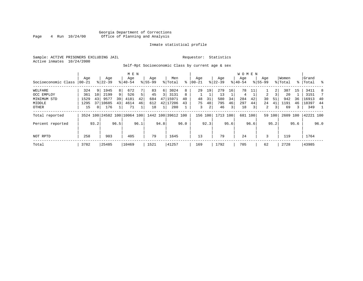# Georgia Department of Corrections<br>4 Run 10/24/00 Office of Planning and Analysis Page 4 Run  $10/24/00$  Office of Planning and Analysis

# Inmate statistical profile

Sample: ACTIVE PRISONERS EXCLUDING JAIL **Requestor:** Statistics Active inmates 10/24/2000

Self-Rpt Socioeconomic Class by current age & sex

|                     | Aqe   |                | Age                |      | M E N<br>Age |      | Age         |          | Men                |      | Aqe        |      | Aqe         |      | W O M E N<br>Aqe |      | Aqe         |        | Women   |      | Grand     |      |
|---------------------|-------|----------------|--------------------|------|--------------|------|-------------|----------|--------------------|------|------------|------|-------------|------|------------------|------|-------------|--------|---------|------|-----------|------|
| Socioeconomic Class | 00-21 |                | $8 22-39$          |      | $8 40-54$    |      | $8155 - 99$ |          | % Total            | ႜ    | $ 00 - 21$ |      | $8$   22-39 |      | $8 40-54$        |      | $8155 - 99$ |        | % Total |      | %   Total |      |
| WELFARE             | 324   | 9              | 1945               | 8    | 672          |      | 83          | $6 \mid$ | 3024               | 8    | 29         | 19   | 279         | 16   | 78               | 11   |             | 2      | 387     | 15   | 3411      | 8    |
| OCC EMPLOY          | 361   | 10             | 2199               | 9    | 526          | 5.   | 45          |          | 3131               | 8    |            |      | 13          |      | 4                |      | 2           | 3      | 20      |      | 3151      |      |
| MINIMUM STD         | 1529  | 43             | 9577               | 39   | 4181         | 42   | 684         | 47       | 15971              | 40   | 48         | 31   | 580         | 34   | 284              | 42   | 30          | 51     | 942     | 36   | 16913     | 40   |
| MIDDLE              | 1295  | 37             | 10685              | 43   | 4614         | 46   | 612         | 42       | 17206              | 43   | 75         | 48   | 795         | 46   | 297              | 44   | 24          | 41     | 1191    | 46   | 18397     | 44   |
| OTHER               | 15    | 0 <sup>1</sup> | 176                |      | 71           |      | 18          |          | 280                |      | 3          | 2    | 46          | 3    | 18               | 3    | 2           | 3      | 69      | 3    | 349       |      |
| Total reported      |       |                | 3524 100 24582 100 |      | 10064 100    |      |             |          | 1442 100 39612 100 |      | 156 100    |      | 1713 100    |      | 681              | 100  |             | 59 100 | 2609    | 100  | 42221 100 |      |
| Percent reported    |       | 93.2           |                    | 96.5 |              | 96.1 |             | 94.8     |                    | 96.0 |            | 92.3 |             | 95.6 |                  | 96.6 |             | 95.2   |         | 95.6 |           | 96.0 |
| NOT RPTD            | 258   |                | 903                |      | 405          |      | 79          |          | 1645               |      | 13         |      | 79          |      | 24               |      | 3           |        | 119     |      | 1764      |      |
| Total               | 3782  |                | 25485              |      | 10469        |      | 1521        |          | 41257              |      | 169        |      | 1792        |      | 705              |      | 62          |        | 2728    |      | 43985     |      |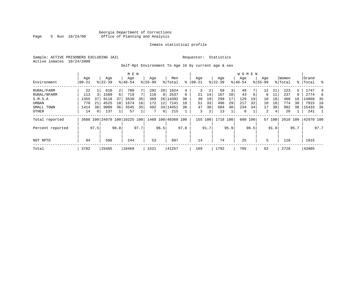# Georgia Department of Corrections Page 5 Run  $10/24/00$  Office of Planning and Analysis

# Inmate statistical profile

Sample: ACTIVE PRISONERS EXCLUDING JAIL **Requestor:** Statistics Active inmates 10/24/2000

# Self-Rpt Environment To Age 16 by current age & sex

|                  |                  |      |                    |      | M E N                        |      |                    |                |                    |      |                 |      |                    |      | <b>WOMEN</b>     |      |                    |        |                  |      |                    |                |
|------------------|------------------|------|--------------------|------|------------------------------|------|--------------------|----------------|--------------------|------|-----------------|------|--------------------|------|------------------|------|--------------------|--------|------------------|------|--------------------|----------------|
| Environment      | Age<br>$00 - 21$ |      | Age<br>$8122 - 39$ |      | Age<br>$8140 - 54$           |      | Age<br>$8155 - 99$ |                | Men<br>% Total     | ⊱    | Age<br>$ 00-21$ |      | Age<br>$8$   22-39 |      | Aqe<br>$8 40-54$ |      | Age<br>$8155 - 99$ |        | Women<br>% Total |      | Grand<br>%   Total | ႜ              |
| RURAL/FARM       | 22               |      | 610                | 2    | 700                          |      | 292                | 20             | 1624               | 4    | 3               | 2    | 59                 | 3    | 49               |      | 12                 | 21     | 123              | 5.   | 1747               | 4              |
| RURAL/NFARM      | 113              |      | 1589               | 6    | 719                          |      | 116                | 8              | 2537               | 6    | 21              | 14   | 167                | 10   | 43               | 6    | 6                  | 11     | 237              | 9    | 2774               | -6             |
| S.M.S.A          | 1355             | 37   | 9118               | 37   | 3530                         | 35   | 389                |                | 26 14392           | 36   | 30              | 19   | 299                | 17   | 129              | 19   | 10                 | 18     | 468              | 18   | 14860              | - 35           |
| URBAN            | 770              | 21   | 4525               | 18   | 1674                         | 16   | 172                | 12             | 7141               | 18   | 51              | 33   | 496                | 29   | 217              | 32   | 10                 | 18     | 774              | 30   | 7915               | 18             |
| SMALL TOWN       | 1414             | 38   | 9000               | 36   | 3545                         | 35   | 492                |                | 34 14451           | 36   | 47              | 30   | 684                | 40   | 234              | 34   | 17                 | 30     | 982              | 38   | 15433              | 36             |
| OTHER            | 14               | 0    | 137                |      | 57                           |      |                    | $\overline{0}$ | 215                |      | 3               | 2    | 13                 |      | 8                |      | 2                  | 4      | 26               |      | 241                | $\overline{1}$ |
| Total reported   |                  |      |                    |      | 3688 100 24979 100 10225 100 |      |                    |                | 1468 100 40360 100 |      | 155             | 100  | 1718 100           |      | 680              | 100  |                    | 57 100 | 2610 100         |      | 42970 100          |                |
| Percent reported |                  | 97.5 |                    | 98.0 |                              | 97.7 |                    | 96.5           |                    | 97.8 |                 | 91.7 |                    | 95.9 |                  | 96.5 |                    | 91.9   |                  | 95.7 |                    | 97.7           |
| NOT RPTD         | 94               |      | 506                |      | 244                          |      | 53                 |                | 897                |      | 14              |      | 74                 |      | 25               |      | 5                  |        | 118              |      | 1015               |                |
| Total            | 3782             |      | 25485              |      | 10469                        |      | 1521               |                | 41257              |      | 169             |      | 1792               |      | 705              |      | 62                 |        | 2728             |      | 43985              |                |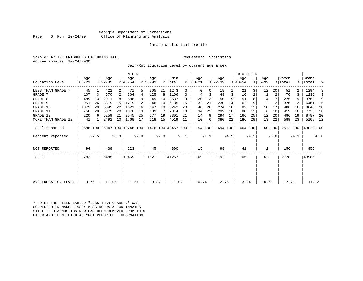# Georgia Department of Corrections Page 6 Run 10/24/00 Office of Planning and Analysis

# Inmate statistical profile

Sample: ACTIVE PRISONERS EXCLUDING JAIL **Requestor:** Statistics Active inmates 10/24/2000

Self-Rpt Education Level by current age & sex

|                     |                |      |                              |                 | M E N              |      |                  |      |                    |      |                      |      |                  |      | W O M E N        |      |                  |        |                  |      |                    |      |
|---------------------|----------------|------|------------------------------|-----------------|--------------------|------|------------------|------|--------------------|------|----------------------|------|------------------|------|------------------|------|------------------|--------|------------------|------|--------------------|------|
| Education Level     | Age<br>  00-21 |      | Age<br>$ 22-39 $             |                 | Age<br>$8140 - 54$ |      | Age<br>$8 55-99$ |      | Men<br>% Total     |      | Age<br>$8   00 - 21$ |      | Age<br>$ 22-39 $ |      | Age<br>$ 40-54 $ |      | Age<br>$8 55-99$ |        | Women<br>% Total |      | Grand<br>%   Total | ್ಠಿ  |
| LESS THAN GRADE 7   | 45             |      | 422                          | $\overline{2}$  | 471                | 5    | 305              | 21   | 1243               | 3    |                      | 0    | 18               |      | 21               |      | 12               | 20     | 51               |      | 1294               |      |
| GRADE 7             | 107            | 3    | 570                          | 2               | 364                | 4    | 125              | 8    | 1166               | 3    |                      | 3    | 49               | 3    | 16               |      |                  | 2      | 70               |      | 1236               | 3    |
| GRADE 8             | 489            | 13   | 2011                         |                 | 888                |      | 149              | 10   | 3537               | 9    | 20                   | 13   | 150              | 9    | 51               |      | 4                |        | 225              |      | 3762               | 9    |
| GRADE 9             | 951            | 26   | 3819                         | 15              | 1219               | 12   | 146              | 10   | 6135               | 15   | 32                   | 21   | 230              | 14   | 62               |      | 2                |        | 326              | 13   | 6461               | - 15 |
| GRADE 10            | 1079           | 29   | 5395                         | 22              | 1621               | 16   | 147              | 10   | 8242               | 20   | 40                   | 26   | 274              | 16   | 82               | 12   | 10               | 17     | 406              | 16   | 8648               | 20   |
| GRADE 11            | 756            | 20   | 5079                         | 20 <sup>1</sup> | 1370               | 13   | 109              |      | 7314               | 18   | 34                   | 22   | 299              | 18   | 80               | 12   | 6                | 10     | 419              | 16   | 7733               | 18   |
| GRADE 12            | 220            | 6    | 5259                         | 21              | 2545               | 25   | 277              | 19   | 8301               | 21   | 14                   | 9    | 294              | 17   | 166              | 25   | 12               | 20     | 486              | 19   | 8787               | 20   |
| MORE THAN GRADE 12  | 41             |      | 2492                         | 10              | 1768               | 17   | 218              | 15   | 4519               | 11   | 10                   | 6    | 380              | 22   | 186              | 28   | 13               | 22     | 589              | 23   | 5108 12            |      |
| Total reported      |                |      | 3688 100 25047 100 10246 100 |                 |                    |      |                  |      | 1476 100 40457 100 |      | 154 100              |      | 1694 100         |      | 664 100          |      |                  | 60 100 | 2572 100         |      | 43029 100          |      |
| Percent reported    |                | 97.5 |                              | 98.3            |                    | 97.9 |                  | 97.0 |                    | 98.1 |                      | 91.1 |                  | 94.5 |                  | 94.2 |                  | 96.8   |                  | 94.3 |                    | 97.8 |
| NOT REPORTED        | 94             |      | 438                          |                 | 223                |      | 45               |      | 800                |      | 15                   |      | 98               |      | 41               |      | 2                |        | 156              |      | 956                |      |
| Total               | 3782           |      | 25485                        |                 | 10469              |      | 1521             |      | 41257              |      | 169                  |      | 1792             |      | 705              |      | 62               |        | 2728             |      | 43985              |      |
|                     |                |      |                              |                 |                    |      |                  |      |                    |      |                      |      |                  |      |                  |      |                  |        |                  |      |                    |      |
| AVG EDUCATION LEVEL | 9.76           |      | 11.05                        |                 | 11.57              |      | 9.84             |      | 11.02              |      | 10.74                |      | 12.75            |      | 13.24            |      | 10.68            |        | 12.71            |      | 11.12              |      |

\* NOTE: THE FIELD LABLED "LESS THAN GRADE 7" WAS CORRECTED IN MARCH 1989: MISSING DATA FOR INMATES STILL IN DIAGNOSTICS NOW HAS BEEN REMOVED FROM THIS FIELD AND IDENTIFIED AS "NOT REPORTED" INFORMATION.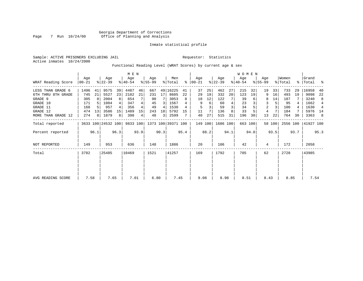# Inmate statistical profile

Sample: ACTIVE PRISONERS EXCLUDING JAIL **Requestor:** Statistics Active inmates 10/24/2000

Functional Reading Level (WRAT Scores) by current age & sex

| WRAT Reading Score            | Age<br>$ 00-21 $ |         | Age<br>$ 22-39 $   |         | M E N<br>Age<br>$ 40-54 $ |                      | Age<br>$8 55-99$ |      | Men<br>% Total     |         | Age<br>$8   00 - 21$ |          | Age<br>$ 22-39 $ |      | W O M E N<br>Age<br>$ 40-54 $ |         | Age<br>$8155 - 99$ |          | Women<br>% Total | ွေ   | Grand<br> Total | ႜ              |
|-------------------------------|------------------|---------|--------------------|---------|---------------------------|----------------------|------------------|------|--------------------|---------|----------------------|----------|------------------|------|-------------------------------|---------|--------------------|----------|------------------|------|-----------------|----------------|
| LESS THAN GRADE 6             | 1496             | 41      | 9575               | 39      | 4487                      | 46                   | 667              |      | 49 16225           | 41      | 37                   | 25       | 462              | 27   | 215                           | 32      | 19                 | 33       | 733              | 29   | 16958           | 40             |
| 6TH THRU 8TH GRADE<br>GRADE 9 | 745<br>305       | 21<br>8 | 5527<br>2004       | 23<br>8 | 2102<br>654               | 21<br>7 <sub>1</sub> | 231<br>90        | 17   | 8605<br>3053       | 22<br>8 | 29<br>18             | 19<br>12 | 332<br>122       | 20   | 123<br>39                     | 19      | 9<br>8             | 16<br>14 | 493<br>187       | 19   | 9098<br>3240    | 22<br>8        |
| GRADE 10                      | 171              |         | 1004               | 4       | 347                       | 4                    | 45               | 3    | 1567               |         | 9                    | 6        | 60               |      | 23                            |         | 3                  | 5        | 95               | 4    | 1662            | $\overline{4}$ |
| GRADE 11                      | 168              |         | 957                |         | 356                       |                      | 49               | 4    | 1530               |         | 5                    |          | 59               | 3    | 34                            |         | 2                  |          | 100              |      | 1630            | 4              |
| GRADE 12                      | 474              | 13      | 3586               | 15      | 1489                      | 15                   | 243              | 18   | 5792               | 15      | 11                   |          | 136              |      | 33                            |         | 4                  |          | 184              |      | 5976            | 14             |
| MORE THAN GRADE 12            | 274              | 8       | 1879               | 8       | 398                       | 4                    | 48               | 3    | 2599               |         | 40                   | 27       | 515              | 31   | 196                           | 30      | 13                 | 22       | 764              | 30   | 3363            | 8              |
| Total reported                |                  |         | 3633 100 24532 100 |         | 9833 100                  |                      |                  |      | 1373 100 39371 100 |         | 149 100              |          | 1686 100         |      |                               | 663 100 |                    | 58 100   | 2556 100         |      | 41927 100       |                |
| Percent reported              |                  | 96.1    |                    | 96.3    |                           | 93.9                 |                  | 90.3 |                    | 95.4    |                      | 88.2     |                  | 94.1 |                               | 94.0    |                    | 93.5     |                  | 93.7 |                 | 95.3           |
| <b>NOT REPORTED</b>           | 149              |         | 953                |         | 636                       |                      | 148              |      | 1886               |         | 20                   |          | 106              |      | 42                            |         | 4                  |          | 172              |      | 2058            |                |
| Total                         | 3782             |         | 25485              |         | 10469                     |                      | 1521             |      | 41257              |         | 169                  |          | 1792             |      | 705                           |         | 62                 |          | 2728             |      | 43985           |                |
|                               |                  |         |                    |         |                           |                      |                  |      |                    |         |                      |          |                  |      |                               |         |                    |          |                  |      |                 |                |
| AVG READING SCORE             | 7.58             |         | 7.65               |         | 7.01                      |                      | 6.80             |      | 7.45               |         | 9.08                 |          | 8.98             |      | 8.51                          |         | 8.43               |          | 8.85             |      | 7.54            |                |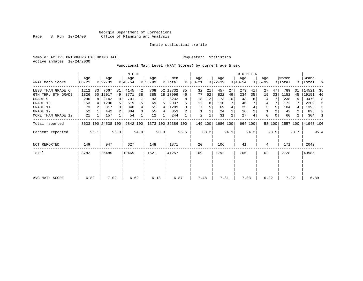# Inmate statistical profile

Sample: ACTIVE PRISONERS EXCLUDING JAIL **Requestor:** Statistics Active inmates 10/24/2000

Functional Math Level (WRAT Scores) by current age & sex

|                     |                  |      |                    |                | M E N              |      |                 |      |                    |           |                 |      |                  |      | WOMEN            |         |                  |        |                  |      |                    |      |
|---------------------|------------------|------|--------------------|----------------|--------------------|------|-----------------|------|--------------------|-----------|-----------------|------|------------------|------|------------------|---------|------------------|--------|------------------|------|--------------------|------|
| WRAT Math Score     | Age<br>$00 - 21$ |      | Age<br>$ 22-39 $   |                | Age<br>$8140 - 54$ |      | Age<br>$ 55-99$ |      | Men<br>% Total     | $\approx$ | Age<br>$ 00-21$ |      | Age<br>$ 22-39 $ |      | Age<br>$ 40-54 $ |         | Age<br>$8 55-99$ |        | Women<br>% Total |      | Grand<br>%   Total | ႜ    |
| LESS THAN GRADE 6   | 1212             | 33   | 7667               | 31             | 4145               | 42   | 708             |      | 52 13732           | 35        | 32              | 21   | 457              | 27   | 273              | 41      | 27               | 47     | 789              | 31   | 14521              | 35   |
| 6TH THRU 8TH GRADE  | 1826             |      | 50 12017           | 49             | 3771               | 38   | 385             |      | 28 17999           | 46        | 77              | 52   | 822              | 49   | 234              | 35      | 19               | 33     | 1152             | 45   | 19151              | 46   |
| GRADE 9             | 296              | 8    | 2142               | 9              | 701                |      | 93              |      | 3232               | 8         | 18              | 12   | 173              | 10   | 43               |         | 4                |        | 238              | 9    | 3470               | 8    |
| GRADE 10            | 153              |      | 1296               | 5              | 519                | 5    | 69              | 5    | 2037               |           | 12              | 8    | 110              |      | 46               |         | 4                |        | 172              |      | 2209               | 5    |
| GRADE 11            | 73               |      | 817                | $\overline{3}$ | 348                |      | 51              | 4    | 1289               |           |                 |      | 69               |      | 25               |         | 3                |        | 104              |      | 1393               | 3    |
| GRADE 12            | 52               |      | 442                |                | 304                | 3    | 55              | 4    | 853                |           |                 |      | 24               |      | 16               |         |                  |        | 42               | 2    | 895                | 2    |
| MORE THAN GRADE 12  | 21               |      | 157                |                | 54                 |      | 12              |      | 244                |           | 2               |      | 31               | 2    | 27               |         | $\mathbf 0$      | 0      | 60               | 2    | 304                | -1   |
| Total reported      |                  |      | 3633 100 24538 100 |                | 9842 100           |      |                 |      | 1373 100 39386 100 |           | 149 100         |      | 1686 100         |      |                  | 664 100 |                  | 58 100 | 2557 100         |      | 41943 100          |      |
| Percent reported    |                  | 96.1 |                    | 96.3           |                    | 94.0 |                 | 90.3 |                    | 95.5      |                 | 88.2 |                  | 94.1 |                  | 94.2    |                  | 93.5   |                  | 93.7 |                    | 95.4 |
| <b>NOT REPORTED</b> | 149              |      | 947                |                | 627                |      | 148             |      | 1871               |           | 20              |      | 106              |      | 41               |         | 4                |        | 171              |      | 2042               |      |
| Total               | 3782             |      | 25485              |                | 10469              |      | 1521            |      | 41257              |           | 169             |      | 1792             |      | 705              |         | 62               |        | 2728             |      | 43985              |      |
|                     |                  |      |                    |                |                    |      |                 |      |                    |           |                 |      |                  |      |                  |         |                  |        |                  |      |                    |      |
| AVG MATH SCORE      | 6.82             |      | 7.02               |                | 6.62               |      | 6.13            |      | 6.87               |           | 7.48            |      | 7.31             |      | 7.03             |         | 6.22             |        | 7.22             |      | 6.89               |      |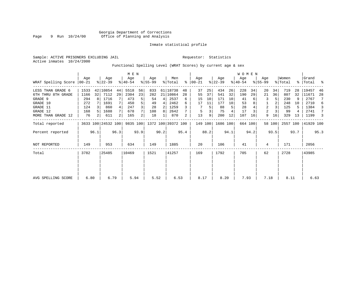# Inmate statistical profile

Sample: ACTIVE PRISONERS EXCLUDING JAIL **Requestor:** Statistics Active inmates 10/24/2000

Functional Spelling Level (WRAT Scores) by current age & sex

|                     |                 |                |                    |      | M E N            |      |                 |      |                    |      |                  |      |                  |      | <b>WOMEN</b>     |         |                    |        |                  |      |                    |      |
|---------------------|-----------------|----------------|--------------------|------|------------------|------|-----------------|------|--------------------|------|------------------|------|------------------|------|------------------|---------|--------------------|--------|------------------|------|--------------------|------|
| WRAT Spelling Score | Aqe<br>$ 00-21$ |                | Age<br>$ 22-39 $   |      | Age<br>$ 40-54 $ |      | Aqe<br>$ 55-99$ |      | Men<br>% Total     | ႜ    | Age<br>$00 - 21$ |      | Age<br>$ 22-39 $ |      | Age<br>$ 40-54 $ |         | Age<br>$8155 - 99$ |        | Women<br>% Total |      | Grand<br>%   Total | ್ಠಿ  |
| LESS THAN GRADE 6   | 1533            |                | 42 10854           | 44   | 5518             | 56   | 833             |      | 61 18738           | 48   | 37               | 25   | 434              | 26   | 228              | 34      | 20                 | 34     | 719              | 28   | 19457              | 46   |
| 6TH THRU 8TH GRADE  | 1166            | 32             | 7112               | 29   | 2304             | 23   | 282             |      | 21 10864           | 28   | 55               | 37   | 541              | 32   | 190              | 29      | 21                 | 36     | 807              | 32   | 11671              | 28   |
| GRADE 9             | 294             | R I            | 1716               |      | 473              | 5    | 54              | 4    | 2537               | 6    | 15               | 10   | 171              | 10   | 41               |         | 3                  |        | 230              |      | 2767               |      |
| GRADE 10            | 272             |                | 1691               |      | 450              | 5    | 49              | 4    | 2462               | 6    | 17               | 11   | 177              | 10   | 53               |         |                    |        | 248              | 10   | 2710               | 6    |
| GRADE 11            | 124             |                | 860                |      | 247              |      | 28              | 2    | 1259               |      |                  | 5    | 88               | 5    | 28               |         | $\overline{a}$     |        | 125              | 5    | 1384               | 3    |
| GRADE 12            | 168             |                | 1688               |      | 678              |      | 108             | 8    | 2642               |      | 5                |      | 75               |      | 17               |         | $\overline{a}$     |        | 99               |      | 2741               | 7    |
| MORE THAN GRADE 12  | 76              | 2 <sup>1</sup> | 611                | 2    | 165              | 2    | 18              |      | 870                | 2    | 13               | 9    | 200              | 12   | 107              | 16      | 9                  | 16     | 329              | 13   | 1199               | 3    |
| Total reported      |                 |                | 3633 100 24532 100 |      | 9835 100         |      |                 |      | 1372 100 39372 100 |      | 149 100          |      | 1686 100         |      |                  | 664 100 |                    | 58 100 | 2557 100         |      | 41929 100          |      |
| Percent reported    |                 | 96.1           |                    | 96.3 |                  | 93.9 |                 | 90.2 |                    | 95.4 |                  | 88.2 |                  | 94.1 |                  | 94.2    |                    | 93.5   |                  | 93.7 |                    | 95.3 |
| <b>NOT REPORTED</b> | 149             |                | 953                |      | 634              |      | 149             |      | 1885               |      | 20               |      | 106              |      | 41               |         | 4                  |        | 171              |      | 2056               |      |
| Total               | 3782            |                | 25485              |      | 10469            |      | 1521            |      | 41257              |      | 169              |      | 1792             |      | 705              |         | 62                 |        | 2728             |      | 43985              |      |
|                     |                 |                |                    |      |                  |      |                 |      |                    |      |                  |      |                  |      |                  |         |                    |        |                  |      |                    |      |
|                     |                 |                |                    |      |                  |      |                 |      |                    |      |                  |      |                  |      |                  |         |                    |        |                  |      |                    |      |
| AVG SPELLING SCORE  | 6.80            |                | 6.79               |      | 5.94             |      | 5.52            |      | 6.53               |      | 8.17             |      | 8.20             |      | 7.93             |         | 7.18               |        | 8.11             |      | 6.63               |      |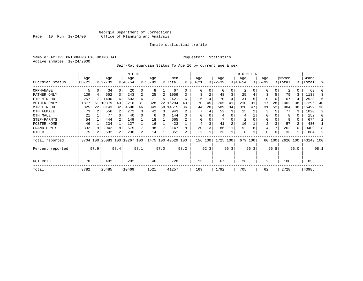# Georgia Department of Corrections Page 10 Run 10/24/00 Office of Planning and Analysis

# Inmate statistical profile

Sample: ACTIVE PRISONERS EXCLUDING JAIL **Requestor:** Statistics Active inmates 10/24/2000

Self-Rpt Guardian Status To Age 16 by current age & sex

|                  |            |      |          |          | M E N                        |      |          |      |                    |          |            |      |           |                | W O M E N |      |                |        |          |          |           |      |
|------------------|------------|------|----------|----------|------------------------------|------|----------|------|--------------------|----------|------------|------|-----------|----------------|-----------|------|----------------|--------|----------|----------|-----------|------|
|                  | Age        |      | Age      |          | Age                          |      | Age      |      | Men                |          | Age        |      | Age       |                | Age       |      | Age            |        | Women    |          | Grand     |      |
| Guardian Status  | $ 00 - 21$ |      | $ 22-39$ |          | $8140 - 54$                  |      | $ 55-99$ |      | % Total            | ⊱        | $ 00 - 21$ |      | $ 22-39 $ |                | $ 40-54 $ |      | $8155 - 99$    |        | % Total  |          | %   Total | ႜ    |
| ORPHANAGE        | 5          |      | 34       | $\Omega$ | 20                           | 0    | 8        |      | 67                 | $\Omega$ | 0          |      | $\Omega$  | 0              | 2         |      | O              |        |          | $\Omega$ | 69        |      |
| FATHER ONLY      | 139        |      | 652      |          | 243                          | 2    | 25       | 2    | 1059               |          |            | 2    | 48        | 3              | 25        |      |                |        | 79       | 3        | 1138      |      |
| FTR MTR HD       | 257        |      | 1490     | 6        | 603                          | 6    | 71       | 5    | 2421               | 6        | 6          | 4    | 70        |                | 31        |      | $\Omega$       |        | 107      |          | 2528      | 6    |
| MOTHER ONLY      | 1877       | 51   | 10879    | 43       | 3210                         | 31   | 328      | 22   | 16294              | 40       | 70         | 45   | 705       | 41             | 210       | 31   | 17             | 28     | 1002     | 38       | 17296     | 40   |
| MTR FTR HD       | 825        | 22   | 8143     | 32       | 4698                         | 46   | 849      |      | 58 14515           | 36       | 44         | 28   | 589       | 34             | 320       | 47   | 31             | 52     | 984      | 38       | 15499     | 36   |
| OTH FEMALE       | 73         |      | 556      |          | 272                          | 3    | 42       | 3    | 943                |          |            |      | 52        | 3              | 15        |      | 3              |        | 77       |          | 1020      | 2    |
| OTH MALE         | 21         |      | 77       |          | 40                           |      | 6        | 0    | 144                |          | 0          |      |           |                | 4         |      | $\Omega$       |        | 8        | 0        | 152       | n    |
| STEP-PARNTS      | 54         |      | 444      |          | 149                          |      | 18       |      | 665                |          | $\Omega$   |      |           |                | 2         |      | $\Omega$       |        | 9        | 0        | 674       |      |
| FOSTER HOME      | 46         |      | 234      |          | 127                          |      | 16       |      | 423                |          | 4          |      | 41        | $\overline{a}$ | 10        |      | $\overline{2}$ |        | 57       | 2        | 480       |      |
| GRAND PRNTS      | 332        |      | 2042     | 8        | 675                          | 7    | 98       |      | 3147               | 8        | 20         | 13   | 186       | 11             | 52        |      | 4              |        | 262      | 10       | 3409      |      |
| OTHER            | 75         |      | 532      | 2        | 230                          | 2    | 14       |      | 851                | 2        | 2          |      | 23        |                | 8         |      | 0              |        | 33       |          | 884       |      |
| Total reported   |            |      |          |          | 3704 100 25083 100 10267 100 |      |          |      | 1475 100 40529 100 |          | 156 100    |      | 1725      | 100            | 679 100   |      |                | 60 100 | 2620 100 |          | 43149 100 |      |
| Percent reported |            | 97.9 |          | 98.4     |                              | 98.1 |          | 97.0 |                    | 98.2     |            | 92.3 |           | 96.3           |           | 96.3 |                | 96.8   |          | 96.0     |           | 98.1 |
| NOT RPTD         | 78         |      | 402      |          | 202                          |      | 46       |      | 728                |          | 13         |      | 67        |                | 26        |      | 2              |        | 108      |          | 836       |      |
| Total            | 3782       |      | 25485    |          | 10469                        |      | 1521     |      | 41257              |          | 169        |      | 1792      |                | 705       |      | 62             |        | 2728     |          | 43985     |      |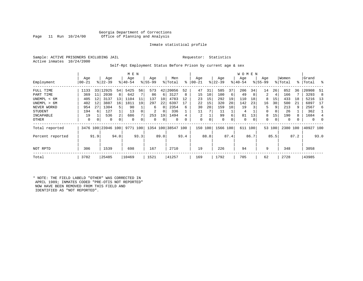# Georgia Department of Corrections<br>Page 11 Run 10/24/00 Office of Planning and Analysis Office of Planning and Analysis

# Inmate statistical profile

Sample: ACTIVE PRISONERS EXCLUDING JAIL **Requestor:** Statistics Active inmates 10/24/2000

# Self-Rpt Employment Status Before Prison by current age & sex

|                  |           |      |                    |      | M E N     |      |           |          |                    |           |            |      |             |          | W O M E N |      |           |        |          |      |           |                |
|------------------|-----------|------|--------------------|------|-----------|------|-----------|----------|--------------------|-----------|------------|------|-------------|----------|-----------|------|-----------|--------|----------|------|-----------|----------------|
|                  | Age       |      | Age                |      | Age       |      | Age       |          | Men                |           | Age        |      | Age         |          | Age       |      | Age       |        | Women    |      | Grand     |                |
| Employment       | $00 - 21$ |      | $ 22-39 $          |      | $8 40-54$ |      | $8 55-99$ |          | % Total            | $\approx$ | $ 00 - 21$ |      | $ 22-39 $   |          | $ 40-54 $ |      | $8 55-99$ |        | % Total  |      | %   Total | ႜ              |
| FULL TIME        | 1133      |      | 33 12925           | 54   | 5425      | 56   | 573       | 42       | 20056              | 52        | 47         | 31   | 585         | 37       | 206       | 34   | 14        | 26     | 852      | 36   | 20908     | -51            |
| PART TIME        | 369       | 11   | 2030               | 8    | 642       |      | 86        | 6        | 3127               | 8         | 15         | 10   | 100         | 6        | 49        | 8    | 2         | 4      | 166      |      | 3293      | 8              |
| UNEMPL < 6M      | 405       | 12   | 3137               | 13   | 1104      | 11   | 137       | 10       | 4783               | 12        | 23         | 15   | 292         | 19       | 110       | 18   | 8         | 15     | 433      | 18   | 5216      | 13             |
| UNEMPL > 6M      | 402       | 12   | 3887               | 16   | 1811      | 19   | 297       | 22       | 6397               |           | 22         | 15   | 320         | 20       | 142       | 23   | 16        | 30     | 500      | 21   | 6897      | 17             |
| NEVER WORKD      | 954       | 27   | 1304               | 5.   | 90        |      | 6         | $\Omega$ | 2354               | 6         | 30         | 20   | 159         | 10       | 19        |      | 5         | 9      | 213      | -9   | 2567      | 6              |
| <b>STUDENT</b>   | 194       | 6    | 127                |      | 13        |      | 2         | 0        | 336                |           | 11         |      | 11          |          | 4         |      | 0         | 0      | 26       |      | 362       |                |
| INCAPABLE        | 19        |      | 536                | 2    | 686       |      | 253       | 19       | 1494               |           | 2          |      | 99          | 6        | 81        | 13   | 8         | 15     | 190      | 8    | 1684      | $\overline{4}$ |
| OTHER            | 0         | 0    | 0                  | 0    | $\Omega$  |      | 0         | 0        | $\Omega$           |           | 0          |      | $\mathbf 0$ | $\Omega$ | 0         | 0    | 0         | 0      | 0        |      | $\Omega$  |                |
| Total reported   |           |      | 3476 100 23946 100 |      | 9771 100  |      |           |          | 1354 100 38547 100 |           | 150        | 100  | 1566 100    |          | 611       | 100  |           | 53 100 | 2380 100 |      | 40927 100 |                |
| Percent reported |           | 91.9 |                    | 94.0 |           | 93.3 |           | 89.0     |                    | 93.4      |            | 88.8 |             | 87.4     |           | 86.7 |           | 85.5   |          | 87.2 |           | 93.0           |
| NOT RPTD         | 306       |      | 1539               |      | 698       |      | 167       |          | 2710               |           | 19         |      | 226         |          | 94        |      | 9         |        | 348      |      | 3058      |                |
| Total            | 3782      |      | 25485              |      | 10469     |      | 1521      |          | 41257              |           | 169        |      | 1792        |          | 705       |      | 62        |        | 2728     |      | 43985     |                |

\* NOTE: THE FIELD LABELD "OTHER" WAS CORRECTED IN APRIL 1989; INMATES CODED "PRE-OTIS NOT REPORTED" NOW HAVE BEEN REMOVED FROM THIS FIELD AND IDENTIFIED AS "NOT REPORTED".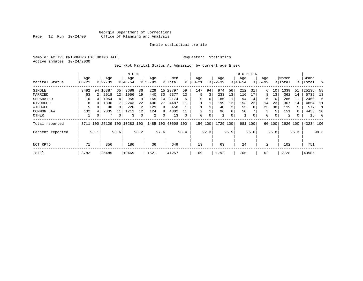# Georgia Department of Corrections Page 12 Run 10/24/00 Office of Planning and Analysis

# Inmate statistical profile

Sample: ACTIVE PRISONERS EXCLUDING JAIL **Requestor:** Statistics Active inmates 10/24/2000

# Self-Rpt Marital Status At Admission by current age & sex

|                  |           |          |                              |      | M E N       |                |           |      |                    |      |             |          |           |      | W O M E N |      |             |          |          |      |           |      |
|------------------|-----------|----------|------------------------------|------|-------------|----------------|-----------|------|--------------------|------|-------------|----------|-----------|------|-----------|------|-------------|----------|----------|------|-----------|------|
|                  | Age       |          | Age                          |      | Age         |                | Age       |      | Men                |      | Age         |          | Age       |      | Age       |      | Age         |          | Women    |      | Grand     |      |
| Marital Status   | $00 - 21$ |          | $8122 - 39$                  |      | $8140 - 54$ |                | $8 55-99$ |      | % Total            | ⊱    | $ 00-21$    |          | $ 22-39 $ |      | $ 40-54 $ |      | $8155 - 99$ |          | % Total  |      | %   Total | ္က   |
| SINGLE           | 3492      |          | 94 16387                     | 65   | 3689        | 36             | 229       | 15   | 23797              | 59   | 147         | 94       | 974       | 56   | 212       | 31   | 6           | 10       | 1339     | 51   | 25136     | -58  |
| MARRIED          | 63        |          | 2918                         | 12   | 1956        | 19             | 440       | 30   | 5377               | 13   | 5           | 3        | 233       | 13   | 116       | 17   | 8           | 13       | 362      | 14   | 5739      | 13   |
| SEPARATED        | 10        | $\Omega$ | 1054                         | 4    | 955         | 9              | 155       | 10   | 2174               | 5    | $\Omega$    | $\Omega$ | 186       | 11   | 94        | 14   | 6           | 10       | 286      | -11  | 2460      | -6   |
| DIVORCED         | 8         |          | 1830                         |      | 2243        | 22             | 406       | 27   | 4487               | 11   |             |          | 199       | 12   | 153       | 22   | 14          | 23       | 367      | 14   | 4854      | -11  |
| WIDOWED          |           |          | 98                           |      | 226         | 2              | 129       | 9    | 458                |      |             |          | 40        |      | 55        | 8    | 23          | 38       | 119      | 5    | 577       |      |
| COMMON LAW       | 132       |          | 2835                         | 11   | 1211        | L <sub>2</sub> | 124       | 8    | 4302               |      | 2           |          | 96        | 6    | 50        |      | 3           | 5        | 151      | 6    | 4453      | 10   |
| OTHER            |           | 0        |                              | 0    | 3           |                | 2         | 0    | 13                 | 0    | $\mathbf 0$ | 0        |           | 0    | 1         | 0    | 0           | $\Omega$ | 2        | 0    | 15        | 0    |
| Total reported   |           |          | 3711 100 25129 100 10283 100 |      |             |                |           |      | 1485 100 40608 100 |      | 156         | 100      | 1729      | 100  | 681       | 100  |             | 60 100   | 2626 100 |      | 43234 100 |      |
| Percent reported |           | 98.1     |                              | 98.6 |             | 98.2           |           | 97.6 |                    | 98.4 |             | 92.3     |           | 96.5 |           | 96.6 |             | 96.8     |          | 96.3 |           | 98.3 |
|                  |           |          |                              |      |             |                |           |      |                    |      |             |          |           |      |           |      |             |          |          |      |           |      |
| NOT RPTD         | 71        |          | 356                          |      | 186         |                | 36        |      | 649                |      | 13          |          | 63        |      | 24        |      | 2           |          | 102      |      | 751       |      |
| Total            | 3782      |          | 25485                        |      | 10469       |                | 1521      |      | 41257              |      | 169         |          | 1792      |      | 705       |      | 62          |          | 2728     |      | 43985     |      |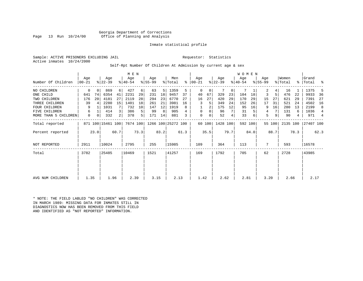Georgia Department of Corrections<br>Page 13 Run 10/24/00 Office of Planning and Analysis Office of Planning and Analysis

# Inmate statistical profile

Sample: ACTIVE PRISONERS EXCLUDING JAIL **Requestor:** Statistics Active inmates 10/24/2000

Self-Rpt Number Of Children At Admission by current age & sex

|                                      | 427<br>869<br>6 <br>6<br>63  |                    |                          |                 | $8 55-99$<br>% Total<br>ႜႜ | Total<br>ႜ            |
|--------------------------------------|------------------------------|--------------------|--------------------------|-----------------|----------------------------|-----------------------|
|                                      |                              |                    |                          |                 |                            |                       |
| NO CHILDREN<br>0<br>$\Omega$         |                              | 1359<br>5<br>5     | $\Omega$<br>0<br>0       | 2               | 4<br>16                    | 1375                  |
| 74<br>6354<br>ONE CHILD<br>641       | 2231<br>41<br>29<br>231      | 9457<br>18<br>37   | 40<br>67<br>329<br>23    | 3<br>104<br>18  | 5<br>476<br>22             | 9933<br>-36           |
| 176<br>20<br>4181<br>TWO CHILDREN    | 27<br>28<br>2119<br>294      | 6770<br>23<br>27   | 27<br>420<br>29<br>16    | 15<br>170<br>29 | 27<br>621<br>29            | 7391<br>27            |
| 39<br>2280<br>THREE CHILDREN         | 15<br>1401<br>18<br>261      | 21<br>3981<br>16   | 5<br>349<br>24           | 152<br>17<br>26 | 31<br>521<br>24            | 4502<br>16            |
| 1031<br><b>FOUR CHILDREN</b><br>9    | 732<br>147<br>10             | 12<br>1919<br>8    | 2<br>12<br>175           | 95<br>9<br>16   | 16<br>280<br>13            | 2199<br>8             |
| FIVE CHILDREN<br>6                   | 414<br>5<br>99<br>386        | 905<br>8           | 7<br>$\Omega$<br>0<br>96 | 31<br>4         | 131<br>6                   | 1036<br>4             |
| MORE THAN 5 CHILDREN<br>0<br>0       | 2 <br>378<br>5<br>332<br>171 | 881<br>3<br>14     | 52<br>0<br>0<br>4        | 5<br>33         | 9<br>90<br>4               | 971<br>$\overline{4}$ |
| Total reported<br>871 100 15461 100  | 7674 100                     | 1266 100 25272 100 | 1428 100<br>60 100       | 592 100         | 55 100<br>2135 100         | 27407 100             |
| 23.0<br>Percent reported             | 73.3<br>60.7                 | 83.2<br>61.3       | 35.5<br>79.7             | 84.0            | 88.7<br>78.3               | 62.3                  |
| 2911<br>10024<br><b>NOT REPORTED</b> | 2795<br>255                  | 15985              | 109<br>364               | 113<br>7        | 593                        | 16578                 |
| 3782<br>25485<br>Total               | 10469<br>1521                | 41257              | 1792<br>169              | 705<br>62       | 2728                       | 43985                 |
|                                      |                              |                    |                          |                 |                            |                       |
| 1.35<br>AVG NUM CHILDREN             | 2.39<br>3.15<br>1.96         | 2.13               | 1.42<br>2.62             | 2.81<br>3.20    | 2.66                       | 2.17                  |

\* NOTE: THE FIELD LABLED "NO CHILDREN" WAS CORRECTED IN MARCH 1989: MISSING DATA FOR INMATES STILL IN DIAGNOSTICS NOW HAS BEEN REMOVED FROM THIS FIELD AND IDENTIFIED AS "NOT REPORTED" INFORMATION.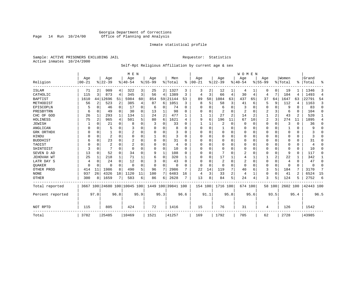# Georgia Department of Corrections<br>Page 14 Run 10/24/00 Office of Planning and Analysis Page 14 Run 10/24/00 Office of Planning and Analysis

# Inmate statistical profile

Sample: ACTIVE PRISONERS EXCLUDING JAIL **Requestor:** Statistics Active inmates 10/24/2000

# Self-Rpt Religious Affiliation by current age & sex

|                  |           |                |                |             | M E N                   |          |           |             |               |              |          |          |          |                | <b>WOMEN</b> |          |           |             |          |          |           |                |
|------------------|-----------|----------------|----------------|-------------|-------------------------|----------|-----------|-------------|---------------|--------------|----------|----------|----------|----------------|--------------|----------|-----------|-------------|----------|----------|-----------|----------------|
|                  | Age       |                | Age            |             | Age                     |          | Age       |             | Men           | %            | Age      |          | Age      |                | Aqe          |          | Age       |             | Women    | ፠        | Grand     |                |
| Religion         | $00 - 21$ |                | $ 22-39 $      |             | $ 40-54$                |          | $8 55-99$ |             | % Total       |              | $ 00-21$ |          | $ 22-39$ |                | $ 40-54$     |          | $8 55-99$ |             | % Total  |          | Total     | ዱ              |
| ISLAM            | 71        | 2              | 909            | 4           | 322                     | 3        | 25        |             | 2 1327        | 3            | 3        | 2        | 12       |                | 4            |          | 0         | 0           | 19       |          | 1346      | 3              |
| CATHOLIC         | 115       | 3              | 873            | 4           | 345                     | 3        | 56        | 4           | 1389          | 3            | 4        | 3        | 66       | 4              | 30           | 4        | 4         | 7           | 104      | 4        | 1493      | $\overline{4}$ |
| <b>BAPTIST</b>   | 1610      | 44             | 12696          | 51          | 5984                    | 60       | 854       | 59          | 21144         | 53           | 89       | 58       | 1084     | 63             | 437          | 65       | 37        | 64          | 1647     | 63       | 22791     | 54             |
| METHODIST        | 56        | $\overline{2}$ | 523            | 2           | 385                     | 4        | 87        | 6           | 1051          | 3            | 8        | 5        | 58       | 3              | 41           | 6        | 5         | 9           | 112      | 4        | 1163      | 3              |
| EPISCOPLN        |           | 0              | 46             | $\mathbf 0$ | 17                      | 0        | 6         | 0           | 74            | $\Omega$     | U        | O        | 6        | O              | 3            | $\Omega$ | 0         | $\Omega$    | 9        | $\Omega$ | 83        | $\mathbf 0$    |
| PRESBYTRN        | 6         | 0              | 49             | $\Omega$    | 30                      | $\Omega$ | 13        | 1           | 98            | O            | 0        | U        | 2        | 0              | 2            | 0        | 2         | 3           | 6        | $\Omega$ | 104       | $\Omega$       |
| CHC OF GOD       | 26        | 1              | 293            | 1           | 134                     |          | 24        | 2           | 477           |              |          |          | 27       | $\overline{a}$ | 14           | 2        |           | 2           | 43       | 2        | 520       | 1              |
| HOLINESS         | 75        | $\overline{c}$ | 965            | 4           | 501                     | 5        | 80        | 6           | 1621          | 4            | 9        | 6        | 196      | 11             | 67           | 10       | 2         | 3           | 274      | 11       | 1895      | 4              |
| <b>JEWISH</b>    |           | $\Omega$       | 21             | 0           | 8                       | $\Omega$ |           | U           | 33            | O            |          |          | 2        | 0              | $\Omega$     | $\Omega$ | 0         | 0           | 3        | $\Omega$ | 36        | 0              |
| ANGLICAN         |           | 0              | 5              | $\Omega$    | 3                       |          |           | 0           | 8             |              | $\Omega$ | $\Omega$ |          | 0              | 0            | $\Omega$ | 0         | $\Omega$    |          | $\Omega$ | 9         | $\Omega$       |
| GRK ORTHDX       |           | $\Omega$       |                | 0           |                         | O        | n         | 0           | 3             | U            | U        | U        | $\Omega$ | 0              | $\Omega$     | 0        | 0         | $\Omega$    | $\Omega$ | $\Omega$ |           | $\Omega$       |
| HINDU            |           | $\Omega$       | $\overline{2}$ | $\Omega$    | $\Omega$                | $\Omega$ |           | U           | 3             | <sup>0</sup> | U        |          | 0        | U              | $\Omega$     | $\Omega$ | 0         | $\Omega$    | $\Omega$ | $\Omega$ |           | $\Omega$       |
| <b>BUDDHIST</b>  | 6         | $\Omega$       | 23             | $\Omega$    | 2                       | O        |           | $\Omega$    | 31            | U            | $\Omega$ |          | $\Omega$ | O              | $\Omega$     | $\Omega$ | Ω         | $\Omega$    | $\Omega$ | $\Omega$ | 31        | $\Omega$       |
| TAOIST           |           | $\Omega$       | $\overline{c}$ | $\Omega$    | $\overline{2}$          |          |           | $\Omega$    | 4             | n            | U        | O        | $\Omega$ | 0              | $\Omega$     | $\Omega$ | 0         | $\Omega$    | $\Omega$ | $\Omega$ | 4         | $\Omega$       |
| SHINTOIST        | 3         | $\Omega$       |                | $\Omega$    | $\Omega$                |          |           | $\Omega$    | 10            | O            | U        | $\Omega$ | $\Omega$ | O              | 0            | $\Omega$ | 0         | $\Omega$    | $\Omega$ | $\Omega$ | 10        | $\Omega$       |
| SEVEN D AD       | 13        | $\Omega$       | 52             | $\Omega$    | 34                      | $\Omega$ | 9         | $\mathbf 1$ | 108           | U            | U        | $\Omega$ |          | U              | 2            | $\Omega$ | 0         | $\Omega$    | 9        | $\Omega$ | 117       | $\Omega$       |
| JEHOVAH WT       | 25        | 1              | 218            | 1           | 71                      |          | 6         | 0           | 320           |              | $\Omega$ | $\Omega$ | 17       |                | 4            |          |           | 2           | 22       |          | 342       | 1              |
| LATR DAY S       |           | $\Omega$       | 24             | $\Omega$    | 12                      |          |           | 0           | 43            | n            | 0        | O        | 2        | 0              | 2            | $\Omega$ | 0         | 0           | 4        | $\Omega$ | 47        | 0              |
| <b>OUAKER</b>    |           | $\Omega$       | O              | 0           | $\Omega$                | $\Omega$ | O         | 0           | $\Omega$      |              | $\Omega$ | $\Omega$ | 0        | 0              | $\Omega$     | 0        | 0         | $\mathbf 0$ | $\Omega$ | $\Omega$ | $\Omega$  | 0              |
| OTHER PROD       | 414       | 11             | 1986           | 8           | 490                     | 5        | 96        | 7           | 2986          | 7            | 22       | 14       | 119      | 7              | 40           | 6        | 3         | 5           | 184      | 7        | 3170      | 7              |
| <b>NONE</b>      | 937       | 26             | 4326           | 18          | 1120                    | 11       | 100       | 7           | 6483          | 16           | 4        | 3        | 33       | 2              | 4            | 1        | 0         | $\mathbf 0$ | 41       | 2        | 6524      | 15             |
| <b>OTHER</b>     | 300       | 8              | 1659           | 7           | 583                     | 6        | 86        | 6           | 2628          |              | 13       | 8        | 84       | 5              | 24           | 4        | 3         | 5           | 124      |          | 2752      | 6              |
| Total reported   | 3667      |                |                |             | 100 24680 100 10045 100 |          | 1449      |             | 100 39841 100 |              | 154 100  |          | 1716 100 |                | 674 100      |          |           | 58 100      | 2602 100 |          | 42443 100 |                |
| Percent reported |           | 97.0           |                | 96.8        |                         | 95.9     |           | 95.3        |               | 96.6         |          | 91.1     |          | 95.8           |              | 95.6     |           | 93.5        |          | 95.4     |           | 96.5           |
| NOT RPTD         | 115       |                | 805            |             | 424                     |          | 72        |             | 1416          |              | 15       |          | 76       |                | 31           |          | 4         |             | 126      |          | 1542      |                |
| Total            | 3782      |                | 25485          |             | 10469                   |          | 1521      |             | 41257         |              | 169      |          | 1792     |                | 705          |          | 62        |             | 2728     |          | 43985     |                |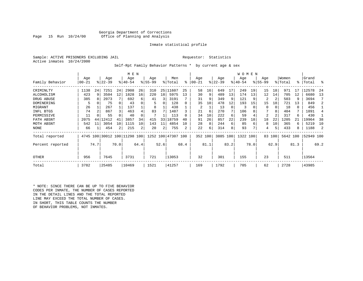# Georgia Department of Corrections<br>Page 15 Run 10/24/00 Office of Planning and Analysis Office of Planning and Analysis

# Inmate statistical profile

Sample: ACTIVE PRISONERS EXCLUDING JAIL **Requestor:** Statistics Active inmates 10/24/2000

Self-Rpt Family Behavior Patterns \* by current age & sex

|                  |       |      |                              |                | M E N       |      |           |                 |                    |      |           |      |           |          | <b>WOMEN</b> |      |                |        |          |      |           |      |
|------------------|-------|------|------------------------------|----------------|-------------|------|-----------|-----------------|--------------------|------|-----------|------|-----------|----------|--------------|------|----------------|--------|----------|------|-----------|------|
|                  | Age   |      | Age                          |                | Age         |      | Age       |                 | Men                |      | Age       |      | Age       |          | Age          |      | Age            |        | Women    |      | Grand     |      |
| Family Behavior  | 00-21 |      | $ 22-39 $                    |                | $8140 - 54$ |      | $8 55-99$ |                 | % Total            | ႜ    | $00 - 21$ |      | $ 22-39 $ |          | $ 40-54 $    |      | $8155 - 99$    |        | % Total  | °≈   | Total     | ႜ    |
| CRIMINLTY        | 1138  | 24   | 7251                         | 24             | 2908        | 26   | 310       |                 | 25 11607           | 25   | 58        | 16   | 649       | 17       | 249          | 19   | 15             | 18     | 971      |      | 12578     | 24   |
| ALCOHOLISM       | 423   | 9    | 3504                         | 12             | 1828        | 16   | 220       | 18 <sup>1</sup> | 5975               | 13   | 30        | 9    | 489       | 13       | 174          | 13   | 12             | 14     | 705      | 12   | 6680      | 13   |
| DRUG ABUSE       | 385   |      | 2073                         |                | 692         | 6    | 41        | 3               | 3191               |      | 31        | 9    | 349       | 9        | 121          |      | 2              | 2      | 503      | 9    | 3694      |      |
| DOMINERING       |       |      | 75                           |                | 43          |      |           | 0               | 128                | O    | 35        | 10   | 478       | 12       | 193          | 15   | 15             | 18     | 721      | 13   | 849       |      |
| MIGRANT          | 26    |      | 267                          |                | 137         |      | 8         |                 | 438                |      | 2         |      | 13        | $\Omega$ | 3            |      | 0              | 0      | 18       | 0    | 456       |      |
| INFL BTGS        | 74    |      | 867                          | 3              | 463         |      | 83        |                 | 1487               |      | 21        | 6    | 270       |          | 106          |      |                | 8      | 404      | 7    | 1891      |      |
| PERMISSIVE       | 11    |      | 55                           |                | 40          |      |           |                 | 113                |      | 34        | 10   | 222       | 6        | 59           |      | $\overline{2}$ | 2      | 317      | 6    | 430       |      |
| FATH ABSNT       | 2075  | 44   | 12412                        |                | 3857        | 34   | 415       | 33              | 18759              | 40   | 91        | 26   | 857       | 22       | 239          | 18   | 18             | 22     | 1205     |      | 19964     | 38   |
| MOTH ABSNT       | 542   | 11   | 3054                         | 10             | 1115        | 10   | 143       | 11              | 4854               | 10   | 28        | 8    | 244       | 6        | 85           | 6    | 8              | 10     | 365      | 6    | 5219      | 10   |
| NONE             | 66    |      | 454                          | $\overline{2}$ | 215         | 2    | 20        | 2               | 755                | 2    | 22        | 6    | 314       | 8        | 93           |      | 4              | 5      | 433      | 8    | 1188      |      |
| Total reported   |       |      | 4745 100 30012 100 11298 100 |                |             |      |           |                 | 1252 100 47307 100 |      | 352 100   |      | 3885 100  |          | 1322 100     |      |                | 83 100 | 5642 100 |      | 52949 100 |      |
| Percent reported |       | 74.7 |                              | 70.0           |             | 64.4 |           | 52.6            |                    | 68.4 |           | 81.1 |           | 83.2     |              | 78.0 |                | 62.9   |          | 81.3 |           | 69.2 |
| <b>OTHER</b>     | 956   |      | 7645                         |                | 3731        |      | 721       |                 | 13053              |      | 32        |      | 301       |          | 155          |      | 23             |        | 511      |      | 13564     |      |
| Total            | 3782  |      | 25485                        |                | 10469       |      | 1521      |                 | 41257              |      | 169       |      | 1792      |          | 705          |      | 62             |        | 2728     |      | 43985     |      |

\* NOTE: SINCE THERE CAN BE UP TO FIVE BEHAVIOR CODES PER INMATE, THE NUMBER OF CASES REPORTED IN THE DETAIL LINES AND THE TOTAL REPORTED LINE MAY EXCEED THE TOTAL NUMBER OF CASES. IN SHORT, THIS TABLE COUNTS THE NUMBER OF BEHAVIOR PROBLEMS, NOT INMATES.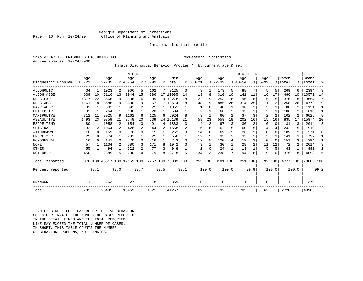# Georgia Department of Corrections<br>Page 16 Run 10/24/00 Office of Planning and Analysis Office of Planning and Analysis

# Inmate statistical profile

Sample: ACTIVE PRISONERS EXCLUDING JAIL **Requestor:** Statistics Active inmates 10/24/2000

# Inmate Diagnostic Behavior Problem \* by current age & sex

|                    |           |              |           |              | M E N                        |              |             |      |                    |              |           |                |          |       | WOMEN    |                |                |                |           |                |           |                |
|--------------------|-----------|--------------|-----------|--------------|------------------------------|--------------|-------------|------|--------------------|--------------|-----------|----------------|----------|-------|----------|----------------|----------------|----------------|-----------|----------------|-----------|----------------|
|                    | Age       |              | Age       |              | Age                          |              | Age         |      | Men                |              | Age       |                | Age      |       | Age      |                | Age            |                | Women     |                | Grand     |                |
| Diagnostic Problem | $00 - 21$ |              | $ 22-39 $ |              | $8 40-54$                    |              | $8155 - 99$ |      | % Total            | ፠            | $00 - 21$ |                | $ 22-39$ |       | $ 40-54$ |                | $8155 - 99$    |                | %   Total | ⊱              | Total     | န္             |
| ALCOHOLIC          | 34        | 1            | 1023      | 2            | 906                          | 5            | 162         | 7    | 2125               | 3            | 3         |                | 173      | 5     | 88       | 7              | 5              | 5 <sup>1</sup> | 269       | 6              | 2394      | 3              |
| <b>ALCOH ABSE</b>  | 639       | 10           | 6116      | 13           | 2944                         | 15           | 386         |      | 17 10085           | 14           | 19        | 8              | 310      | 10    | 141      | 11             | 16             | 17             | 486       | 10             | 10571     | 14             |
| DRUG EXP           | 1377      | 22           | 8566      | 19           | 3136                         | 16           | 199         |      | 9   13278          | 18           | 22        | 9              | 253      | 8     | 96       | 8              |                | 5              | 376       | 8              | 13654     | 17             |
| DRUG ABSE          | 1161      | 18           | 8586      | 19           | 3600                         | 19           | 167         |      | 7 13514            | 18           | 48        | 19             | 885      | 28    | 314      | 25             | 11             | 12             | 1258      | 26             | 14772     | 19             |
| NARC ADDCT         | 32        |              | 602       |              | 392                          | 2            | 25          |      | 1051               |              |           | 0              | 40       |       | 36       | 3              | 3              | 3              | 80        |                | 1131      |                |
| EPILEPTIC          | 32        | 1            | 264       | 1            | 180                          |              | 28          |      | 504                |              | 2         |                | 68       | 2     | 33       | 3              |                | 3              | 106       | 2              | 610       | $\mathbf{1}$   |
| MANIPULTVE         | 712       | 11           | 3925      | 9            | 1162                         |              | 125         | 6    | 5924               | 8            | ζ         |                | 60       |       | 37       | 3              | $\overline{2}$ | 2              | 102       | 2              | 6026      | 8              |
| ASSAULTIVE         | 1493      | 23           | 9359      | 21           | 3748                         | 20           | 539         | 24   | 15139<br>1         | 21           | 59        | 23             | 559      | 18    | 202      | 16             | 15             | 16             | 835       | 17             | 15974     | 20             |
| ESCPE TEND         | 80        |              | 1058      | 2            | 654                          |              | 91          | 4    | 1883               | 3            | 4         | $\overline{2}$ | 97       | 3     | 30       | 2              |                | $\Omega$       | 131       |                | 2014      | 3              |
| SUICIDAL           | 132       | 2            | 1064      | 2            | 428                          | 2            | 44          | 2    | 1668               | 2            | 16        | 6              | 162      |       | 60       |                |                | 4              | 242       |                | 1910      | $\overline{a}$ |
| WITHDRAWN          | 10        | <sup>0</sup> | 159       | $\Omega$     | 78                           | <sup>0</sup> | 15          |      | 262                | <sup>0</sup> | 14        |                | 69       |       | 26       |                | $\Omega$       | $\Omega$       | 109       |                | 371       | $\Omega$       |
| PR RLTY CT         | 25        | 0            | 374       | 1            | 232                          |              | 25          |      | 656                |              | 12        |                | 93       | 3     | 33       | 3              |                | 3              | 141       | 3              | 797       |                |
| HOMOSEXUAL         | 16        | 0            | 141       | $\Omega$     | 70                           | <sup>0</sup> | 16          |      | 243                | <sup>0</sup> | 12        | 5              | 120      |       | 19       | $\overline{a}$ | <sup>0</sup>   | $\Omega$       | 151       | ζ              | 394       |                |
| <b>NONE</b>        | 57        |              | 1134      | 2            | 580                          |              | 171         | 8    | 1942               | ς            |           |                | 30       |       | 28       | 2              | 11             | 12             | 72        | $\overline{2}$ | 2014      | ζ              |
| OTHER              | 55        |              | 494       | $\mathbf{1}$ | 322                          |              | 77          | 3    | 948                |              |           |                | 24       |       | 13       |                | 5              | 5              | 43        |                | 991       |                |
| NOT RPTD           | 450       |              | 2389      | 5            | 700                          |              | 179         | 8    | 3718               | 5            | 34        | 13             | 238      |       | 94       | 8              | 9              | 10             | 375       |                | 4093      | 5              |
| Total reported     |           |              |           |              | 6376 100 45517 100 19159 100 |              |             |      | 2257 100 73309 100 |              | 253 100   |                | 3181 100 |       | 1251 100 |                |                | 92 100         | 4777 100  |                | 78086 100 |                |
| Percent reported   |           | 98.1         |           | 99.0         |                              | 99.7         |             | 99.5 |                    | 99.1         |           | 100.0          |          | 100.0 |          | 99.9           |                | 100.0          |           | 100.0          |           | 99.2           |
| UNKNOWN            | 71        |              | 263       |              | 27                           |              | 8           |      | 369                |              | $\Omega$  |                | $\Omega$ |       |          |                | $\Omega$       |                |           |                | 370       |                |
| Total              | 3782      |              | 25485     |              | 10469                        |              | 1521        |      | 41257              |              | 169       |                | 1792     |       | 705      |                | 62             |                | 2728      |                | 43985     |                |

\* NOTE: SINCE THERE CAN BE UP TO FIVE BEHAVIOR CODES PER INMATE, THE NUMBER OF CASES REPORTED IN THE DETAIL LINES AND THE TOTAL REPORTED LINE MAY EXCEED THE TOTAL NUMBER OF CASES.IN SHORT, THIS TABLE COUNTS THE NUMBER OF BEHAVIOR PROBLEMS, NOT INMATES.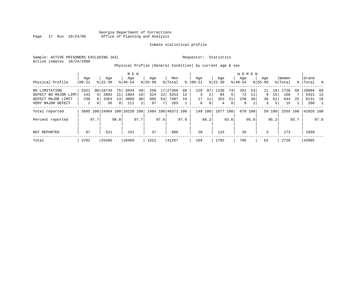Georgia Department of Corrections Page 17 Run 10/24/00 Office of Planning and Analysis

# Inmate statistical profile

Sample: ACTIVE PRISONERS EXCLUDING JAIL **Requestor:** Statistics Active inmates 10/24/2000

Physical Profile (General Condition) by current age & sex

|                      |       |                |           |                | M E N                        |      |             |      |                    |      |           |             |           |      | W O M E N |         |             |                 |          |      |           |              |
|----------------------|-------|----------------|-----------|----------------|------------------------------|------|-------------|------|--------------------|------|-----------|-------------|-----------|------|-----------|---------|-------------|-----------------|----------|------|-----------|--------------|
|                      | Age   |                | Age       |                | Age                          |      | Age         |      | Men                |      | Aqe       |             | Age       |      | Aqe       |         | Aqe         |                 | Women    |      | Grand     |              |
| Physical Profile     | 00-21 |                | $8 22-39$ |                | $8 40-54$                    |      | $8155 - 99$ |      | % Total            | ွေ   | $00 - 21$ |             | $ 22-39 $ |      | $8 40-54$ |         | $8155 - 99$ |                 | % Total  | န္   | Total     | $\mathbb{R}$ |
| NO LIMITATION        | 3321  |                | 90 18743  | 75             | 5044                         | 49   | 258         |      | 17 27366           | 68   | 129       | 87          | 1236      | 74   | 352       | 53      | 11          | 19 <sup>1</sup> | 1728     | 68   | 29094     | 68           |
| DEFECT NO MAJOR LIMT | 143   | 41             | 2802      | 11             | 1984                         | 19   | 324         | 22   | 5253               | 13   | 3         | 2           | 84        | 5    | 72        | 11      | 9.          | 15              | 168      |      | 5421      | 13           |
| DEFECT MAJOR LIMIT   | 230   | $6 \mid$       | 3363      | 13             | 3089                         | 30   | 805         | 54   | 7487               | 19   | 17        |             | 353       | 21   | 238       | 36      | 36          | 61              | 644      | 25   | 8131 19   |              |
| VERY MAJOR DEFECT    |       | 0 <sup>1</sup> | 56        | $\overline{0}$ | 111                          |      | 97          | 7    | 265                |      | 0         | $\mathbf 0$ | 4         | 0    | 8         |         | 3           | 5               | 15       |      | 280       |              |
| Total reported       |       |                |           |                | 3695 100 24964 100 10228 100 |      |             |      | 1484 100 40371 100 |      | 149       | 100         | 1677 100  |      |           | 670 100 |             | 59 100          | 2555 100 |      | 42926 100 |              |
| Percent reported     |       | 97.7           |           | 98.0           |                              | 97.7 |             | 97.6 |                    | 97.9 |           | 88.2        |           | 93.6 |           | 95.0    |             | 95.2            |          | 93.7 |           | 97.6         |
| NOT REPORTED         | 87    |                | 521       |                | 241                          |      | 37          |      | 886                |      | 20        |             | 115       |      | 35        |         | 3           |                 | 173      |      | 1059      |              |
| Total                | 3782  |                | 25485     |                | 10469                        |      | 1521        |      | 41257              |      | 169       |             | 1792      |      | 705       |         | 62          |                 | 2728     |      | 43985     |              |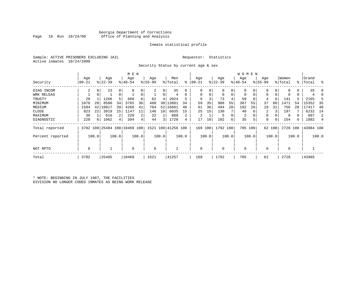# Georgia Department of Corrections Office of Planning and Analysis

# Inmate statistical profile

Sample: ACTIVE PRISONERS EXCLUDING JAIL **Requestor:** Statistics Active inmates 10/24/2000

Security Status by current age & sex

|                  |          |       |           |       | M E N                        |       |          |                 |                    |                |           |       |             |       | W O M E N      |       |             |        |             |       |           |                |
|------------------|----------|-------|-----------|-------|------------------------------|-------|----------|-----------------|--------------------|----------------|-----------|-------|-------------|-------|----------------|-------|-------------|--------|-------------|-------|-----------|----------------|
|                  | Age      |       | Age       |       | Age                          |       | Age      |                 | Men                |                | Age       |       | Age         |       | Age            |       | Age         |        | Women       |       | Grand     |                |
| Security         | $ 00-21$ |       | $ 22-39 $ |       | $8 40-54$                    |       | $ 55-99$ |                 | % Total            | ి              | $00 - 21$ |       | $ 22-39 $   |       | $ 40-54$       |       | $8155 - 99$ |        | % Total     |       | %   Total | ႜ              |
| DIAG INCOM       | 2        | 0     | 23        | 0     | 8                            |       | 2        | 0               | 35                 |                | $\Omega$  | 0     | 0           | 0     |                |       |             | 0      | $\Omega$    | 0     | 35        |                |
| WRK RELEAS       |          |       |           | 0     |                              |       |          | 0               | 4                  |                | 0         |       | 0           | 0     | 0              | 0     | 0           |        | 0           | 0     |           |                |
| TRUSTY           | 28       |       | 1266      | 5     | 668                          | 6     | 62       | 4               | 2024               |                |           |       | 73          | 4     | 59             | 8     | 4           | 6      | 141         |       | 2165      |                |
| MINIMUM          | 1076     | 28    | 8580      | 34    | 3765                         | 36    | 460      | 30 I            | 13881              | 34             | 59        | 35    | 988         | 55    | 387            | 55    | 37          | 60     | 1471        | 54    | 15352     | 35             |
| MEDIUM           | 1594     | 42    | 10017     | 39    | 4266                         | 41    | 784      | 52              | 16661              | 40             | 61        | 36    | 494         | 28    | 182            | 26    | 19          | 31     | 756         | 28    | 17417     | 40             |
| CLOSE            | 823      | 22    | 3919      | 15    | 1147                         | 11    | 146      | 10 <sup>1</sup> | 6035               | 15             | 25        | 15    | 130         |       | 40             | 6     | 2           |        | 197         |       | 6232      | 14             |
| MAXIMUM          | 30       |       | 616       | 2     | 220                          | 2     | 22       |                 | 888                | $\overline{2}$ | 2         |       | 5           | 0     | $\overline{2}$ |       | 0           |        | 9           |       | 897       | $\overline{2}$ |
| DIAGNOSTIC       | 228      | 6     | 1062      | 4     | 394                          |       | 44       | 3               | 1728               | 4              | 17        | 10    | 102         | 6     | 35             | 5     | 0           |        | 154         | б.    | 1882      |                |
| Total reported   |          |       |           |       | 3782 100 25484 100 10469 100 |       |          |                 | 1521 100 41256 100 |                | 169       | 100   | 1792 100    |       | 705 100        |       |             | 62 100 | 2728 100    |       | 43984 100 |                |
| Percent reported |          | 100.0 |           | 100.0 |                              | 100.0 |          | 100.0           |                    | 100.0          |           | 100.0 |             | 100.0 |                | 100.0 |             | 100.0  |             | 100.0 |           | 100.0          |
| NOT RPTD         | 0        |       |           |       | $\Omega$                     |       | 0        |                 |                    |                | $\Omega$  |       | $\mathbf 0$ |       | $\mathbf 0$    |       | 0           |        | $\mathbf 0$ |       |           |                |
| Total            | 3782     |       | 25485     |       | 10469                        |       | 1521     |                 | 41257              |                | 169       |       | 1792        |       | 705            |       | 62          |        | 2728        |       | 43985     |                |

\* NOTE: BEGINNING IN JULY 1987, THE FACILITIES DIVISION NO LONGER CODED INMATES AS BEING WORK RELEASE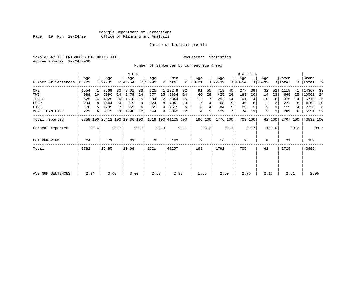# Georgia Department of Corrections Page 19 Run 10/24/00 Office of Planning and Analysis

# Inmate statistical profile

Sample: ACTIVE PRISONERS EXCLUDING JAIL **Requestor:** Statistics Active inmates 10/24/2000

Number Of Sentences by current age & sex

|                     |           |      |           |      | M E N                        |      |           |      |                    |      |               |      |           |      | W O M E N |         |             |        |          |      |           |      |
|---------------------|-----------|------|-----------|------|------------------------------|------|-----------|------|--------------------|------|---------------|------|-----------|------|-----------|---------|-------------|--------|----------|------|-----------|------|
|                     | Age       |      | Age       |      | Age                          |      | Age       |      | Men                |      | Age           |      | Age       |      | Age       |         | Age         |        | Women    |      | Grand     |      |
| Number Of Sentences | $00 - 21$ |      | $ 22-39 $ |      | $ 40-54 $                    |      | $8 55-99$ |      | % Total            |      | $8   00 - 21$ |      | $ 22-39 $ |      | $ 40-54 $ |         | $8155 - 99$ |        | % Total  |      | %   Total | ႜ    |
| $_{\rm ONE}$        | 1554      | 41   | 7669      | 30   | 3401                         | 33   | 625       | 41   | 13249              | 32   | 91            | 55   | 718       | 40   | 277       | 39      | 32          | 52     | 1118     | 41   | 14367     | 33   |
| TWO                 | 988       | 26   | 5990      | 24   | 2479                         | 24   | 377       | 25   | 9834               | 24   | 46            | 28   | 425       | 24   | 183       | 26      | 14          | 23     | 668      | 25   | 10502     | 24   |
| THREE               | 525       | 14   | 4025      | 16   | 1610                         | 15   | 184       | 12   | 6344               | 15   | 12            |      | 252       | 14   | 101       | 14      | 10          | 16     | 375      | 14   | 6719      | 15   |
| <b>FOUR</b>         | 294       | 8    | 2644      | 10   | 979                          | 9    | 124       | 8    | 4041               | 10   |               | 4    | 168       | 9    | 45        | 6       | 2           | 3      | 222      | 8    | 4263      | 10   |
| FIVE                | 176       |      | 1705      |      | 669                          | 6    | 65        | 4    | 2615               | 6    | 6             |      | 84        | 5    | 23        |         | 2           |        | 115      |      | 2730      | -6   |
| MORE THAN FIVE      | 221       | 6    | 3379      | 13   | 1298                         | 12   | 144       | 9    | 5042               | 12   | 4             | 2    | 129       | 7    | 74        | 11      | 2           | 3      | 209      | 8    | 5251 12   |      |
| Total reported      |           |      |           |      | 3758 100 25412 100 10436 100 |      |           |      | 1519 100 41125 100 |      | 166 100       |      | 1776 100  |      |           | 703 100 |             | 62 100 | 2707 100 |      | 43832 100 |      |
| Percent reported    |           | 99.4 |           | 99.7 |                              | 99.7 |           | 99.9 |                    | 99.7 |               | 98.2 |           | 99.1 |           | 99.7    |             | 100.0  |          | 99.2 |           | 99.7 |
| NOT REPORTED        | 24        |      | 73        |      | 33                           |      | 2         |      | 132                |      | 3             |      | 16        |      | 2         |         | 0           |        | 21       |      | 153       |      |
| Total               | 3782      |      | 25485     |      | 10469                        |      | 1521      |      | 41257              |      | 169           |      | 1792      |      | 705       |         | 62          |        | 2728     |      | 43985     |      |
|                     |           |      |           |      |                              |      |           |      |                    |      |               |      |           |      |           |         |             |        |          |      |           |      |
|                     |           |      |           |      |                              |      |           |      |                    |      |               |      |           |      |           |         |             |        |          |      |           |      |
| AVG NUM SENTENCES   | 2.34      |      | 3.09      |      | 3.00                         |      | 2.59      |      | 2.98               |      | 1.86          |      | 2.50      |      | 2.70      |         | 2.16        |        | 2.51     |      | 2.95      |      |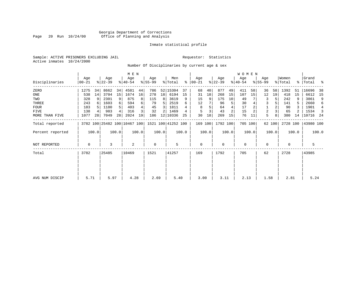# Georgia Department of Corrections Page 20 Run 10/24/00 Office of Planning and Analysis

# Inmate statistical profile

Sample: ACTIVE PRISONERS EXCLUDING JAIL **Requestor:** Statistics Active inmates 10/24/2000

Number Of Disciplinaries by current age & sex

|                  |              |                 |                  |       | M E N                        |       |                  |       |                    |       |                |       |                  |                | WOMEN            |       |                  |        |                  |       |                    |       |
|------------------|--------------|-----------------|------------------|-------|------------------------------|-------|------------------|-------|--------------------|-------|----------------|-------|------------------|----------------|------------------|-------|------------------|--------|------------------|-------|--------------------|-------|
| Disciplinaries   | Age<br>00-21 |                 | Age<br>$ 22-39 $ |       | Age<br>$8 40-54$             |       | Age<br>$8 55-99$ |       | Men<br>% Total     | ៖     | Age<br>  00-21 |       | Age<br>$ 22-39 $ |                | Age<br>$ 40-54 $ |       | Age<br>$8 55-99$ |        | Women<br>% Total |       | Grand<br>% Total % |       |
| ZERO             | 1275         | 34              | 8662             | 34    | 4581                         | 44    | 786              |       | 52   15304         | 37    | 68             | 40    | 877              | 49             | 411              | 58    | 36               | 58     | 1392             | 51    | 16696              | 38    |
| ONE              | 538          | 14              | 3704             | 15    | 1674                         | 16    | 278              | 18    | 6194               | 15    | 31             | 18    | 268              | 15             | 107              | 15    | 12               | 19     | 418              | 15    | 6612               | 15    |
| TWO              | 328          | 9               | 2301             | 9     | 875                          |       | 115              | 8     | 3619               | 9     | 15             | 9     | 175              | 10             | 49               |       | 3                | 5      | 242              | 9     | 3861               | 9     |
| THREE            | 243          | 6               | 1603             | 6     | 594                          |       | 79               | 5     | 2519               |       | 12             |       | 96               | 5              | 30               |       | 3                |        | 141              |       | 2660               | 6     |
| <b>FOUR</b>      | 183          |                 | 1180             | 5     | 403                          |       | 45               | 3     | 1811               |       | 8              |       | 64               | 4              | 17               |       |                  |        | 90               |       | 1901               | 4     |
| <b>FIVE</b>      | 138          | 4               | 983              | 4     | 316                          |       | 32               | 2     | 1469               |       | 5              |       | 43               | $\overline{a}$ | 15               |       | 2                |        | 65               |       | 1534               | 3     |
| MORE THAN FIVE   | 1077         | 28 <sup>1</sup> | 7049             | 28    | 2024                         | 19    | 186              |       | 12 10336           | 25    | 30             | 18    | 269              | 15             | 76               | 11    | 5                | 8      | 380              | 14    | 10716              | - 24  |
| Total reported   |              |                 |                  |       | 3782 100 25482 100 10467 100 |       |                  |       | 1521 100 41252 100 |       | 169 100        |       | 1792 100         |                | 705 100          |       |                  | 62 100 | 2728 100         |       | 43980 100          |       |
| Percent reported |              | 100.0           |                  | 100.0 |                              | 100.0 |                  | 100.0 |                    | 100.0 |                | 100.0 |                  | 100.0          |                  | 100.0 |                  | 100.0  |                  | 100.0 |                    | 100.0 |
| NOT REPORTED     | 0            |                 | 3                |       | $\overline{2}$               |       | 0                |       | 5                  |       | 0              |       | $\mathbf 0$      |                | 0                |       | 0                |        | 0                |       | 5                  |       |
| Total            | 3782         |                 | 25485            |       | 10469                        |       | 1521             |       | 41257              |       | 169            |       | 1792             |                | 705              |       | 62               |        | 2728             |       | 43985              |       |
|                  |              |                 |                  |       |                              |       |                  |       |                    |       |                |       |                  |                |                  |       |                  |        |                  |       |                    |       |
|                  |              |                 |                  |       |                              |       |                  |       |                    |       |                |       |                  |                |                  |       |                  |        |                  |       |                    |       |
| AVG NUM DISCIP   | 5.71         |                 | 5.97             |       | 4.28                         |       | 2.69             |       | 5.40               |       | 3.00           |       | 3.11             |                | 2.13             |       | 1.58             |        | 2.81             |       | 5.24               |       |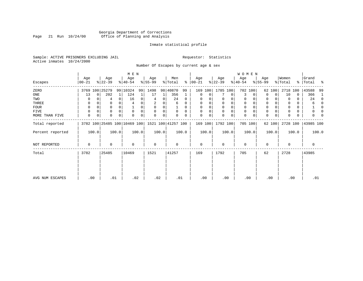# Georgia Department of Corrections<br>Page 21 Run 10/24/00 Office of Planning and Analysis Page 21 Run 10/24/00 Office of Planning and Analysis

# Inmate statistical profile

Sample: ACTIVE PRISONERS EXCLUDING JAIL **Requestor:** Statistics Active inmates 10/24/2000

Number Of Escapes by current age & sex

|                  |                  |          |                  |                | M E N                        |       |                 |          |                    |          |                   |       |                  |       | WOMEN            |          |                  |             |                  |       |                    |          |
|------------------|------------------|----------|------------------|----------------|------------------------------|-------|-----------------|----------|--------------------|----------|-------------------|-------|------------------|-------|------------------|----------|------------------|-------------|------------------|-------|--------------------|----------|
| Escapes          | Age<br>$00 - 21$ |          | Age<br>$ 22-39 $ |                | Age<br>$ 40-54 $             |       | Age<br>$ 55-99$ |          | Men<br>% Total     | ွေ       | Age<br>$ 00 - 21$ |       | Age<br>$ 22-39 $ |       | Age<br>$ 40-54 $ |          | Age<br>$8 55-99$ |             | Women<br>% Total |       | Grand<br>%   Total | ႜ        |
| ZERO             | 3769             |          | 100 25279        |                | 99 10324                     | 99    | 1498            |          | 98 40870           | 99       | 169               | 100   | 1785 100         |       |                  | 702 100  |                  | 62 100      | 2718             | 100   | 43588              | 99       |
| ONE              | 13               | $\Omega$ | 202              | 1 <sup>1</sup> | 124                          |       | 17              | 1        | 356                | 1        | 0                 | 0     |                  | 0     | 3                | $\Omega$ | $\Omega$         | $\Omega$    | 10               | 0     | 366                | -1       |
| TWO              | 0                |          | 4                | 0              | 16                           |       | 4               | 0        | 24                 | 0        | $\Omega$          |       |                  | 0     | 0                |          | 0                |             | $\Omega$         | 0     | 24                 | 0        |
| THREE            | 0                |          |                  |                |                              |       |                 |          | 6                  | 0        | $\Omega$          |       | 0                |       | $\mathbf 0$      |          | 0                |             |                  |       | 6                  | $\Omega$ |
| FOUR             | $\Omega$         | $\Omega$ | 0                | $\Omega$       |                              | 0     | 0               | $\Omega$ |                    | $\Omega$ | $\Omega$          | 0     | $\Omega$         | 0     | $\mathbf 0$      | $\cap$   | 0                |             | <sup>0</sup>     | 0     |                    | 0        |
| FIVE             | $\Omega$         |          | 0                |                | $\Omega$                     |       | $\Omega$        | 0        | $\Omega$           | $\Omega$ | $\Omega$          |       | $\Omega$         | 0     | $\mathbf 0$      | $\Omega$ | 0                |             |                  | 0     |                    |          |
| MORE THAN FIVE   | 0                | 0        | 0                | 0              | $\Omega$                     | 0     | $\Omega$        | 0        |                    | 0        | $\Omega$          | 0     | 0                | 0     | $\mathbf 0$      | 0        | $\mathbf 0$      | $\mathbf 0$ |                  | 0     | U                  |          |
| Total reported   |                  |          |                  |                | 3782 100 25485 100 10469 100 |       |                 |          | 1521 100 41257 100 |          | 169 100           |       | 1792 100         |       |                  | 705 100  |                  | 62 100      | 2728 100         |       | 43985 100          |          |
| Percent reported |                  | 100.0    |                  | 100.0          |                              | 100.0 |                 | 100.0    |                    | 100.0    |                   | 100.0 |                  | 100.0 |                  | 100.0    |                  | 100.0       |                  | 100.0 |                    | 100.0    |
| NOT REPORTED     | 0                |          | 0                |                | $\Omega$                     |       | $\mathbf 0$     |          | 0                  |          | $\mathbf 0$       |       | 0                |       | $\mathbf 0$      |          | 0                |             | $\Omega$         |       | 0                  |          |
| Total            | 3782             |          | 25485            |                | 10469                        |       | 1521            |          | 41257              |          | 169               |       | 1792             |       | 705              |          | 62               |             | 2728             |       | 43985              |          |
|                  |                  |          |                  |                |                              |       |                 |          |                    |          |                   |       |                  |       |                  |          |                  |             |                  |       |                    |          |
| AVG NUM ESCAPES  |                  | .00      | .01              |                | .02                          |       | .02             |          | .01                |          | .00               |       | .00              |       | .00              |          |                  | .00         | .00              |       | .01                |          |
|                  |                  |          |                  |                |                              |       |                 |          |                    |          |                   |       |                  |       |                  |          |                  |             |                  |       |                    |          |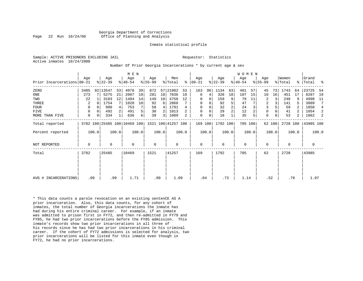Georgia Department of Corrections Page 22 Run 10/24/00 Office of Planning and Analysis

#### Inmate statistical profile

Sample: ACTIVE PRISONERS EXCLUDING JAIL **Requestor:** Statistics Active inmates 10/24/2000

#### Number Of Prior Georgia Incarcerations \* by current age & sex

|                            |      |          |                  |       | M E N                        |       |                  |               |                    |                |                      |       |                  |                | W O M E N        |         |                    |             |                  |                |                 |       |
|----------------------------|------|----------|------------------|-------|------------------------------|-------|------------------|---------------|--------------------|----------------|----------------------|-------|------------------|----------------|------------------|---------|--------------------|-------------|------------------|----------------|-----------------|-------|
| Prior Incarcerations 00-21 | Age  |          | Age<br>$ 22-39 $ |       | Age<br>$ 40-54 $             |       | Age<br>$8 55-99$ |               | Men<br>% Total     |                | Age<br>$8   00 - 21$ |       | Age<br>$ 22-39 $ |                | Age<br>$8 40-54$ |         | Age<br>$8155 - 99$ |             | Women<br>% Total | ႜႜ             | Grand<br> Total | ႜ     |
| ZERO                       | 3485 |          | 92 13547         | 53    | 4078                         | 39    | 872              | 57            | 21982              | 53             | 163                  | 96    | 1134             | 63             | 401              | 57      | 45                 | 73          | 1743             | 64             | 23725           | 54    |
| ONE                        | 273  |          | 5275             | 21    | 2007                         | 19    | 281              | 18            | 7836               | 19             | 6                    | 4     | 328              | 18             | 107              | 15      | 10                 | 16          | 451              | 17             | 8287            | 19    |
| TWO                        | 22   |          | 3103             | 12    | 1484                         | 14    | 149              | 10            | 4758               | 12             | 0                    | 0     | 159              | 9              | 79               | 11      | 2                  | 3           | 240              | 9              | 4998            | 11    |
| THREE                      | 2    |          | 1754             |       | 1020                         | 10    | 92               | 6             | 2868               |                | 0                    | 0     | 92               |                | 47               |         | 2                  | 3           | 141              |                | 3009            | 7     |
| <b>FOUR</b>                | 0    |          | 980              |       | 753                          |       | 58               | 4             | 1791               |                | $\Omega$             |       | 32               | $\overline{c}$ | 24               |         | $\overline{3}$     | 5           | 59               |                | 1850            | 4     |
| <b>FIVE</b>                | 0    | $\Omega$ | 492              |       | 491                          | 5     | 30               | 2             | 1013               | 2.             | 0                    | 0     | 29               | $\overline{2}$ | 12               |         | $\mathbf 0$        | $\mathbf 0$ | 41               |                | 1054            | 2     |
| MORE THAN FIVE             | 0    | 0        | 334              |       | 636                          | б.    | 39               | $\frac{3}{ }$ | 1009               | $\overline{2}$ | $\mathbf 0$          | 0     | 18               |                | 35               |         | $\Omega$           | 0           | 53               | $\overline{2}$ | 1062            | 2     |
| Total reported             |      |          |                  |       | 3782 100 25485 100 10469 100 |       |                  |               | 1521 100 41257 100 |                | 169 100              |       | 1792 100         |                |                  | 705 100 |                    | 62 100      | 2728 100         |                | 43985 100       |       |
| Percent reported           |      | 100.0    |                  | 100.0 |                              | 100.0 |                  | 100.0         |                    | 100.0          |                      | 100.0 |                  | 100.0          |                  | 100.0   |                    | 100.0       |                  | 100.0          |                 | 100.0 |
| <b>NOT REPORTED</b>        | 0    |          | 0                |       | $\Omega$                     |       | $\Omega$         |               | 0                  |                | $\mathbf 0$          |       | $\Omega$         |                | 0                |         | $\Omega$           |             | $\Omega$         |                | 0               |       |
| Total                      | 3782 |          | 25485            |       | 10469                        |       | 1521             |               | 41257              |                | 169                  |       | 1792             |                | 705              |         | 62                 |             | 2728             |                | 43985           |       |
|                            |      |          |                  |       |                              |       |                  |               |                    |                |                      |       |                  |                |                  |         |                    |             |                  |                |                 |       |
|                            |      |          |                  |       |                              |       |                  |               |                    |                |                      |       |                  |                |                  |         |                    |             |                  |                |                 |       |
| AVG # INCARCERATIONS       | .09  |          | .99              |       | 1.71                         |       | .99              |               | 1.09               |                | .04                  |       | .73              |                | 1.14             |         | .52                |             | .79              |                | 1.07            |       |

\* This data counts a parole revocation on an existing sentenCE AS A prior incarceration. Also, this data counts, for any cohort of inmates, the total number of Georgia incarcerations the inmate has had during his entire criminal career. For example, if an inmate was admitted to prison first in FY72, and then re-admitted in FY79 and FY85, he had two prior incarcerations before the FY85 admission. This inmate's records show two prior incarcerations in all three of his records since he has had two prior incarcerations in his criminal career. If the cohort of FY72 admissions is selected for analysis, two prior incarcerations will be listed for this inmate even though in FY72, he had no prior incarcerations.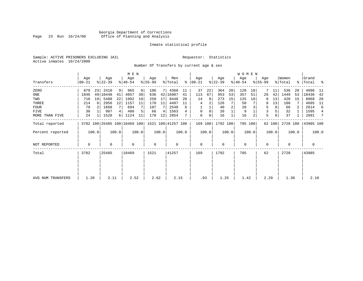# Georgia Department of Corrections<br>Page 23 Run 10/24/00 Office of Planning and Analysis Page 23 Run 10/24/00 Office of Planning and Analysis

# Inmate statistical profile

Sample: ACTIVE PRISONERS EXCLUDING JAIL **Requestor:** Statistics Active inmates 10/24/2000

Number Of Transfers by current age & sex

|                   |                |       |                              |                | M E N            |       |                  |       |                    |       |                      |       |                  |       | WOMEN            |       |                    |                |                  |       |                      |       |
|-------------------|----------------|-------|------------------------------|----------------|------------------|-------|------------------|-------|--------------------|-------|----------------------|-------|------------------|-------|------------------|-------|--------------------|----------------|------------------|-------|----------------------|-------|
| Transfers         | Age<br>  00-21 |       | Age<br>$ 22-39 $             |                | Age<br>$8 40-54$ |       | Age<br>$ 55-99 $ |       | Men<br>% Total     |       | Aqe<br>$8   00 - 21$ |       | Age<br>$ 22-39 $ |       | Age<br>$ 40-54 $ |       | Age<br>$8155 - 99$ |                | Women<br>% Total |       | Grand<br>%   Total % |       |
| ZERO              | 879            | 23    | 2410                         | 9 <sup>1</sup> | 965              | 9     | 106              | 7 I   | 4360               | 11    | 37                   | 22    | 364              | 20    | 128              | 18    |                    | 11             | 536              | 20    | 4896                 | -11   |
| ONE               | 1846           |       | 49 10448                     | 41             | 4057             | 39    | 636              |       | 42 16987           | 41    | 113                  | 67    | 953              | 53    | 357              | 51    | 26                 | 42             | 1449             | 53    | 18436                | 42    |
| TWO               | 710            | 19    | 5488                         | 22             | 1992             | 19    | 258              | 17    | 8448               | 20    | 14                   | 8     | 273              | 15    | 125              | 18    |                    | 13             | 420              | 15    | 8868                 | 20    |
| THREE             | 214            | 6     | 2956                         | 12             | 1157             | 11    | 170              | 11    | 4497               | 11    | 4                    | 2     | 126              |       | 50               |       | 8                  | 13             | 188              |       | 4685                 | -11   |
| <b>FOUR</b>       | 79             |       | 1668                         | 7 <sup>1</sup> | 694              |       | 107              |       | 2548               | 6     |                      |       | 40               |       | 20               |       | 5                  | 8 <sup>1</sup> | 66               |       | 2614                 | 6     |
| FIVE              | 30             |       | 987                          | 4              | 480              |       | 66               | 4     | 1563               |       | $\mathbf 0$          | 0     | 20               |       | 9                |       |                    |                | 32               |       | 1595                 | 4     |
| MORE THAN FIVE    | 24             |       | 1528                         | 6              | 1124             | 11    | 178              | 12    | 2854               |       | $\mathbf 0$          | 0     | 16               |       | 16               |       | 5                  | 8              | 37               |       | 2891                 | 7     |
| Total reported    |                |       | 3782 100 25485 100 10469 100 |                |                  |       |                  |       | 1521 100 41257 100 |       | 169 100              |       | 1792 100         |       | 705 100          |       |                    | 62 100         | 2728 100         |       | 43985 100            |       |
| Percent reported  |                | 100.0 |                              | 100.0          |                  | 100.0 |                  | 100.0 |                    | 100.0 |                      | 100.0 |                  | 100.0 |                  | 100.0 |                    | 100.0          |                  | 100.0 |                      | 100.0 |
| NOT REPORTED      | 0              |       | $\Omega$                     |                | $\Omega$         |       | 0                |       | $\Omega$           |       | $\mathbf 0$          |       | $\Omega$         |       | $\mathbf 0$      |       | $\Omega$           |                | $\Omega$         |       | 0                    |       |
| Total             | 3782           |       | 25485                        |                | 10469            |       | 1521             |       | 41257              |       | 169                  |       | 1792             |       | 705              |       | 62                 |                | 2728             |       | 43985                |       |
|                   |                |       |                              |                |                  |       |                  |       |                    |       |                      |       |                  |       |                  |       |                    |                |                  |       |                      |       |
|                   |                |       |                              |                |                  |       |                  |       |                    |       |                      |       |                  |       |                  |       |                    |                |                  |       |                      |       |
| AVG NUM TRANSFERS | 1.20           |       | 2.11                         |                | 2.52             |       | 2.62             |       | 2.15               |       | .93                  |       | 1.25             |       | 1.42             |       | 2.29               |                | 1.30             |       | 2.10                 |       |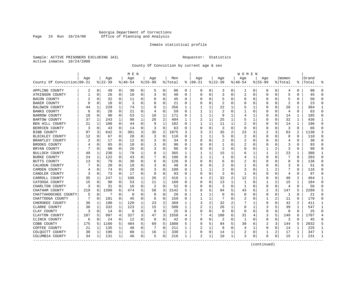# Georgia Department of Corrections Page 24 Run 10/24/00 Office of Planning and Analysis

# Inmate statistical profile

Sample: ACTIVE PRISONERS EXCLUDING JAIL **Requestor:** Statistics Active inmates 10/24/2000

County Of Conviction by current age & sex

|                            |     |             |          |             | M E N    |              |             |          |         |              |                |              |              |                | W O M E N |             |                |          |                         |                |           |                |
|----------------------------|-----|-------------|----------|-------------|----------|--------------|-------------|----------|---------|--------------|----------------|--------------|--------------|----------------|-----------|-------------|----------------|----------|-------------------------|----------------|-----------|----------------|
|                            | Age |             | Age      |             | Age      |              | Age         |          | Men     |              | Age            |              | Aqe          |                | Age       |             | Aqe            |          | Women                   |                | Grand     |                |
| County Of Conviction 00-21 |     |             | $ 22-39$ |             | $ 40-54$ |              | $8155 - 99$ |          | % Total |              | $8   00 - 21$  |              | $ 22-39$     |                | $ 40-54$  |             | $8155 - 99$    |          | % Total                 |                | %   Total |                |
| APPLING COUNTY             | 2   | $\mathbf 0$ | 49       | 0           | 30       | 0            | 5           | 0        | 86      | 0            | 0              | 0            | 3            | 0              | 1         | 0           | 0              | 0        | 4                       | 0              | 90        | $\Omega$       |
| ATKINSON COUNTY            | 1   | $\mathbf 0$ | 26       | $\mathbf 0$ | 10       | 0            | 3           | 0        | 40      | $\Omega$     | $\Omega$       | 0            | 3            | 0              | 2         | 0           | $\Omega$       | $\Omega$ | 5                       | $\Omega$       | 45        | $\Omega$       |
| <b>BACON COUNTY</b>        |     | $\Omega$    | 32       | 0           | 11       | 0            | O           | 0        | 45      | 0            | O              | 0            | 5            | 0              | 0         | 0           | O              | $\Omega$ | 5                       | 0              | 50        | $\Omega$       |
| <b>BAKER COUNTY</b>        | U   | 0           | 18       | 0           | 3        | 0            | O           | 0        | 21      | U            |                | 0            | 2            | $\Omega$       | O         | 0           | O              | O        | $\overline{\mathbf{c}}$ | O              | 23        | ∩              |
| <b>BALDWIN COUNTY</b>      | 44  | 1           | 229      | 1           | 74       | 1            |             | 1        | 356     | 1            |                | 1            | 22           | 1              | 5         | 1           | O              | U        | 28                      | 1              | 384       | -1             |
| <b>BANKS COUNTY</b>        | 6   | $\Omega$    | 28       | 0           | 21       | 0            | 4           | 0        | 59      | U            |                | 1            | 2            | 0              |           | 0           | 0              | $\Omega$ | 4                       | 0              | 63        | $\Omega$       |
| <b>BARROW COUNTY</b>       | 18  | 0           | 90       | 0           | 53       | 1            | 10          | 1        | 171     | 0            |                | 1            | 9            | 1              | 4         | 1           | 0              | 0        | 14                      | 1              | 185       | $\Omega$       |
| <b>BARTOW COUNTY</b>       | 37  | 1           | 243      | 1           | 98       | $\mathbf{1}$ | 26          | 2        | 404     | $\mathbf{1}$ |                | 1            | 25           | 1              | 5         | 1           | $\Omega$       | $\Omega$ | 32                      | $\mathbf{1}$   | 436       | $\mathbf{1}$   |
| BEN HILL COUNTY            | 21  | 1           | 108      | $\Omega$    | 44       | 0            | 9           | 1        | 182     | 0            | -1             | $\mathbf{1}$ | 11           | $\mathbf{1}$   | 2         | $\mathbf 0$ | 0              | $\Omega$ | 14                      | $\mathbf{1}$   | 196       | $\Omega$       |
| BERRIEN COUNTY             | 3   | 0           | 43       | 0           | 14       | 0            |             | 0        | 63      | 0            |                | 0            | 3            | $\Omega$       | $\Omega$  | 0           | 0              | 0        | 3                       | $\Omega$       | 66        | $\Omega$       |
| <b>BIBB COUNTY</b>         | 97  | 3           | 642      | 3           | 301      | 3            | 35          | 2        | 1075    | 3            | 3              | 2            | 35           | $\overline{2}$ | 23        | 3           | 2              | 3        | 63                      | $\mathfrak{D}$ | 1138      |                |
| BLECKLEY COUNTY            | 12  | $\Omega$    | 67       | $\Omega$    | 28       | 0            | 3           | 0        | 110     | U            | 1              | 1            | 5            | $\Omega$       | 2         | $\Omega$    | $\Omega$       | 0        | 8                       | 0              | 118       | $\Omega$       |
| BRANTLEY COUNTY            |     | 0           | 17       | 0           | 12       | 0            | 3           | 0        | 34      | U            | O              | 0            | 2            | $\Omega$       | 2         | 0           | 0              | 0        | 4                       | 0              | 38        | $\Omega$       |
| BROOKS COUNTY              |     | $\Omega$    | 65       | 0           | 18       | 0            |             | 0        | 90      | 0            | C              | 0            | -1           | 0              | 2         | 0           | 0              | O        | 3                       | $\Omega$       | 93        | $\Omega$       |
| BRYAN COUNTY               |     | 0           | 60       | 0           | 26       | 0            | 3           | 0        | 96      | 0            | C              | 0            | 2            | 0              | 0         | 0           | 1              |          | 3                       | 0              | 99        | ∩              |
| BULLOCH COUNTY             | 49  | 1           | 230      | 1           | 78       | 1            | 8           | 1        | 365     | 1            |                | 1            | 15           | 1              | 6         |             | 1              |          | 23                      |                | 388       | 1              |
| <b>BURKE COUNTY</b>        | 24  | 1           | 122      | $\Omega$    | 43       | 0            |             | $\Omega$ | 196     | 0            |                | 1            | $\mathbf{1}$ | $\Omega$       | 4         | 1           | $\Omega$       | O        | 7                       | $\Omega$       | 203       | $\Omega$       |
| BUTTS COUNTY               | 13  | $\Omega$    | 79       | $\Omega$    | 30       | 0            | 6           | 0        | 128     | 0            | O              | $\Omega$     | 6            | $\Omega$       | 2         | $\Omega$    | $\Omega$       | 0        | 8                       | 0              | 136       | $\Omega$       |
| CALHOUN COUNTY             |     | 0           | 20       | $\Omega$    | 18       | 0            |             | 0        | 48      | U            |                | 0            | 2            | 0              |           | $\mathbf 0$ | O              | $\Omega$ | 3                       | $\Omega$       | 51        | $\Omega$       |
| CAMDEN COUNTY              |     | $\Omega$    | 74       | 0           | 28       | 0            | 3           | 0        | 109     | U            |                | 1            | 2            | O              | 3         | 0           | 1              | 2        |                         | 0              | 116       | ∩              |
| CANDLER COUNTY             | 3   | 0           | 73       | 0           | 17       | 0            | $\Omega$    | 0        | 93      | 0            | O              | 0            | 3            | $\Omega$       |           | 0           | 0              | O        | 4                       | O              | 97        | $\Omega$       |
| CARROLL COUNTY             | 35  | 1           | 247      | 1           | 108      | 1            | 26          | 2        | 416     | 1            |                | 2            | 32           | 2              | 12        | 2           | 0              | 0        | 48                      | 2              | 464       |                |
| CATOOSA COUNTY             | 15  | $\Omega$    | 90       | 0           | 53       | 1            | 11          | 1        | 169     | 0            | C              | 0            | 13           | 1              | 1         | 0           | 1              | 2        | 15                      | 1              | 184       | $\cap$         |
| CHARLTON COUNTY            | 3   | 0           | 31       | 0           | 16       | 0            | 2           | 0        | 52      | 0            | O              | 0            | 3            | 0              | 1         | 0           | 0              | 0        | 4                       | 0              | 56        |                |
| CHATHAM COUNTY             | 219 | 6           | 1399     | 6           | 474      | 5            | 50          | 3        | 2142    | 5            |                | 5            | 94           | 5              | 43        | 6           | $\overline{2}$ | 3        | 147                     | 5              | 2289      |                |
| CHATTAHOOCHEE COUNTY       | 5   | 0           | 7        | $\Omega$    | 8        | $\Omega$     | $\Omega$    | $\Omega$ | 20      | 0            |                | 1            | $\Omega$     | $\Omega$       | $\Omega$  | $\Omega$    | 0              | $\Omega$ | 1                       | $\Omega$       | 21        | $\Omega$       |
| CHATTOOGA COUNTY           |     | 0           | 101      | 0           | 45       | 0            | 6           | 0        | 159     | 0            |                | 1            |              | $\Omega$       | 2         | 0           | 1              | 2        | 11                      | $\Omega$       | 170       | $\Omega$       |
| CHEROKEE COUNTY            | 36  | 1           | 190      | 1           | 120      | 1            | 23          | 2        | 369     | 1            |                | 2            | 32           | 2              |           | 1           | 0              | O        | 42                      | 2              | 411       | -1             |
| CLARKE COUNTY              | 38  | 1           | 332      | 1           | 123      | 1            | 15          | 1        | 508     | 1            |                | 1            | 26           | 1              | 8         | 1           | 3              |          | 39                      | 1              | 547       | -1             |
| CLAY COUNTY                | 3   | 0           | 14       | 0           | 8        | 0            | $\Omega$    | 0        | 25      | 0            | O              | 0            | $\Omega$     | $\mathbf 0$    | $\Omega$  | 0           | $\Omega$       | 0        | 0                       | 0              | 25        | ∩              |
| CLAYTON COUNTY             | 187 | 5           | 997      | 4           | 327      | 3            | 47          | 3        | 1558    | 4            |                | 4            | 108          | 6              | 31        | 4           | 3              | 5        | 149                     | 6              | 1707      | $\overline{4}$ |
| CLINCH COUNTY              | 6   | $\mathbf 0$ | 24       | 0           | 12       | 0            | $\Omega$    | 0        | 42      | 0            | $\cap$         | 0            | 2            | 0              | 1         | 0           | 0              | $\Omega$ | 3                       | 0              | 45        | $\cap$         |
| COBB COUNTY                | 175 | 5           | 1160     | 5           | 484      | 5            | 69          | 5        | 1888    | 5            | g              | 5            | 94           | 5              | 39        | 6           | 2              | 3        | 144                     | 5              | 2032      | 5              |
| COFFEE COUNTY              | 21  | 1           | 135      | 1           | 48       | 0            |             | $\Omega$ | 211     | 1            |                | 1            | 8            | 0              | 4         | 1           | 0              | 0        | 14                      |                | 225       | -1             |
| COLQUITT COUNTY            | 30  | 1           | 196      | 1           | 88       | 1            | 16          | 1        | 330     | 1            | 0              | 0            | 14           | 1              | 2         | 0           | 1              | 2        | 17                      | 1              | 347       | -1             |
| COLUMBIA COUNTY            | 34  | 1           | 131      | 1           | 46       | 0            | 5           | 0        | 216     | 1            | $\overline{2}$ | 1            | 10           | 1              | 3         | 0           | $\Omega$       | 0        | 15                      | 1              | 231       | -1             |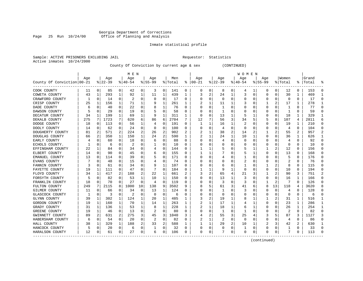# Georgia Department of Corrections<br>Page 25 Run 10/24/00 Office of Planning and Analysis Page 25 Run 10/24/00 Office of Planning and Analysis

# Inmate statistical profile

|                           | Sample: ACTIVE PRISONERS EXCLUDING JAIL | Requestor: Statistics |  |
|---------------------------|-----------------------------------------|-----------------------|--|
| Active inmates 10/24/2000 |                                         |                       |  |

County Of Conviction by current age & sex (CONTINUED)

|                            |     |             |           |              | M E N          |          |          |                |         |          |                         |              |              |   | <b>WOMEN</b> |             |             |          |                |                |           |               |
|----------------------------|-----|-------------|-----------|--------------|----------------|----------|----------|----------------|---------|----------|-------------------------|--------------|--------------|---|--------------|-------------|-------------|----------|----------------|----------------|-----------|---------------|
|                            | Age |             | Age       |              | Age            |          | Age      |                | Men     |          | Age                     |              | Age          |   | Aqe          |             | Age         |          | Women          |                | Grand     |               |
| County Of Conviction 00-21 |     |             | $8 22-39$ |              | $8 40-54$      |          | $ 55-99$ |                | % Total | ႜ        | $ 00-21$                |              | $ 22-39$     |   | $ 40-54$     |             | $8155 - 99$ |          | % Total        |                | %   Total |               |
| COOK COUNTY                | 11  | 0           | 85        | 0            | 42             | 0        | 3        | 0              | 141     | 0        | 0                       | 0            | 8            | 0 | 4            | 1           | 0           | 0        | 12             | 0              | 153       | $\Omega$      |
| COWETA COUNTY              | 43  | 1           | 293       | 1            | 92             | 1        | 11       | 1              | 439     |          | 3                       | 2            | 24           | 1 | 3            | 0           | 0           | 0        | 30             | 1              | 469       | -1            |
| CRAWFORD COUNTY            | -1  | $\mathbf 0$ | 14        | $\Omega$     | 2              | $\Omega$ | $\Omega$ | 0              | 17      | 0        | $\Omega$                | O            | $\Omega$     | 0 |              | $\mathbf 0$ | $\Omega$    | $\Omega$ | $\Omega$       | $\Omega$       | 17        | $\Omega$      |
| CRISP COUNTY               | 25  | 1           | 156       | $\mathbf{1}$ | 71             | 1        |          | 1              | 261     | 1        |                         | 1            | 11           | 1 |              | $\Omega$    |             | 2        | 17             | $\mathbf{1}$   | 278       |               |
| DADE COUNTY                | 6   | $\Omega$    | 40        | $\Omega$     | 22             | $\Omega$ | 8        | 1              | 76      | $\Omega$ |                         | $\Omega$     | -1           | 0 |              | $\Omega$    | 0           | O        | -1             | 0              | 77        | ∩             |
| DAWSON COUNTY              |     | 0           | 29        | 0            | 19             | $\Omega$ |          | 0              | 58      | 0        |                         | 0            | -1           | 0 |              | 0           | 0           | 0        | -1             | 0              | 59        |               |
| DECATUR COUNTY             | 34  | 1           | 199       | 1            | 69             | 1        | 9        | 1              | 311     | 1        | 0                       | 0            | 13           | 1 | 5            | 1           | 0           | 0        | 18             | 1              | 329       | -1            |
| DEKALB COUNTY              | 275 | 7           | 1723      | 7            | 620            | 6        | 86       | 6              | 2704    | 7        | 12                      | 7            | 56           | 3 | 34           | 5           | 5           | 8        | 107            | $\overline{4}$ | 2811      | 6             |
| DODGE COUNTY               | 18  | 0           | 113       | $\Omega$     | 56             | 1        | 4        | 0              | 191     | 0        | -1                      | 1            | 16           | 1 | 2            | 0           | 0           | $\Omega$ | 19             | 1              | 210       | $\Omega$      |
| DOOLY COUNTY               | 14  | $\mathbf 0$ | 62        | 0            | 24             | 0        | $\Omega$ | 0              | 100     | O        |                         | $\Omega$     | 4            | O | C            | 0           | 0           | O        | $\overline{4}$ | $\Omega$       | 104       | $\Omega$      |
| DOUGHERTY COUNTY           | 81  | 2           | 571       | 2            | 224            | 2        | 26       | 2              | 902     |          |                         |              | 38           | 2 | 14           | 2           |             |          | 55             | 2              | 957       | $\mathcal{D}$ |
| DOUGLAS COUNTY             | 66  | 2           | 350       | $\mathbf{1}$ | 150            | 1        | 24       | $\overline{2}$ | 590     | 1        |                         | $\mathbf{1}$ | 24           | 1 | 10           | 1           | $\Omega$    | $\Omega$ | 36             | 1              | 626       | -1            |
| EARLY COUNTY               |     | $\Omega$    | 60        | $\Omega$     | 18             | 0        | 6        | $\Omega$       | 88      | $\Omega$ |                         | 0            | 4            | 0 | 0            | $\Omega$    | 0           | 0        | 4              | 0              | 92        | ∩             |
| ECHOLS COUNTY.             |     | 0           | 6         | 0            | 2              | $\Omega$ |          | 0              | 10      | 0        |                         | 0            | $\Omega$     | 0 |              | 0           | 0           | $\Omega$ | 0              | 0              | 10        | ∩             |
| EFFINGHAM COUNTY           | 22  | 1           | 84        | 0            | 34             | 0        |          | 0              | 144     | 0        |                         |              | 5            | 0 |              | 1           |             | 2        | 12             | $\Omega$       | 156       |               |
| ELBERT COUNTY              | 14  | $\Omega$    | 90        | 0            | 45             | $\Omega$ | 6        | 0              | 155     | O        |                         | $\mathbf{1}$ |              | O | 5            | 1           | $\Omega$    | $\Omega$ | 13             | $\Omega$       | 168       | ∩             |
| EMANUEL COUNTY             | 13  | 0           | 114       | $\Omega$     | 39             | 0        |          | 0              | 171     | O        | ∩                       | 0            |              | U |              | 0           | U           | O        | 5              | $\Omega$       | 176       | $\Omega$      |
| EVANS COUNTY               |     | 0           | 48        | $\Omega$     | 15             | 0        |          | 0              | 74      | 0        |                         | O            | Ω            | U | 2            | 0           | U           | O        | 2              | $\Omega$       | 76        | ∩             |
| FANNIN COUNTY              |     | 0           | 61        | O            | 34             | 0        | 9        | 1              | 107     | O        |                         |              | 6            | U |              | 0           |             | 2        | 8              | $\Omega$       | 115       |               |
| FAYETTE COUNTY             | 19  | 1           | 111       | O            | 47             | $\Omega$ | 7        | $\Omega$       | 184     | O        |                         |              | 9            | 1 | $\Omega$     | $\Omega$    | $\Omega$    | $\Omega$ | 10             | $\Omega$       | 194       |               |
| FLOYD COUNTY               | 34  | 1           | 417       | 2            | 188            | 2        | 22       | 1              | 661     | 2        |                         | 2            | 65           | 4 | 21           | 3           |             | 2        | 90             | 3              | 751       | 2             |
| FORSYTH COUNTY             |     | 0           | 82        | 0            | 53             | 1        | 10       | 1              | 150     | 0        |                         | $\Omega$     | 13           | 1 | 3            | $\Omega$    | 0           | $\Omega$ | 16             | 1              | 166       | ∩             |
| FRANKLIN COUNTY            | 18  | 0           | 70        | $\Omega$     | 27             | $\Omega$ | 4        | 0              | 119     | 0        |                         | O            | 3            | O | 3            | 0           | 1           | 2        | 7              | $\Omega$       | 126       |               |
| FULTON COUNTY              | 249 | 7           | 2115      | 8            | 1000           | 10       | 138      | 9              | 3502    | 9        |                         | 5            | 61           | 3 | 41           | 6           | 8           | 13       | 118            | 4              | 3620      |               |
| GILMER COUNTY              | 11  | $\mathbf 0$ | 66        | O            | 34             | $\Omega$ | 13       | 1              | 124     | O        |                         | $\Omega$     | $\mathbf{1}$ | O | 3            | $\Omega$    | $\Omega$    | $\Omega$ | 4              | $\Omega$       | 128       | ∩             |
| GLASCOCK COUNTY            |     | $\mathbf 0$ | 3         | $\Omega$     | $\overline{2}$ | 0        | $\Omega$ | 0              | 6       | O        |                         | $\Omega$     | $\Omega$     | O |              | 0           | 0           | $\Omega$ | 0              | $\Omega$       | 6         | $\Omega$      |
| GLYNN COUNTY               | 39  | 1           | 302       | 1            | 124            | 1        | 20       | 1              | 485     | 1        | 3                       | 2            | 19           | 1 | 8            | 1           |             | 2        | 31             | 1              | 516       | -1            |
| GORDON COUNTY              | 19  | 1           | 160       | $\mathbf 1$  | 70             | 1        | 14       | 1              | 263     | 1        | 2                       |              | 17           | 1 |              |             | 0           | O        | 23             | 1              | 286       |               |
| GRADY COUNTY               | 31  | 1           | 136       | $\mathbf 1$  | 53             | 1        | 8        | 1              | 228     |          |                         |              | 18           | 1 | 6            | 1           | U           | O        | 26             | 1              | 254       | -1            |
| GREENE COUNTY              | 19  | 1           | 46        | 0            | 13             | 0        | 2        | 0              | 80      | O        |                         | 0            | -1           | O |              | $\Omega$    | U           | O        | 2              | $\Omega$       | 82        | $\Omega$      |
| GWINNETT COUNTY            | 89  | 2           | 631       | 2            | 275            | 3        | 45       | 3              | 1040    | 3        |                         | 2            | 55           | 3 | 25           | 4           | 3           | 5        | 87             | 3              | 1127      | 3             |
| HABERSHAM COUNTY           | 6   | 0           | 54        | 0            | 20             | 0        | 2        | 0              | 82      | 0        | $\overline{\mathbf{c}}$ | 1            | 2            | 0 | $\Omega$     | 0           | $\Omega$    | 0        | 4              | $\Omega$       | 86        |               |
| HALL COUNTY                | 38  | 1           | 329       | $\mathbf 1$  | 188            | 2        | 33       | 2              | 588     |          |                         | 1            | 29           | 2 | 10           | 1           | 2           | 3        | 42             | 2              | 630       |               |
| HANCOCK COUNTY             | 5   | $\mathbf 0$ | 20        | 0            | 6              | 0        |          | $\mathbf 0$    | 32      | 0        | $\Omega$                | 0            | 0            | 0 | 1            | 0           | $\Omega$    | $\Omega$ |                | $\Omega$       | 33        | $\Omega$      |
| HARALSON COUNTY            | 12  | 0           | 61        | 0            | 27             | 0        | 6        | 0              | 106     | 0        | $\Omega$                | 0            | 7            | 0 | $\Omega$     | 0           | O           | 0        | 7              | 0              | 113       | ∩             |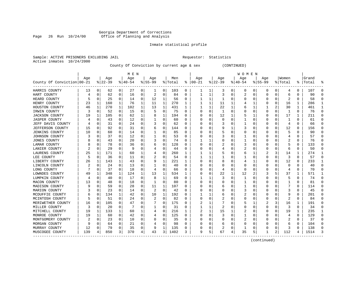# Georgia Department of Corrections<br>Page 26 Run 10/24/00 Office of Planning and Analysis Page 26 Run 10/24/00 Office of Planning and Analysis

# Inmate statistical profile

|                |            | Sample: ACTIVE PRISONERS EXCLUDING JAI |  |
|----------------|------------|----------------------------------------|--|
| Active inmates | 10/24/2000 |                                        |  |

IL Requestor: Statistics

County Of Conviction by current age & sex (CONTINUED)

|                            |     |             |          |          | M E N    |   |                |          |         |   |           |          |          |          | W O M E N |             |             |          |         |          |           |          |
|----------------------------|-----|-------------|----------|----------|----------|---|----------------|----------|---------|---|-----------|----------|----------|----------|-----------|-------------|-------------|----------|---------|----------|-----------|----------|
|                            | Age |             | Age      |          | Age      |   | Age            |          | Men     |   | Age       |          | Age      |          | Age       |             | Aqe         |          | Women   |          | Grand     |          |
| County Of Conviction 00-21 |     |             | $ 22-39$ |          | $ 40-54$ |   | $8 55-99$      |          | % Total | ႜ | $00 - 21$ |          | $ 22-39$ |          | $ 40-54$  |             | $8155 - 99$ |          | % Total |          | %   Total |          |
| HARRIS COUNTY              | 13  | 0           | 62       | 0        | 27       | 0 | 1              | 0        | 103     | 0 | 1         | 1        | 3        | 0        | 0         | 0           | 0           | 0        | 4       | 0        | 107       |          |
| HART COUNTY                |     | 0           | 62       | 0        | 16       | 0 | 2              | 0        | 84      | 0 |           | 1        | 3        | 0        | 2         | 0           | 0           | 0        | 6       | 0        | 90        |          |
| HEARD COUNTY               | 5   | $\Omega$    | 25       | $\Omega$ | 14       | 0 | 12             | 1        | 56      | 0 |           | 1        | -1       | 0        | O         | 0           | O           | O        | 2       | 0        | 58        |          |
| HENRY COUNTY               | 23  | 1           | 160      | 1        | 76       | 1 | 11             | 1        | 270     | 1 |           | 1        | 11       | 1        |           | 1           | 0           | $\Omega$ | 16      | 1        | 286       |          |
| HOUSTON COUNTY             | 46  | 1           | 270      | 1        | 102      | 1 | 13             | 1        | 431     | 1 |           | 1        | 22       | 1        | 6         | 1           | 1           | 2        | 30      | 1        | 461       |          |
| IRWIN COUNTY               | 3   | $\mathbf 0$ | 52       | 0        | 15       | 0 | 5              | 0        | 75      | O | O         | 0        | 1        | $\Omega$ |           | $\mathbf 0$ | $\Omega$    | $\Omega$ | 1       | $\Omega$ | 76        | $\Omega$ |
| <b>JACKSON COUNTY</b>      | 19  | 1           | 105      | 0        | 62       | 1 | 8              | 1        | 194     | U | C         | 0        | 12       | 1        |           | 1           | 0           | O        | 17      | 1        | 211       | $\Omega$ |
| JASPER COUNTY              |     | 0           | 43       | 0        | 12       | 0 |                | 0        | 60      | 0 |           | 0        | 0        | 0        |           | 0           | 0           | O        |         | 0        | 61        | ∩        |
| JEFF DAVIS COUNTY          |     | $\Omega$    | 31       | 0        | 24       | 0 | 3              | 0        | 62      | 0 |           | $\Omega$ | 3        | 0        |           | 0           | 0           | O        | 4       | 0        | 66        | $\Omega$ |
| <b>JEFFERSON COUNTY</b>    | 15  | 0           | 92       | 0        | 31       | 0 | b              | 0        | 144     | 0 |           | 0        | 9        | 1        | 3         | 0           | 0           | 0        | 12      | 0        | 156       |          |
| JENKINS COUNTY             | 10  | 0           | 60       | 0        | 14       | 0 |                | 0        | 85      | 0 |           | 0        | 5        | 0        | 0         | C           | O           | U        |         | O        | 90        |          |
| JOHNSON COUNTY             |     | $\Omega$    | 37       | 0        | 12       | 0 |                | 0        | 53      | 0 |           | $\Omega$ |          | 0        |           | $\Omega$    | 0           | O        | 4       | 0        | 57        | $\cap$   |
| JONES COUNTY               | 8   | $\Omega$    | 43       | $\Omega$ | 20       | O | 3              | 0        | 74      | U |           | 1        | U        | O        |           | $\Omega$    | O           | $\Omega$ | 2       | 0        | 76        |          |
| LAMAR COUNTY               | 8   | 0           | 78       | 0        | 36       | 0 | h              | 0        | 128     | U |           | 0        | 2        | $\Omega$ | 3         | $\mathbf 0$ | O           | O        |         | O        | 133       |          |
| LANIER COUNTY              |     | $\mathbf 0$ | 29       | 0        | 9        | O |                | 0        | 44      | O |           | 0        | 4        | $\Omega$ |           | 0           | O           | $\Omega$ | 6       | $\Omega$ | 50        | $\Omega$ |
| LAURENS COUNTY             | 25  | 1           | 171      | 1        | 60       | 1 |                | 0        | 260     | 1 |           | 1        |          | O        | 6         | 1           | 2           | 3        | 14      | 1        | 274       | -1       |
| LEE COUNTY                 | 5   | 0           | 36       | 0        | 11       | 0 |                | 0        | 54      | 0 |           | 1        |          | 0        |           | 0           | 0           | 0        | 3       | 0        | 57        | $\Omega$ |
| LIBERTY COUNTY             | 26  | 1           | 143      | 1        | 43       | 0 | 9              | 1        | 221     | 1 |           | 0        | 8        | 0        | 4         | 1           | 0           | 0        | 12      | 0        | 233       | -1       |
| LINCOLN COUNTY             |     | 0           | 24       | 0        | 13       | 0 |                | 0        | 40      | 0 |           | 0        |          | 0        |           | 0           | 0           |          | 0       | 0        | 40        |          |
| LONG COUNTY                |     | 0           | 37       | 0        | 18       | 0 | 4              | 0        | 66      | 0 |           | 0        | 4        | 0        | $\Omega$  | C           | O           | O        | 4       | 0        | 70        |          |
| LOWNDES COUNTY             | 49  | 1           | 348      | 1        | 124      | 1 | 13             | 1        | 534     | 1 |           | $\Omega$ | 22       | 1        | 12        | 2           | 3           |          | 37      | 1        | 571       |          |
| LUMPKIN COUNTY             |     | $\Omega$    | 40       | 0        | 17       | 0 | 8              | 1        | 69      | U |           |          |          | 0        |           | $\Omega$    | O           | 0        | 5       | 0        | 74        | ∩        |
| MACON COUNTY               | 13  | $\Omega$    | 48       | 0        | 18       | 0 |                | 0        | 80      | U |           | $\Omega$ | O        | $\Omega$ |           | 0           | O           | 0        | 1       | 0        | 81        |          |
| MADISON COUNTY             |     | 0           | 59       | 0        | 28       | 0 | 11             | 1        | 107     | U |           | 0        | 6        | 0        |           | 0           | 0           | O        |         | $\Omega$ | 114       |          |
| MARION COUNTY              |     | 0           | 23       | 0        | 14       | 0 | $\overline{2}$ | 0        | 42      | U |           | $\Omega$ |          | O        | 3         | C           | O           | U        | 3       | $\Omega$ | 45        | $\Omega$ |
| MCDUFFIE COUNTY            |     | 0           | 134      | 1        | 42       | 0 | 10             | 1        | 192     | 0 |           | 1        | 6        | 0        |           | 0           | 0           | O        | 9       | 0        | 201       | $\Omega$ |
| MCINTOSH COUNTY            | 5   | 0           | 51       | 0        | 24       | 0 | 2              | 0        | 82      | 0 | O         | 0        |          | 0        | 0         | 0           | 0           | 0        | 2       | 0        | 84        | ∩        |
| MERIWETHER COUNTY          | 16  | 0           | 105      | 0        | 47       | 0 |                | 0        | 175     | 0 | 2         |          |          | 0        | 5         | 1           | 2           | 3        | 16      | 1        | 191       | ∩        |
| MILLER COUNTY              | 3   | $\Omega$    | 20       | 0        |          | 0 |                | 0        | 31      | 0 |           | 1        |          | 0        | 0         | C           | 0           | 0        | 3       | 0        | 34        | ∩        |
| MITCHELL COUNTY            | 19  | 1           | 133      | 1        | 60       | 1 | 4              | $\Omega$ | 216     | 1 |           | 1        | 15       | 1        | 2         | C           | 0           | O        | 19      | 1        | 235       | -1       |
| MONROE COUNTY              | 19  | 1           | 60       | 0        | 42       | 0 |                | $\Omega$ | 125     | 0 |           | $\Omega$ |          | 0        |           | $\Omega$    | 0           | O        | 4       | $\Omega$ | 129       | ∩        |
| MONTGOMERY COUNTY          | 2   | $\Omega$    | 23       | 0        | 10       | 0 |                | 0        | 35      | U |           | $\Omega$ | $\Omega$ | 0        | 2         | 0           | O           | 0        | 2       | 0        | 37        | $\Omega$ |
| MORGAN COUNTY              |     | 0           | 64       | 0        | 21       | 0 |                | 0        | 98      | U |           | 0        | 6        | 0        | 0         | 0           | 0           | O        | 6       | 0        | 104       |          |
| MURRAY COUNTY              | 12  | 0           | 79       | 0        | 35       | 0 | 9              | 1        | 135     | 0 |           | 0        | 2        | $\Omega$ |           | 0           | O           | $\Omega$ | 3       | O        | 138       | $\Omega$ |
| MUSCOGEE COUNTY            | 139 | 4           | 850      | 3        | 370      | 4 | 43             | 3        | 1402    | 3 | 9         | 5        | 67       | 4        | 35        | 5           | 1           | 2        | 112     | 4        | 1514      | 3        |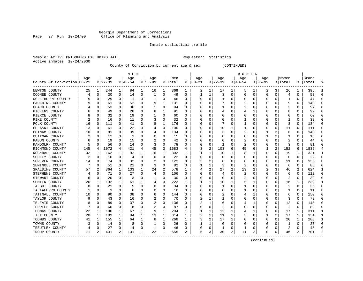# Georgia Department of Corrections<br>Page 27 Run 10/24/00 Office of Planning and Analysis Page 27 Run 10/24/00 Office of Planning and Analysis

# Inmate statistical profile

|                |            | Sample: ACTIVE PRISONERS EXCLUDING JAI |  |
|----------------|------------|----------------------------------------|--|
| Active inmates | 10/24/2000 |                                        |  |

IL Requestor: Statistics

County Of Conviction by current age & sex (CONTINUED)

|                            |     |             |           |          | M E N     |          |           |             |         |          |           |          |              |          | W O M E N |              |              |              |                |     |       |           |
|----------------------------|-----|-------------|-----------|----------|-----------|----------|-----------|-------------|---------|----------|-----------|----------|--------------|----------|-----------|--------------|--------------|--------------|----------------|-----|-------|-----------|
|                            | Age |             | Age       |          | Age       |          | Age       |             | Men     |          | Age       |          | Age          |          | Age       |              | Age          |              | Women          |     | Grand |           |
| County Of Conviction 00-21 |     |             | $ 22-39 $ |          | $8 40-54$ |          | $8 55-99$ |             | % Total | ⊱        | $00 - 21$ |          | $ 22-39$     |          | $ 40-54$  |              | $8 55-99$    |              | % Total        | % ∣ | Total | 욲         |
| NEWTON COUNTY              | 25  | 1           | 244       | 1        | 84        | 1        | 16        | 1           | 369     | 1        | 2         | 1        | 17           | 1        | 5         | 1            | 2            | 3            | 26             | 1   | 395   |           |
| OCONEE COUNTY              | 4   | 0           | 30        | $\Omega$ | 14        | 0        | 1         | 0           | 49      | 0        | 1         | 1        | 3            | 0        | O         | $\Omega$     | $\Omega$     | 0            | 4              | 0   | 53    | $\cap$    |
| OGLETHORPE COUNTY          |     | 0           | 29        | $\Omega$ | 11        | 0        |           | 0           | 46      | 0        | C         | $\Omega$ |              | O        | Ω         | $\Omega$     | $\Omega$     | 0            |                | 0   | 47    | $\cap$    |
| PAULDING COUNTY            |     | 0           | 61        | $\Omega$ | 52        | 0        | 9         | 1           | 131     | 0        |           | 0        |              | O        |           | $\Omega$     |              | <sup>0</sup> | 9              | 0   | 140   | n         |
| PEACH COUNTY               |     | 0           | 53        | 0        | 36        | 0        |           | 0           | 94      | 0        |           | 0        |              | 0        | 2         | 0            |              |              | 3              | 0   | 97    | n         |
| PICKENS COUNTY             |     | $\Omega$    | 49        | 0        | 28        | 0        | 8         | 1           | 91      | U        |           | O        |              | O        |           |              | O            |              | 8              | 0   | 99    |           |
| PIERCE COUNTY              |     | 0           | 32        | 0        | 19        | 0        |           | 0           | 60      | U        |           | $\Omega$ | O            | O        | Ω         | $\Omega$     | $\Omega$     | O            | O              | 0   | 60    | $\Omega$  |
| PIKE COUNTY                |     | 0           | 16        | 0        | 11        | 0        |           | 0           | 32      | 0        |           | 0        | O            | 0        |           | 0            | 0            | O            |                | 0   | 33    | $\Omega$  |
| POLK COUNTY                | 16  | 0           | 111       | $\Omega$ | 41        | 0        | 8         | 1           | 176     | $\Omega$ | 0         | $\Omega$ |              | 0        |           | $\Omega$     | $\Omega$     | 0            | 8              | 0   | 184   | $\Omega$  |
| PULASKI COUNTY             | 13  | 0           | 61        | 0        | 22        | 0        |           | $\mathbf 0$ | 100     | 0        |           | 0        | 10           |          |           | $\Omega$     | $\Omega$     | 0            | 11             | 0   | 111   | $\Omega$  |
| PUTNAM COUNTY              | 10  | $\Omega$    | 81        | 0        | 39        | 0        |           | 0           | 134     | 0        |           | O        |              | O        | 2         | C            |              |              | 6              | 0   | 140   | $\cap$    |
| QUITMAN COUNTY             |     | $\Omega$    | 12        | $\Omega$ | -1        | 0        | 0         | 0           | 15      | 0        |           | 0        | O            | O        | 0         | $\Omega$     |              |              |                | 0   | 16    | $\Omega$  |
| RABUN COUNTY               | b.  | 0           | 19        | $\Omega$ | 15        | $\Omega$ |           | $\Omega$    | 42      | U        |           | O        | O            | O        | 2         | <sup>0</sup> | $\Omega$     | <sup>0</sup> | 2              | O   | 44    | n         |
| RANDOLPH COUNTY            |     | 0           | 56        | 0        | 14        | 0        | 3         | 0           | 78      | U        |           | 0        |              | O        | 2         | 0            | O            | 0            | 3              | 0   | 81    |           |
| RICHMOND COUNTY            | 145 | 4           | 1072      | 4        | 421       | 4        | 45        | 3           | 1683    | 4        | 3         | 2        | 103          | 6        | 45        | 6            |              | 2            | 152            | 6   | 1835  |           |
| ROCKDALE COUNTY            | 32  | 1           | 162       | 1        | 92        | 1        | 16        | 1           | 302     | 1        |           | 1        | 10           |          | 8         |              | $\Omega$     | 0            | 19             | 1   | 321   | -1        |
| SCHLEY COUNTY              |     | 0           | 16        | 0        | 4         | 0        | O         | 0           | 22      | 0        |           | 0        | 0            | O        | 0         | 0            | O            | 0            | $\Omega$       | 0   | 22    | $\Omega$  |
| SCREVEN COUNTY             | 14  | 0           | 74        | $\Omega$ | 32        | 0        |           | 0           | 122     | 0        | 3         | 2        | 8            | O        | 0         | 0            | O            | 0            | 11             | 0   | 133   | $\Omega$  |
| SEMINOLE COUNTY            |     | 0           | 51        | 0        | 21        | 0        | 3         | 0           | 82      | 0        |           |          |              | 0        | 2         | 0            | 0            |              | 6              | 0   | 88    |           |
| SPALDING COUNTY            | 57  | 2           | 364       | 1        | 133       | 1        | 24        | 2           | 578     | 1        |           | 2        | 27           |          | 13        |              |              | 3            | 46             | 2   | 624   |           |
| STEPHENS COUNTY            |     | 0           | 71        | $\Omega$ | 27        | 0        |           | 0           | 106     | 0        |           | $\Omega$ |              | 0        |           | $\Omega$     | $\Omega$     | 0            | 6              | 0   | 112   | ∩         |
| STEWART COUNTY             | 6   | 0           | 20        | $\Omega$ | 3         | O        |           | 0           | 30      | U        | O         | $\Omega$ | $\Omega$     | O        | 2         | <sup>0</sup> | O            | 0            | $\overline{2}$ | 0   | 32    | C         |
| SUMTER COUNTY              | 26  | 1           | 132       | 1        | 61        | 1        | 4         | 0           | 223     | 1        |           | 1        | 10           | 1        | 5         | 1            | O            | $\Omega$     | 16             | 1   | 239   |           |
| TALBOT COUNTY              |     | 0           | 21        | 0        |           | 0        |           | $\Omega$    | 34      | U        |           | 0        |              | $\Omega$ |           | $\Omega$     |              | O            | 2              | 0   | 36    | $\bigcap$ |
| TALIAFERRO COUNTY          |     | $\mathbf 0$ | 3         | $\Omega$ | 6         | O        |           | 0           | 10      | U        |           | O        | O            | O        |           | $\Omega$     | <sup>0</sup> | O            |                | 0   | 11    | $\Omega$  |
| TATTNALL COUNTY            | 10  | 0           | 90        | 0        | 38        | 0        | 6         | 0           | 144     | U        |           | 0        |              | 0        |           |              | O            | O            | 6              | 0   | 150   | $\Omega$  |
| TAYLOR COUNTY              | q   | 0           | 43        | 0        | 16        | 0        |           | 0           | 70      | 0        |           |          |              | 0        | 0         | 0            | O            | 0            | 3              | 0   | 73    | $\Omega$  |
| TELFAIR COUNTY             | 8   | 0           | 89        | 0        | 37        | 0        | 2         | $\Omega$    | 136     | 0        |           | 1        | 6            | 0        |           |              | 0            | 0            | 12             | 0   | 148   | 0         |
| TERRELL COUNTY             |     | 0           | 60        | 0        | 18        | 0        |           | $\Omega$    | 87      | 0        |           | $\Omega$ |              | O        |           | $\Omega$     | $\Omega$     | O            | $\overline{2}$ | 0   | 89    |           |
| THOMAS COUNTY              | 22  | 1           | 196       | 1        | 67        | 1        | 9         | 1           | 294     | 1        |           | 1        | 12           | 1        |           |              | <sup>0</sup> | 0            | 17             | 1   | 311   | -1        |
| TIFT COUNTY                | 28  | 1           | 189       | 1        | 84        | 1        | 13        | 1           | 314     | 1        |           | 1        | 11           | 1        |           | $\Omega$     |              | 2            | 17             | 1   | 331   | -1        |
| TOOMBS COUNTY              | 41  | 1           | 155       | 1        | 64        | 1        | 8         | 1           | 268     | 1        | 3         | 2        | 17           | 1        | Ω         | $\Omega$     | $\Omega$     | 0            | 20             | 1   | 288   | -1        |
| TOWNS COUNTY               |     | 0           | 14        | 0        | 8         | 0        |           | 0           | 26      | 0        |           | 1        | 0            | $\Omega$ | 0         | 0            | O            | 0            |                | 0   | 27    | $\cap$    |
| TREUTLEN COUNTY            |     | 0           | 27        | 0        | 14        | 0        |           | 0           | 46      | 0        |           | 0        | $\mathbf{1}$ | $\Omega$ |           | 0            | n            | 0            | 2              | 0   | 48    | n         |
| TROUP COUNTY               | 71  | 2           | 431       | 2        | 131       | 1        | 22        | 1           | 655     | 2        | 5         | 3        | 30           | 2        | 11        | 2            | $\Omega$     | 0            | 46             | 2   | 701   |           |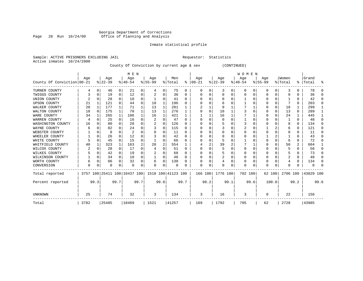# Georgia Department of Corrections Page 28 Run 10/24/00 Office of Planning and Analysis

# Inmate statistical profile

Sample: ACTIVE PRISONERS EXCLUDING JAIL **Requestor:** Statistics Active inmates 10/24/2000

County Of Conviction by current age & sex (CONTINUED)

|                            |      |          |          |          | M E N                        |          |           |          |                    |              |              |        |                |      | W O M E N |      |           |       |          |              |           |          |
|----------------------------|------|----------|----------|----------|------------------------------|----------|-----------|----------|--------------------|--------------|--------------|--------|----------------|------|-----------|------|-----------|-------|----------|--------------|-----------|----------|
|                            | Age  |          | Age      |          | Age                          |          | Age       |          | Men                |              | Age          |        | Age            |      | Age       |      | Age       |       | Women    |              | Grand     |          |
| County Of Conviction 00-21 |      |          | $ 22-39$ |          | $8 40-54$                    |          | $8 55-99$ |          | % Total            | ႜ            | $ 00-21$     |        | $ 22-39 $      |      | $ 40-54$  |      | $8 55-99$ |       | % Total  | $\approx$ 1  | Total     | ႜ        |
| TURNER COUNTY              |      | $\Omega$ | 46       | 0        | 21                           | 0        | 4         | 0        | 75                 | 0            | 0            | 0      | 3              | 0    | $\Omega$  | 0    | 0         | 0     | 3        | U            | 78        | ∩        |
| TWIGGS COUNTY              |      |          | 19       | 0        | 12                           | 0        |           | 0        | 36                 | 0            |              |        | $\Omega$       | U    |           | O    |           | 0     |          |              | 36        | $\Omega$ |
| UNION COUNTY               |      |          | 28       | $\Omega$ | 10                           | 0        |           | 0        | 41                 | $\Omega$     |              |        | n              | U    |           |      |           | 0     |          |              | 42        | $\Omega$ |
| <b>UPSON COUNTY</b>        | 21   |          | 121      | $\Omega$ | 44                           | 0        | 10        | 1        | 196                | <sup>0</sup> |              |        | 6              |      |           |      |           | 0     |          | 0            | 203       | $\Omega$ |
| WALKER COUNTY              | 20   | 1        | 177      | 1        | 71                           | 1        | 13        | 1        | 281                |              |              |        | 9              |      |           |      |           | 0     | 18       |              | 299       |          |
| WALTON COUNTY              | 18   | $\Omega$ | 175      | -1       | 70                           | 1        | 13        | 1        | 276                | 1            |              | $\cap$ | 10             |      |           |      |           | 0     | 13       | $\Omega$     | 289       | 1        |
| WARE COUNTY                | 34   |          | 265      | 1        | 106                          |          | 16        | 1        | 421                |              |              |        | 16             |      |           |      |           | 0     | 24       |              | 445       |          |
| WARREN COUNTY              |      |          | 25       | $\Omega$ | 16                           | $\Omega$ | 2         | $\Omega$ | 47                 | $\Omega$     |              |        | 0              | U    |           |      |           |       |          | <sup>0</sup> | 48        | $\Omega$ |
| WASHINGTON COUNTY          | 16   |          | 80       | $\Omega$ | 28                           | 0        |           | 0        | 126                | <sup>0</sup> |              |        | 5              |      |           |      |           | U     |          | 0            | 134       | $\Omega$ |
| WAYNE COUNTY               | 6    |          | 82       | $\Omega$ | 24                           | 0        |           | 0        | 115                | <sup>0</sup> |              |        |                |      |           |      |           |       | 6        | U            | 121       | $\Omega$ |
| WEBSTER COUNTY             |      |          | 8        | U        | 2                            | 0        |           | 0        | 11                 | $\Omega$     |              |        | O              | U    |           |      |           | U     |          | U            | 11        | $\Omega$ |
| WHEELER COUNTY             |      | O        | 26       | $\Omega$ | 12                           | U        |           | U        | 42                 | $\Omega$     |              |        | n              |      |           |      |           |       |          | U            | 43        | ∩        |
| WHITE COUNTY               |      | $\Omega$ | 45       | $\Omega$ | 15                           | 0        |           | U        | 66                 |              |              |        | 5              |      |           |      |           | U     |          | 0            | 72        | $\Omega$ |
| WHITFIELD COUNTY           | 40   |          | 323      | 1        | 163                          | 2        | 28        | 2        | 554                |              |              |        | 39             | 2    |           |      |           | 0     | 50       | 2            | 604       |          |
| WILCOX COUNTY              | 2    | O        | 28       | $\Omega$ | 17                           | $\Omega$ |           | O        | 51                 | $\Omega$     |              |        | 5              |      | O         |      | U         | U     |          |              | 56        | ∩        |
| WILKES COUNTY              |      |          | 42       | 0        | 19                           | 0        |           | 0        | 68                 | <sup>0</sup> |              |        | 5              |      |           |      |           | U     |          |              | 73        | $\Omega$ |
| WILKINSON COUNTY           |      | 0        | 34       | 0        | 10                           | 0        |           | 0        | 46                 | $\Omega$     |              |        | $\overline{2}$ | U    |           |      |           | 0     | 2        | 0            | 48        | $\Omega$ |
| WORTH COUNTY               |      | 0        | 86       | $\Omega$ | 32                           | 0        | 6         | 0        | 130                | O            |              |        |                | U    |           |      | U         | U     |          | 0            | 134       | $\Omega$ |
| CONVERSION                 | U    |          | U        | 0        | $\Omega$                     |          | O         | 0        | $\Omega$           |              | <sup>0</sup> | O      | O              | 0    | O         | O    | U         | 0     |          |              |           |          |
| Total reported             |      |          |          |          | 3757 100 25411 100 10437 100 |          |           |          | 1518 100 41123 100 |              | 166 100      |        | 1776 100       |      | 702 100   |      | 62 100    |       | 2706 100 |              | 43829 100 |          |
| Percent reported           |      | 99.3     |          | 99.7     |                              | 99.7     |           | 99.8     |                    | 99.7         |              | 98.2   |                | 99.1 |           | 99.6 |           | 100.0 |          | 99.2         |           | 99.6     |
| <b>UNKNOWN</b>             | 25   |          | 74       |          | 32                           |          | 3         |          | 134                |              | 3            |        | 16             |      | 3         |      | O         |       | 22       |              | 156       |          |
| Total                      | 3782 |          | 25485    |          | 10469                        |          | 1521      |          | 41257              |              | 169          |        | 1792           |      | 705       |      | 62        |       | 2728     |              | 43985     |          |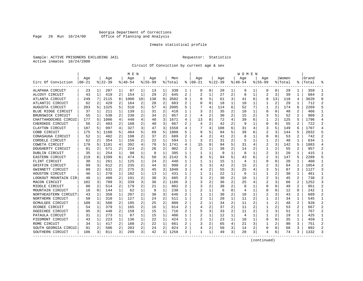# Georgia Department of Corrections Page 29 Run 10/24/00 Office of Planning and Analysis

# Inmate statistical profile

Sample: ACTIVE PRISONERS EXCLUDING JAIL **Requestor:** Statistics Active inmates 10/24/2000

Circuit Of Conviction by current age & sex

|                      |           |              |           |              | M E N       |    |             |                |         |              |          |   |          |                | W O M E N |   |                |                |         |                |           |                |
|----------------------|-----------|--------------|-----------|--------------|-------------|----|-------------|----------------|---------|--------------|----------|---|----------|----------------|-----------|---|----------------|----------------|---------|----------------|-----------|----------------|
|                      | Age       |              | Age       |              | Age         |    | Aqe         |                | Men     |              | Age      |   | Age      |                | Aqe       |   | Aqe            |                | Women   |                | Grand     |                |
| Circ Of Conviction   | $00 - 21$ |              | $8 22-39$ |              | $8140 - 54$ |    | $8155 - 99$ |                | % Total | ి            | $ 00-21$ |   | $ 22-39$ |                | $ 40-54$  |   | $8155 - 99$    |                | % Total |                | %   Total |                |
| ALAPAHA CIRCUIT      | 23        | 1            | 207       | 1            | 87          | 1  | 13          | 1              | 330     | 1            | 0        | 0 | 20       | 1              | 9         | 1 | 0              | 0              | 29      | 1              | 359       | -1             |
| ALCOVY CIRCUIT       | 43        | 1            | 419       | 2            | 154         | 1  | 29          | $\overline{2}$ | 645     | 2            | 2        | 1 | 27       | 2              | 8         | 1 | $\overline{a}$ | 3              | 39      | 1              | 684       | $\overline{2}$ |
| ATLANTA CIRCUIT      | 249       | 7            | 2115      | 8            | 1000        | 10 | 138         | 9              | 3502    | 9            |          | 5 | 61       | 3              | 41        | 6 | 8              | 13             | 118     | 4              | 3620      | 8              |
| ATLANTIC CIRCUIT     | 62        | 2            | 429       | 2            | 164         | 2  | 28          | 2              | 683     | 2            |          | 0 | 18       | 1              | 10        | 1 |                | 2              | 29      | 1              | 712       | 2              |
| AUGUSTA CIRCUIT      | 203       | 5            | 1325      | 5            | 510         | 5  | 57          | 4              | 2095    | 5            |          | 4 | 114      | 6              | 52        | 7 | 1              | 2              | 174     | 6              | 2269      |                |
| BLUE RIDGE CIRCUIT   | 37        | 1            | 211       | 1            | 139         | 1  | 31          | 2              | 418     | 1            | 3        | 2 | 35       | 2              | 10        | 1 | $\Omega$       | $\Omega$       | 48      | 2              | 466       | $\mathbf{1}$   |
| BRUNSWICK CIRCUIT    | 55        | 1            | 538       | 2            | 230         | 2  | 34          | 2              | 857     | $\mathbf{2}$ |          | 2 | 30       | $\overline{2}$ | 15        | 2 | 3              | 5              | 52      | $\mathbf{2}$   | 909       | $\mathcal{D}$  |
| CHATTAHOOCHEE CIRCUI | 177       | 5            | 1006      | 4            | 440         | 4  | 48          | 3              | 1671    | 4            | 13       | 8 | 72       | 4              | 39        | 6 | 1              | $\overline{c}$ | 125     | 5              | 1796      | $\overline{4}$ |
| CHEROKEE CIRCUIT     | 56        | 2            | 403       | 2            | 168         | 2  | 40          | 3              | 667     | 2            | 4        | 2 | 42       | 2              | q         | 1 | 0              | O              | 55      | 2              | 722       | 2              |
| CLAYTON CIRCUIT      | 187       | 5            | 997       | 4            | 327         | 3  | 47          | 3              | 1558    |              |          | 4 | 108      | 6              | 31        | 4 | 3              | 5              | 149     | 6              | 1707      | $\overline{4}$ |
| COBB CIRCUIT         | 175       | 5            | 1160      | 5            | 484         | 5  | 69          | 5              | 1888    |              |          | 5 | 94       | 5              | 39        | 6 | 2              | 3              | 144     | 5              | 2032      |                |
| CONASAUGA CIRCUIT    | 52        | 1            | 402       | 2            | 198         | 2  | 37          | 2              | 689     | 2            |          | 2 | 41       | $\overline{2}$ | 8         |   | O              | O              | 53      | 2              | 742       | $\mathcal{D}$  |
| CORDELE CIRCUIT      | 62        | 2            | 354       | 1            | 156         | 2  | 22          | 1              | 594     | 1            | 3        | 2 | 31       | $\overline{2}$ | 5         | 1 | 1              | 2              | 40      |                | 634       |                |
| COWETA CIRCUIT       | 170       | 5            | 1101      | 4            | 392         | 4  | 78          | 5              | 1741    | 4            | 15       | 9 | 94       | 5              | 31        | 4 | 2              | 3              | 142     | 5              | 1883      | $\overline{4}$ |
| DOUGHERTY CIRCUIT    | 81        | 2            | 571       | 2            | 224         | 2  | 26          | 2              | 902     |              |          | 1 | 38       | 2              | 14        | 2 | 1              | 2              | 55      | $\overline{a}$ | 957       | 2              |
| DUBLIN CIRCUIT       | 35        | $\mathbf{1}$ | 254       | $\mathbf{1}$ | 98          | 1  | 8           | 1              | 395     | 1            |          | 1 | 9        | 1              | 8         | 1 | 2              | 3              | 20      | 1              | 415       | -1             |
| EASTERN CIRCUIT      | 219       | 6            | 1399      | 6            | 474         | 5  | 50          | 3              | 2142    | 5            |          | 5 | 94       | 5              | 43        | 6 |                | 3              | 147     | 5              | 2289      | 5              |
| FLINT CIRCUIT        | 30        | 1            | 261       | $\mathbf{1}$ | 125         | 1  | 24          | 2              | 440     | 1            |          |   | 15       | 1              | 4         | 1 | 0              | 0              | 20      |                | 460       | 1              |
| GRIFFIN CIRCUIT      | 99        | 3            | 612       | 2            | 235         | 2  | 44          | 3              | 990     |              |          | 3 | 42       | 2              | 15        | 2 |                |                | 64      |                | 1054      | 2              |
| GWINNETT CIRCUIT     | 89        | 2            | 631       | 2            | 275         | 3  | 45          | 3              | 1040    | 3            |          | 2 | 55       | 3              | 25        | 4 | 3              |                | 87      | 3              | 1127      | 3              |
| HOUSTON CIRCUIT      | 46        | 1            | 270       | $\mathbf{1}$ | 102         | 1  | 13          | 1              | 431     |              |          | 1 | 22       | $\mathbf{1}$   | 6         | 1 | 1              |                | 30      | 1              | 461       |                |
| LOOKOUT MOUNTAIN CIR | 48        | 1            | 408       | 2            | 191         | 2  | 38          | 3              | 685     |              | 3        | 2 | 30       | 2              | 10        | 1 |                |                | 45      | 2              | 730       | 2              |
| MACON CIRCUIT        | 102       | 3            | 709       | 3            | 339         | 3  | 36          | 2              | 1186    | 3            | 3        | 2 | 36       | 2              | 25        | 4 | 2              | 3              | 66      | 2              | 1252      | 3              |
| MIDDLE CIRCUIT       | 88        | 2            | 514       | 2            | 179         | 2  | 21          | $\mathbf 1$    | 802     |              |          | 2 | 38       | 2              | 8         | 1 | $\Omega$       | O              | 49      | 2              | 851       | $\overline{2}$ |
| MOUNTAIN CIRCUIT     | 16        | 0            | 144       | 1            | 62          | 1  | 8           | 1              | 230     | 1            |          | 1 | 6        | $\Omega$       | 4         | 1 | U              | O              | 12      | $\Omega$       | 242       | $\mathbf{1}$   |
| NORTHEASTERN CIRCUIT | 43        | 1            | 358       | 1            | 207         | 2  | 38          | 3              | 646     | 2            |          | 1 | 30       | 2              | 10        | 1 |                |                | 43      | 2              | 689       | $\overline{2}$ |
| NORTHERN CIRCUIT     | 50        | 1            | 310       | 1            | 127         | 1  | 24          | 2              | 511     | 1            | 2        |   | 20       | 1              | 11        | 2 | 1              | 2              | 34      | 1              | 545       | -1             |
| OCMULGEE CIRCUIT     | 100       | 3            | 560       | 2            | 195         | 2  | 25          | 2              | 880     | 2            |          |   | 34       | 2              | 11        | 2 |                |                | 48      | 2              | 928       | $\overline{2}$ |
| OCONEE CIRCUIT       | 54        | 1            | 379       | 1            | 165         | 2  | 16          | 1              | 614     |              |          | 2 | 37       | 2              | 11        |   | 1              |                | 53      | 2              | 667       |                |
| OGEECHEE CIRCUIT     | 95        | 3            | 448       | 2            | 158         | 2  | 15          | 1              | 716     | 2            |          | 3 | 33       | $\overline{a}$ | 11        | 2 | 2              | 3              | 51      | 2              | 767       | $\mathcal{D}$  |
| PATAULA CIRCUIT      | 31        | 1            | 273       | 1            | 87          | 1  | 15          | 1              | 406     | 1            | 2        | 1 | 12       | 1              | 4         | 1 | 1              | 2              | 19      | 1              | 425       |                |
| PIEDMONT CIRCUIT     | 43        | 1            | 223       | $\mathbf{1}$ | 136         | 1  | 22          | 1              | 424     |              |          | 1 | 23       | 1              | 10        | 1 | 0              | 0              | 35      | 1              | 459       | -1             |
| ROME CIRCUIT         | 34        | 1            | 417       | 2            | 188         | 2  | 22          | 1              | 661     |              |          | 2 | 65       | 4              | 21        | 3 |                |                | 90      | 3              | 751       | 2              |
| SOUTH GEORGIA CIRCUI | 91        | 2            | 506       | 2            | 203         | 2  | 24          | 2              | 824     |              |          | 2 | 50       | 3              | 14        | 2 | $\Omega$       | $\Omega$       | 68      | 3              | 892       | $\mathcal{D}$  |
| SOUTHERN CIRCUIT     | 106       | 3            | 811       | 3            | 299         | 3  | 42          | 3              | 1258    |              | -1       | 1 | 49       | 3              | 20        | 3 | 4              | 6              | 74      | 3              | 1332      | 3              |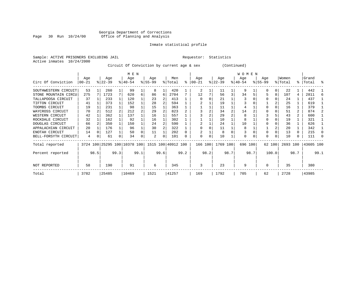# Georgia Department of Corrections Page 30 Run 10/24/00 Office of Planning and Analysis

# Inmate statistical profile

Sample: ACTIVE PRISONERS EXCLUDING JAIL **Requestor:** Statistics Active inmates 10/24/2000

Circuit Of Conviction by current age & sex (Continued)

|                      |                 |      |                  |          | M E N                        |      |                  |      |                    |      |                 |      |                  |      | W O M E N        |      |                    |          |                  |      |                |      |
|----------------------|-----------------|------|------------------|----------|------------------------------|------|------------------|------|--------------------|------|-----------------|------|------------------|------|------------------|------|--------------------|----------|------------------|------|----------------|------|
| Circ Of Conviction   | Age<br>$ 00-21$ |      | Age<br>$ 22-39 $ |          | Age<br>$8 40-54$             |      | Age<br>$ 55-99 $ |      | Men<br>% Total     | ະ    | Age<br>$ 00-21$ |      | Age<br>$ 22-39 $ |      | Age<br>$ 40-54 $ |      | Age<br>$8155 - 99$ |          | Women<br>% Total | ႜ    | Grand<br>Total | °≈   |
| SOUTHWESTERN CIRCUIT | 53              |      | 260              |          | 99                           |      | 8                |      | 420                |      | 2               |      | 11               |      | 9                |      | O                  | 0        | 22               |      | 442            |      |
| STONE MOUNTAIN CIRCU | 275             |      | 1723             |          | 620                          | 6    | 86               | 6    | 2704               |      | 12              |      | 56               | 3    | 34               |      |                    | 8        | 107              | 4    | 2811           |      |
| TALLAPOOSA CIRCUIT   | 37              |      | 233              |          | 120                          |      | 23               | 2    | 413                |      |                 |      | 21               |      |                  |      |                    |          | 24               |      | 437            |      |
| TIFTON CIRCUIT       | 41              |      | 373              |          | 152                          |      | 28               |      | 594                |      |                 |      | 19               |      |                  |      |                    |          | 25               |      | 619            |      |
| TOOMBS CIRCUIT       | 19              |      | 231              |          | 98                           |      | 15               |      | 363                |      |                 |      | 11               |      |                  |      |                    |          | 16               |      | 379            |      |
| WAYCROSS CIRCUIT     | 70              |      | 512              |          | 212                          |      | 29               |      | 823                |      |                 |      | 34               |      | 14               |      |                    |          | 51               | 2    | 874            |      |
| WESTERN CIRCUIT      | 42              |      | 362              |          | 137                          |      | 16               |      | 557                |      |                 |      | 29               |      | 8                |      |                    |          | 43               | 2    | 600            |      |
| ROCKDALE CIRCUIT     | 32              |      | 162              |          | 92                           |      | 16               |      | 302                |      |                 |      | 10               |      | 8                |      |                    |          | 19               |      | 321            |      |
| DOUGLAS CIRCUIT      | 66              |      | 350              |          | 150                          |      | 24               |      | 590                |      |                 |      | 24               |      | 10               |      |                    |          | 36               |      | 626            |      |
| APPALACHIAN CIRCUIT  | 20              |      | 176              |          | 96                           |      | 30               |      | 322                |      |                 |      | 11               |      | 8                |      |                    |          | 20               |      | 342            |      |
| ENOTAH CIRCUIT       | 14              | U    | 127              |          | 50                           |      | 11               |      | 202                |      |                 |      | 8                |      |                  |      |                    |          | 13               | 0    | 215            |      |
| BELL-FORSYTH CIRCUIT | 4               | 0    | 61               | $\Omega$ | 34                           | 0    | 2                | 0    | 101                | 0    | $\Omega$        | 0    | 10               |      | 0                |      | $\Omega$           | $\Omega$ | 10               | 0    | 111            |      |
| Total reported       |                 |      |                  |          | 3724 100 25295 100 10378 100 |      |                  |      | 1515 100 40912 100 |      | 166 100         |      | 1769 100         |      | 696 100          |      |                    | 62 100   | 2693 100         |      | 43605 100      |      |
| Percent reported     |                 | 98.5 |                  | 99.3     |                              | 99.1 |                  | 99.6 |                    | 99.2 |                 | 98.2 |                  | 98.7 |                  | 98.7 |                    | 100.0    |                  | 98.7 |                | 99.1 |
| <b>NOT REPORTED</b>  | 58              |      | 190              |          | 91                           |      | 6                |      | 345                |      | 3               |      | 23               |      | 9                |      | $\Omega$           |          | 35               |      | 380            |      |
| Total                | 3782            |      | 25485            |          | 10469                        |      | 1521             |      | 41257              |      | 169             |      | 1792             |      | 705              |      | 62                 |          | 2728             |      | 43985          |      |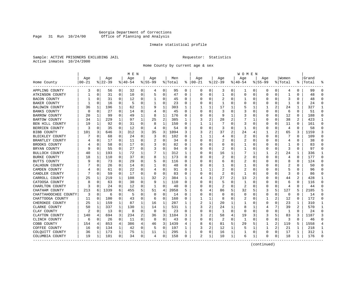# Georgia Department of Corrections Page 31 Run 10/24/00 Office of Planning and Analysis

# Inmate statistical profile

Sample: ACTIVE PRISONERS EXCLUDING JAIL **Requestor:** Statistics Active inmates 10/24/2000

Home County by current age & sex

|                       |            |          |          |              | M E N       |   |             |              |         |          |            |          |              |   | W O M E N      |             |             |                |              |          |       |              |
|-----------------------|------------|----------|----------|--------------|-------------|---|-------------|--------------|---------|----------|------------|----------|--------------|---|----------------|-------------|-------------|----------------|--------------|----------|-------|--------------|
|                       | Age        |          | Age      |              | Age         |   | Age         |              | Men     |          | Age        |          | Age          |   | Age            |             | Aqe         |                | Women        |          | Grand |              |
| Home County           | $ 00 - 21$ |          | $ 22-39$ |              | $8140 - 54$ |   | $8155 - 99$ |              | % Total | နွ       | $ 00 - 21$ |          | $ 22-39$     |   | $8140 - 54$    |             | $8155 - 99$ |                | % Total      | ႜ        | Total |              |
| APPLING COUNTY        | 3          | 0        | 56       | 0            | 32          | 0 | 4           | 0            | 95      | 0        | 0          | 0        | 3            | 0 | ı              | 0           | 0           | 0              | 4            | 0        | 99    | $\Omega$     |
| ATKINSON COUNTY       |            | 0        | 31       | 0            | 10          | 0 | 5           | 0            | 47      | $\Omega$ | $\Omega$   | $\Omega$ | $\mathbf{1}$ | 0 | $\Omega$       | 0           | $\Omega$    | 0              | $\mathbf{1}$ | $\Omega$ | 48    | ∩            |
| BACON COUNTY          |            | $\Omega$ | 31       | 0            | 12          | 0 | 1           | 0            | 45      | 0        |            | O        | 2            | 0 |                | 0           | 0           | 0              | 3            | 0        | 48    | ∩            |
| BAKER COUNTY          |            | 0        | 16       | 0            | 5           | 0 | 1           | 0            | 23      | 0        |            | O        | -1           | U |                | 0           | 0           | 0              | -1           | O        | 24    | $\Omega$     |
| <b>BALDWIN COUNTY</b> | 36         | 1        | 196      | 1            | 62          | 1 | 9           | 1            | 303     | 1        |            |          | 17           | 1 | 5              | 1           |             | $\overline{a}$ | 24           | 1        | 327   | $\mathbf{1}$ |
| BANKS COUNTY          | n          | $\Omega$ | 27       | $\Omega$     | 14          | 0 |             | $\mathbf 0$  | 45      | $\Omega$ | O          | O        | 3            | 0 | 3              | $\Omega$    | 0           | $\Omega$       | 6            | 0        | 51    | $\Omega$     |
| BARROW COUNTY         | 20         | 1        | 99       | 0            | 49          | 1 | 8           | $\mathbf{1}$ | 176     | 0        |            | O        | 9            | 1 | 3              | 0           | U           | 0              | 12           | $\Omega$ | 188   | $\Omega$     |
| BARTOW COUNTY         | 34         | 1        | 229      | $\mathbf{1}$ | 97          | 1 | 25          | $\sqrt{2}$   | 385     | 1        | 3          | 2        | 28           |   |                | 1           | 0           | 0              | 38           | 2        | 423   | -1           |
| BEN HILL COUNTY       | 19         | 1        | 92       | 0            | 31          | 0 | 8           | 1            | 150     | 0        |            | 1        | 7            | U | 3              | 0           | 0           | 0              | 11           | $\Omega$ | 161   | $\Omega$     |
| BERRIEN COUNTY        | 3          | 0        | 35       | $\Omega$     | 12          | 0 | 4           | $\mathbf 0$  | 54      | $\Omega$ |            | 0        | 3            | 0 |                | $\Omega$    | 0           | 0              | 4            | $\Omega$ | 58    | $\Omega$     |
| BIBB COUNTY           | 101        | 3        | 646      | 3            | 312         | 3 | 35          | 3            | 1094    | 3        |            | 2        | 37           | 2 | 24             | 4           | 1           | 2              | 65           | 3        | 1159  | 3            |
| BLECKLEY COUNTY       |            | $\Omega$ | 68       | 0            | 24          | 0 | 3           | 0            | 102     | $\Omega$ |            | ı.       | 4            | 0 | 2              | $\Omega$    | O           | U              | 7            | $\Omega$ | 109   | ∩            |
| BRANTLEY COUNTY       |            | $\Omega$ | 17       | 0            | 11          | 0 | 2           | $\mathbf 0$  | 34      | $\Omega$ |            | $\Omega$ | 2            | U | $\overline{2}$ | 0           | U           | 0              | 4            | O        | 38    |              |
| BROOKS COUNTY         |            | $\Omega$ | 58       | 0            | 17          | 0 | 3           | 0            | 82      | $\Omega$ |            | O        | O            | U |                | 0           | U           | U              | 1            | $\Omega$ | 83    | $\Omega$     |
| BRYAN COUNTY          |            | 0        | 55       | 0            | 27          | 0 |             | 0            | 94      | 0        |            | O        | 2            | 0 |                | 0           | 0           | 0              | 3            | $\Omega$ | 97    | ∩            |
| BULLOCH COUNTY        | 40         | 1        | 193      | $\mathbf 1$  | 72          | 1 |             | 1            | 312     | 1        |            |          | 16           | 1 |                |             |             | 2              | 24           | 1        | 336   | $\mathbf{1}$ |
| BURKE COUNTY          | 18         | 1        | 110      | $\Omega$     | 37          | 0 | 8           | 1            | 173     | $\Omega$ |            |          |              | U | 2              | $\Omega$    | $\Omega$    | U              | 4            | $\Omega$ | 177   | $\Omega$     |
| BUTTS COUNTY          |            | 0        | 73       | 0            | 29          | 0 | 5           | 0            | 116     | 0        |            | U        | 6            | U | 2              | $\Omega$    | U           | O              | 8            | 0        | 124   | ∩            |
| CALHOUN COUNTY        |            | $\Omega$ | 26       | 0            | 14          | 0 | 1           | 0            | 48      | $\Omega$ |            | O        | 1            | U |                | 0           | U           | 0              | 2            | O        | 50    |              |
| CAMDEN COUNTY         |            | $\Omega$ | 61       | 0            | 22          | 0 | 4           | 0            | 91      | $\Omega$ |            | 1        | 2            | U | 2              | 0           | U           | U              | 5            | 0        | 96    | ∩            |
| CANDLER COUNTY        |            | 0        | 59       | 0            | 17          | 0 | $\Omega$    | 0            | 83      | 0        |            | O        | 2            | 0 | -1             | 0           | 0           | 0              | 3            | 0        | 86    | ∩            |
| CARROLL COUNTY        | 25         | 1        | 219      | 1            | 108         | 1 | 32          | 2            | 384     | 1        |            | 3        | 27           | 2 | 13             | 2           | U           | U              | 44           | 2        | 428   | -1           |
| CATOOSA COUNTY        |            | $\Omega$ | 63       | 0            | 30          | 0 | 9           | 1            | 110     | O        |            |          | 5            | U |                | $\Omega$    | U           | U              | 6            | O        | 116   | ∩            |
| CHARLTON COUNTY       | 3          | 0        | 24       | 0            | 12          | 0 | -1          | 0            | 40      | 0        |            | U        | 2            | U | 2              | $\Omega$    | 0           | 0              | 4            | 0        | 44    |              |
| CHATHAM COUNTY        | 213        | 6        | 1339     | 6            | 455         | 5 | 51          | 4            | 2058    | 5        | 6          |          | 86           | 5 | 32             | 5           | 3           | 5              | 127          | 5        | 2185  |              |
| CHATTAHOOCHEE COUNTY  | 3          | 0        | 6        | 0            | 5           | 0 | $\Omega$    | 0            | 14      | $\Omega$ |            | O        | $\Omega$     | O | $\Omega$       | $\mathbf 0$ | $\Omega$    | 0              | $\mathbf 0$  | $\Omega$ | 14    | $\Omega$     |
| CHATTOOGA COUNTY      | 11         | 0        | 100      | 0            | 43          | 0 | 6           | 0            | 160     | 0        |            | 1        | 8            | 0 | 2              | 0           | 1           | 2              | 12           | 0        | 172   | $\Omega$     |
| CHEROKEE COUNTY       | 25         | 1        | 159      | 1            | 87          | 1 | 16          | 1            | 287     | 1        | 2          |          | 20           | 1 |                | 0           | 0           | U              | 23           | 1        | 310   | 1            |
| CLARKE COUNTY         | 50         | 1        | 337      | 1            | 130         | 1 | 14          | 1            | 531     | 1        |            | 2        | 24           | 1 | 8              |             | 4           |                | 39           |          | 570   | -1           |
| CLAY COUNTY           |            | $\Omega$ | 13       | 0            | 8           | 0 | $\Omega$    | 0            | 23      | $\Omega$ | O          | O        | -1           | U | $\Omega$       | 0           | 0           | 0              | 1            | 0        | 24    | ∩            |
| CLAYTON COUNTY        | 140        | 4        | 694      | 3            | 234         | 2 | 36          | 3            | 1104    | 3        | 3          | 2        | 58           | 4 | 19             | 3           | 3           | 5              | 83           | 3        | 1187  | 3            |
| CLINCH COUNTY         | 6          | 0        | 26       | 0            | 11          | 0 | 0           | 0            | 43      | $\Omega$ |            | O        | 2            | 0 | 1              | $\mathbf 0$ | $\Omega$    | 0              | 3            | $\Omega$ | 46    | $\cap$       |
| COBB COUNTY           | 154        | 4        | 853      | 4            | 386         | 4 | 46          | 3            | 1439    | 4        |            | 6        | 81           | 5 | 29             | 5           | 1           | 2              | 119          | 5        | 1558  |              |
| COFFEE COUNTY         | 16         | 0        | 134      | 1            | 42          | 0 | 5           | 0            | 197     | 1        | 3          | 2        | 12           | 1 | 5              | -1          | 1           | 2              | 21           | 1        | 218   | 1            |
| COLQUITT COUNTY       | 36         | 1        | 173      | 1            | 75          | 1 | 11          | 1            | 295     | 1        |            | 0        | 16           | 1 |                | 0           | 0           | 0              | 17           | 1        | 312   | -1           |
| COLUMBIA COUNTY       | 19         | 1        | 101      | 0            | 34          | 0 | 4           | 0            | 158     | 0        | 2          | 1        | 10           | 1 | 6              | 1           | 0           | 0              | 18           | 1        | 176   |              |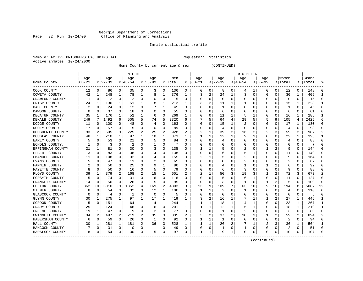#### Georgia Department of Corrections Page 32 Run 10/24/00 Office of Planning and Analysis

# Inmate statistical profile

|  | Sample: ACTIVE PRISONERS EXCLUDING JAIL |  |
|--|-----------------------------------------|--|
|  | Active inmates 10/24/2000               |  |

L Bample: Active Prequestor: Statistics

Home County by current age & sex (CONTINUED)

|                  |            |             |          |              | M E N     |          |           |          |         |    |              |              |          |          | W O M E N        |    |             |          |              |                |       |    |
|------------------|------------|-------------|----------|--------------|-----------|----------|-----------|----------|---------|----|--------------|--------------|----------|----------|------------------|----|-------------|----------|--------------|----------------|-------|----|
|                  | Age        |             | Age      |              | Age       |          | Aqe       |          | Men     |    | Age          |              | Age      |          | Age              |    | Age         |          | Women        |                | Grand |    |
| Home County      | $ 00 - 21$ |             | $ 22-39$ |              | $8 40-54$ |          | $8 55-99$ |          | % Total | ႜ  | $ 00-21$     |              | $ 22-39$ |          | $ 40-54$         |    | $8155 - 99$ |          | % Total      | ႜ              | Total |    |
| COOK COUNTY      | 12         | 0           | 86       | 0            | 35        | 0        | 3         | 0        | 136     | 0  | 0            | 0            | 8        | 0        | 4                |    | 0           | 0        | 12           | 0              | 148   |    |
| COWETA COUNTY    | 42         | 1           | 248      | 1            | 78        | 1        | 8         | 1        | 376     | 1  | 3            | 2            | 24       |          | 3                | 0  | O           | 0        | 30           | 1              | 406   |    |
| CRAWFORD COUNTY  | -1         | 0           | 12       | $\Omega$     | 2         | 0        | $\left($  | 0        | 15      | 0  | C            | 0            | $\Omega$ | $\Omega$ | Ω                | O  |             | $\Omega$ | $\Omega$     | $\Omega$       | 15    |    |
| CRISP COUNTY     | 24         | 1           | 130      | 1            | 51        | 1        |           | 1        | 213     | 1  |              | 2            | 11       |          |                  |    |             | $\Omega$ | 15           | 1              | 228   |    |
| DADE COUNTY      |            | $\mathbf 0$ | 24       | 0            | 12        | 0        |           | 1        | 45      | O  |              | 0            |          |          |                  |    |             | 0        | $\mathbf{1}$ | $\Omega$       | 46    |    |
| DAWSON COUNTY    |            | 0           | 37       | $\Omega$     | 18        | O        |           | $\Omega$ | 55      | O  |              | 0            | 6        |          |                  |    |             | $\Omega$ | 6            | $\Omega$       | 61    |    |
| DECATUR COUNTY   | 35         | 1           | 176      | 1            | 52        | 1        | 6         | 0        | 269     | 1  | C            | 0            | 11       |          | 5                |    |             | 0        | 16           | $\mathbf{1}$   | 285   |    |
| DEKALB COUNTY    | 249        | 7           | 1492     | 6            | 505       | 5        | 74        | 5        | 2320    | 6  |              | 5            | 64       | 4        | 29               |    |             | 9        | 105          | 4              | 2425  |    |
| DODGE COUNTY     | 11         | 0           | 100      | 0            | 48        | 0        | 4         | 0        | 163     | 0  | 0            | 0            | 15       |          | 2                |    | 0           | 0        | 17           | 1              | 180   |    |
| DOOLY COUNTY     | 17         | 0           | 57       | 0            | 15        | 0        | O         | $\Omega$ | 89      | N  |              | 0            | 4        | $\Omega$ | O                |    |             | 0        | 4            | 0              | 93    |    |
| DOUGHERTY COUNTY | 83         | 2           | 595      | 3            | 225       | 2        | 25        | 2        | 928     |    |              |              | 39       |          | 16               |    |             | 3        | 59           | $\overline{2}$ | 987   |    |
| DOUGLAS COUNTY   | 48         | 1           | 210      | $\mathbf{1}$ | 97        | 1        | 18        | 1        | 373     | 1  |              |              | 12       |          | 9                |    |             | 0        | 22           | $\mathbf{1}$   | 395   |    |
| EARLY COUNTY     |            | 0           | 53       | 0            | 21        | 0        | 5         | 0        | 84      | O  |              | 0            |          | $\Omega$ | $\left( \right)$ |    |             | 0        | 4            | 0              | 88    |    |
| ECHOLS COUNTY.   |            | 0           | 3        | $\Omega$     | 2         | 0        |           | 0        | 7       | U  |              | 0            |          |          |                  |    |             | 0        | C            | 0              | 7     |    |
| EFFINGHAM COUNTY | 21         | 1           | 81       | 0            | 30        | 0        | 3         | 0        | 135     | N  |              |              |          |          |                  |    |             | 2        | 9            | $\Omega$       | 144   |    |
| ELBERT COUNTY    | 13         | $\Omega$    | 83       | $\Omega$     | 38        | 0        | 4         | $\Omega$ | 138     | O  |              | 0            | b        |          | 5                |    |             | 0        | 11           | $\Omega$       | 149   |    |
| EMANUEL COUNTY   | 11         | 0           | 108      | $\Omega$     | 32        | 0        |           | 0        | 155     | O  |              |              |          | O        | 2                |    |             | 0        | 9            | $\Omega$       | 164   |    |
| EVANS COUNTY     |            | 0           | 47       | O            | 11        | $\Omega$ |           | $\Omega$ | 65      | O  | C            | U            |          |          | 2                |    |             | 0        | 2            | $\Omega$       | 67    |    |
| FANNIN COUNTY    |            | $\Omega$    | 50       | O            | 25        | 0        | 9         | 1        | 86      |    |              | U            |          |          |                  |    |             | 2        | 6            | $\Omega$       | 92    |    |
| FAYETTE COUNTY   | 8          | $\Omega$    | 50       | $\Omega$     | 16        | $\Omega$ | 5         | $\Omega$ | 79      | O  |              | U            | h        | O        | 3                |    |             | $\Omega$ | q            | $\Omega$       | 88    |    |
| FLOYD COUNTY     | 39         | -1          | 379      | 2            | 168       | 2        | 15        | 1        | 601     | 2  |              |              | 50       | 3        | 19               |    |             | 2        | 72           | 3              | 673   |    |
| FORSYTH COUNTY   |            | 0           | 74       | 0            | 31        | 0        | 6         | 0        | 116     | 0  | C            | 0            |          | O        | 6                |    |             | 0        | 11           | 0              | 127   |    |
| FRANKLIN COUNTY  | 14         | $\Omega$    | 50       | $\Omega$     | 26        | 0        | 5         | $\Omega$ | 95      | 0  | 0            | 0            | 3        | $\Omega$ |                  |    |             | 2        | 5            | $\Omega$       | 100   | Ω  |
| FULTON COUNTY    | 362        | 10          | 3010     | 13           | 1352      | 14       | 169       | 12       | 4893    | 13 | 13           | 9            | 109      |          | 63               | 10 | 9           | 16       | 194          | 8              | 5087  | 12 |
| GILMER COUNTY    | 8          | $\Omega$    | 54       | 0            | 32        | $\Omega$ | 12        | 1        | 106     | 0  |              | 1            |          | $\Omega$ |                  |    |             | 0        | 4            | $\Omega$       | 110   | n  |
| GLASCOCK COUNTY  |            | $\mathbf 0$ | 4        | 0            | -1        | $\Omega$ | O         | 0        | 5       | O  | C            | 0            | O        | $\Omega$ | Ω                |    | O           | 0        | $\Omega$     | 0              | 5     | ∩  |
| GLYNN COUNTY     | 30         | 1           | 275      | 1            | 97        | 1        | 17        | 1        | 419     | 1  |              | 2            | 16       |          |                  |    |             | 2        | 27           | 1              | 446   |    |
| GORDON COUNTY    | 15         | 0           | 151      | 1            | 64        | 1        | 14        | 1        | 244     |    |              |              | 18       |          |                  |    |             | 0        | 23           | 1              | 267   |    |
| GRADY COUNTY     | 25         | 1           | 124      | 1            | 46        | 0        | 6         | $\Omega$ | 201     | 1  |              |              | 12       |          | 5                |    |             | 0        | 18           | 1              | 219   |    |
| GREENE COUNTY    | 19         | 1           | 47       | 0            | q         | 0        |           | $\Omega$ | 77      | O  | C            | 0            |          | $\Omega$ | 2                |    |             | 0        | 3            | 0              | 80    |    |
| GWINNETT COUNTY  | 84         | 2           | 497      | 2            | 219       | 2        | 35        | 3        | 835     | 2  |              | 2            | 37       | 2        | 18               |    |             | 2        | 59           | 2              | 894   |    |
| HABERSHAM COUNTY | 6          | 0           | 59       | 0            | 26        | 0        |           | 0        | 92      | 0  |              | 1            |          | $\Omega$ | 0                |    |             | $\Omega$ | 2            | $\Omega$       | 94    |    |
| HALL COUNTY      | 30         | 1           | 281      | 1            | 181       | 2        | 36        | 3        | 528     |    |              | 1            | 26       | 2        |                  |    | 2           | 3        | 36           | 1              | 564   |    |
| HANCOCK COUNTY   |            | 0           | 31       | 0            | 10        | 0        |           | 0        | 49      | O  | C            | 0            |          | $\Omega$ |                  | 0  | O           | 0        | 2            | $\Omega$       | 51    |    |
| HARALSON COUNTY  | 8          | 0           | 54       | 0            | 30        | 0        | 5         | 0        | 97      | 0  | $\mathbf{1}$ | $\mathbf{1}$ | 9        | 1        | $\Omega$         | 0  | $\cap$      | 0        | 10           | 0              | 107   |    |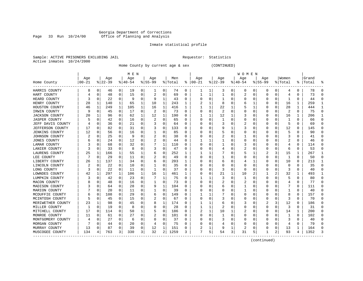#### Georgia Department of Corrections Page 33 Run 10/24/00 Office of Planning and Analysis

# Inmate statistical profile

|  | Sample: ACTIVE PRISONERS EXCLUDING JAIL |  |
|--|-----------------------------------------|--|
|  | Active inmates 10/24/2000               |  |

L Bample: Active Prequestor: Statistics

Home County by current age & sex (CONTINUED)

|                       |          |             |           |          | M E N    |              |             |              |         |   |          |             |             |   | <b>WOMEN</b> |              |                |          |         |              |       |              |
|-----------------------|----------|-------------|-----------|----------|----------|--------------|-------------|--------------|---------|---|----------|-------------|-------------|---|--------------|--------------|----------------|----------|---------|--------------|-------|--------------|
|                       | Age      |             | Age       |          | Age      |              | Age         |              | Men     |   | Age      |             | Age         |   | Age          |              | Age            |          | Women   |              | Grand |              |
| Home County           | $ 00-21$ |             | $8 22-39$ |          | $ 40-54$ |              | $8155 - 99$ |              | % Total | ႜ | $ 00-21$ |             | $8$   22-39 |   | $ 40-54$     |              | $8155 - 99$    |          | % Total | ႜ            | Total |              |
| HARRIS COUNTY         | 8        | 0           | 46        | 0        | 19       | 0            | ı           | 0            | 74      | 0 | 1        | 1           | 3           | 0 | 0            | 0            | 0              | 0        | 4       | 0            | 78    | -C           |
| HART COUNTY           |          | 0           | 48        | 0        | 15       | 0            | 2           | 0            | 69      | 0 |          | 1           |             | 0 | 2            | 0            | $\Omega$       | 0        | 4       | 0            | 73    | $\cap$       |
| HEARD COUNTY          | 3        | $\Omega$    | 22        | $\Omega$ | 9        | 0            | 9           | $\mathbf{1}$ | 43      | 0 | C        | $\Omega$    |             | O | Ω            | 0            | O              | $\Omega$ | E.      | 0            | 44    | $\cap$       |
| HENRY COUNTY          | 28       | 1           | 140       | 1        | 65       | 1            | 10          | 1            | 243     | 1 | 2        | 1           | 8           | O |              |              | O              | $\Omega$ | 16      | 1            | 259   |              |
| HOUSTON COUNTY        | 46       | $\mathbf 1$ | 249       | 1        | 105      | $\mathbf{1}$ | 16          | $\mathbf{1}$ | 416     | 1 |          | $\mathbf 1$ | 22          |   | 5            | $\mathbf{1}$ | $\Omega$       | $\Omega$ | 28      | $\mathbf{1}$ | 444   | $\mathbf{1}$ |
| IRWIN COUNTY          | 9        | 0           | 45        | 0        | 17       | 0            | 2           | 0            | 73      | 0 | O        | 0           | 2           | O | Ω            | 0            | $\Omega$       | 0        | 2       | 0            | 75    | $\Omega$     |
| <b>JACKSON COUNTY</b> | 20       |             | 96        | 0        | 62       | 1            | 12          | 1            | 190     | 0 |          | 1           | 12          | 1 | 3            | 0            | 0              | 0        | 16      | 1            | 206   | 1            |
| <b>JASPER COUNTY</b>  | 5        | $\Omega$    | 42        | 0        | 16       | 0            | 2           | 0            | 65      | 0 | 0        | 0           |             | 0 | 0            | 0            | 0              | $\Omega$ | 1       | 0            | 66    | $\Omega$     |
| JEFF DAVIS COUNTY     |          | $\Omega$    | 36        | 0        | 21       | 0            | 3           | $\Omega$     | 64      | O |          | U           |             | O | 2            | 0            | O              | $\Omega$ | 5       | U            | 69    | $\Omega$     |
| JEFFERSON COUNTY      | 17       | $\Omega$    | 82        | 0        | 31       | 0            | 3           | $\Omega$     | 133     | O |          | U           |             |   | 3            | O            | $\Omega$       | $\Omega$ | 12      | 0            | 145   | $\cap$       |
| <b>JENKINS COUNTY</b> | 12       | $\Omega$    | 56        | 0        | 16       | 0            |             | $\Omega$     | 85      | O |          | U           |             | O | Ω            | O            | O              | $\Omega$ | 5       | 0            | 90    | $\Omega$     |
| JOHNSON COUNTY        |          | $\Omega$    | 25        | 0        | 9        | 0            | 2           | 0            | 38      | 0 |          | U           |             | O |              | O            | O              | $\Omega$ | 3       | 0            | 41    | $\cap$       |
| JONES COUNTY          | 6        | 0           | 24        | 0        | 12       | 0            | 2           | 0            | 44      | 0 |          | 1           |             | 0 | 0            | 0            | 0              | 0        | 2       | 0            | 46    | n            |
| LAMAR COUNTY          |          | 0           | 68        | 0        | 32       | 0            |             | 1            | 110     | 0 |          | 0           |             | O | 3            | 0            | O              | $\Omega$ | 4       | 0            | 114   | $\cap$       |
| LANIER COUNTY         |          | $\Omega$    | 33        | 0        | 8        | 0            | 3           | $\Omega$     | 47      | O | O        | 0           |             | 0 | 2            | $\Omega$     | $\Omega$       | $\Omega$ | 6       | 0            | 53    | $\Omega$     |
| LAURENS COUNTY        | 25       | 1           | 166       | 1        | 55       | 1            | 6           | 0            | 252     | 1 |          | 1           |             | O | 5            | 1            | $\overline{2}$ | 3        | 15      | 1            | 267   | -1           |
| LEE COUNTY            | 7        | $\mathbf 0$ | 29        | 0        | 11       | 0            |             | 0            | 49      | 0 | $\Omega$ | 0           |             | O | Ω            | 0            | $\Omega$       | $\Omega$ | 1       | 0            | 50    | $\Omega$     |
| LIBERTY COUNTY        | 26       | 1           | 137       |          | 34       | 0            | 6           | $\Omega$     | 203     |   | C        | U           | 6           | 0 |              |              | O              | $\Omega$ | 10      | 0            | 213   | -1           |
| LINCOLN COUNTY        |          | $\Omega$    | 22        | 0        | 10       | 0            |             | $\Omega$     | 35      | O |          | 0           | O           | O | 0            | 0            | O              |          | O       | U            | 35    | $\cap$       |
| LONG COUNTY           | 3        | 0           | 22        | 0        | 11       | 0            |             | $\Omega$     | 37      | O | 0        | 0           | 3           | 0 | 0            | 0            | O              | $\Omega$ | 3       | 0            | 40    |              |
| LOWNDES COUNTY        | 42       |             | 297       | 1        | 106      | 1            | 16          | 1            | 461     |   | C        | 0           | 21          |   | 10           |              |                | 2        | 32      | 1            | 493   |              |
| LUMPKIN COUNTY        | 3        | $\Omega$    | 42        | 0        | 23       | 0            |             | 1            | 75      | 0 |          |             |             | O |              | O            | O              | $\Omega$ | 5       | 0            | 80    | $\cap$       |
| MACON COUNTY          | 8        | $\Omega$    | 48        | 0        | 16       | 0            |             | 0            | 73      | 0 | C        | $\Omega$    | 2           | O | 2            | 0            | O              | $\Omega$ | 4       | 0            | 77    | $\bigcap$    |
| MADISON COUNTY        |          | $\Omega$    | 64        | 0        | 28       | 0            | 9           | 1            | 104     | O |          | O           | 6           | O |              | 0            | $\Omega$       | $\Omega$ |         | 0            | 111   | $\cap$       |
| MARION COUNTY         |          | $\Omega$    | 20        | 0        | 11       | 0            |             | 0            | 39      | O |          | U           | O           | O |              | 0            | $\Omega$       | O        | 1       | 0            | 40    | $\Omega$     |
| MCDUFFIE COUNTY       |          | 0           | 108       | 0        | 29       | 0            | 6           | 0            | 149     | 0 |          |             |             | O | 0            | 0            | 0              | O        | 8       | 0            | 157   | 0            |
| MCINTOSH COUNTY       |          | $\Omega$    | 45        | 0        | 15       | 0            | 2           | 0            | 67      | 0 | O        | 0           |             | 0 | 0            | 0            | $\Omega$       | $\Omega$ | 3       | 0            | 70    | $\Omega$     |
| MERIWETHER COUNTY     | 23       | 1           | 98        | 0        | 45       | 0            | 8           | 1            | 174     | O |          |             | 6           | O | 3            | 0            | 2              | 3        | 12      | 0            | 186   | $\Omega$     |
| MILLER COUNTY         |          | $\Omega$    | 19        | 0        | 8        | 0            |             | $\Omega$     | 28      | U |          | 1           |             | O | 0            | 0            | $\Omega$       | 0        | 3       | 0            | 31    | $\cap$       |
| MITCHELL COUNTY       | 17       | $\Omega$    | 114       | 0        | 50       | 1            |             | $\mathbf 0$  | 186     | O |          | 1           | 10          |   | 2            | <sup>0</sup> | O              | $\Omega$ | 14      | 1            | 200   | $\Omega$     |
| MONROE COUNTY         | 11       | 0           | 61        | 0        | 27       | 0            |             | 0            | 101     | 0 | 0        | 0           |             | O | 0            | 0            | O              | $\Omega$ |         | 0            | 102   | $\Omega$     |
| MONTGOMERY COUNTY     |          | $\Omega$    | 27        | 0        | 6        | 0            |             | 0            | 37      | 0 | C        | 0           |             | 0 | 0            | 0            | 0              | $\Omega$ | 3       | 0            | 40    | $\Omega$     |
| MORGAN COUNTY         |          | $\Omega$    | 44        | 0        | 20       | 0            | 4           | 0            | 75      | 0 |          | 0           |             | 0 | Ω            | 0            | O              | 0        | 4       | 0            | 79    | C            |
| MURRAY COUNTY         | 13       | $\Omega$    | 87        | 0        | 39       | 0            | 12          | 1            | 151     | O |          | 1           | 9           |   | 2            | 0            | $\Omega$       | 0        | 13      | 1            | 164   |              |
| MUSCOGEE COUNTY       | 134      | 4           | 763       | 3        | 330      | 3            | 32          | 2            | 1259    | 3 | 7        | 5           | 54          | 3 | 31           | 5            | 1              | 2        | 93      | 4            | 1352  |              |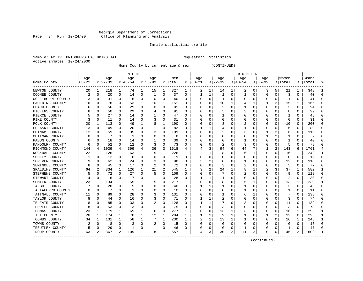#### Georgia Department of Corrections Page 34 Run 10/24/00 Office of Planning and Analysis

# Inmate statistical profile

|  |                           | Sample: ACTIVE PRISONERS EXCLUDING JAIL |  |
|--|---------------------------|-----------------------------------------|--|
|  | Active inmates 10/24/2000 |                                         |  |

L Bample: Active Prequestor: Statistics

Home County by current age & sex (CONTINUED)

|                       |           |          |          |                | M E N     |             |             |             |         |                  |          |             |              |          | W O M E N |    |             |          |              |                |       |   |
|-----------------------|-----------|----------|----------|----------------|-----------|-------------|-------------|-------------|---------|------------------|----------|-------------|--------------|----------|-----------|----|-------------|----------|--------------|----------------|-------|---|
|                       | Age       |          | Age      |                | Age       |             | Age         |             | Men     |                  | Age      |             | Age          |          | Age       |    | Age         |          | Women        |                | Grand |   |
| Home County           | $00 - 21$ |          | $ 22-39$ |                | $8 40-54$ |             | $8155 - 99$ |             | % Total | ႜ                | $ 00-21$ |             | $ 22-39$     |          | $8 40-54$ |    | $8155 - 99$ |          | % Total      | ႜ              | Total |   |
| NEWTON COUNTY         | 20        | 1        | 218      | $\mathbf{1}$   | 74        | 1           | 15          | 1           | 327     | 1                | 2        | 1           | 14           | 1        | 2         | 0  | 3           | 5        | 21           | 1              | 348   |   |
| OCONEE COUNTY         | 2         | 0        | 20       | 0              | 14        | 0           | 1           | 0           | 37      | 0                | 1        | 1           |              | 0        | 1         | 0  | $\Omega$    | 0        | 3            | 0              | 40    |   |
| OGLETHORPE COUNTY     | 3         | 0        | 31       | $\Omega$       | 6         | 0           | 0           | 0           | 40      | 0                | C        | O           |              | $\Omega$ | 0         | O  |             | $\Omega$ | 1            | 0              | 41    |   |
| PAULDING COUNTY       | 10        | 0        | 78       | 0              | 53        | 1           | 10          | 1           | 151     | 0                |          | O           | 10           |          |           |    |             | 2        | 15           | $\mathbf{1}$   | 166   |   |
| PEACH COUNTY          |           |          | 56       | 0              | 29        | 0           | O           | $\mathbf 0$ | 91      | U                |          | U           |              | $\Omega$ |           | C  |             | $\Omega$ | 3            | 0              | 94    |   |
| PICKENS COUNTY        |           | O        | 50       | 0              | 29        | 0           |             | 0           | 91      | U                |          | U           |              | O        | 3         | C  |             | 0        | 8            | 0              | 99    |   |
| PIERCE COUNTY         |           | 0        | 27       | 0              | 14        | 0           |             | 0           | 47      | U                | O        | 0           |              | O        | 0         | C  |             | 0        |              | 0              | 48    | U |
| PIKE COUNTY           |           | 0        | 11       | 0              | 14        | 0           |             | 0           | 31      | 0                | 0        | U           | 0            | 0        | 0         |    |             | 0        | $\Omega$     | 0              | 31    | U |
| POLK COUNTY           | 20        | 1        | 113      | 0              | 49        | 1           | 8           | 1           | 190     | U                |          | U           | 8            | O        | 2         |    |             | O        | 10           | O              | 200   |   |
| PULASKI COUNTY        | 13        | $\Omega$ | 49       | 0              | 20        | 0           |             | 0           | 83      | U                |          |             |              | O        |           |    |             | U        | 6            | 0              | 89    |   |
| PUTNAM COUNTY         | 12        | O        | 59       | 0              | 35        | 0           |             | 0           | 109     | U                | O        | U           |              | O        | 3         |    |             | 2        | 6            | 0              | 115   |   |
| QUITMAN COUNTY        |           | ∩        |          | 0              | -1        | 0           |             | $\Omega$    | 8       | $\left( \right)$ |          | U           | $\left($     | O        | 0         | C  |             | 2        |              | 0              | 9     |   |
| RABUN COUNTY          |           | 0        | 18       | 0              | 14        | 0           |             | 0           | 39      | U                |          | U           |              | 0        |           | C  |             | $\Omega$ |              | 0              | 40    |   |
| RANDOLPH COUNTY       |           | 0        | 52       | 0              | 12        | 0           |             | 0           | 73      | U                |          | 0           |              | $\Omega$ | 3         |    |             | 0        | 5            | 0              | 78    |   |
| RICHMOND COUNTY       | 144       | 4        | 1039     | 4              | 399       | 4           | 36          | 3           | 1618    | 4                |          | 3           | 94           | 6        | 44        |    |             | 2        | 143          | 6              | 1761  |   |
| ROCKDALE COUNTY       | 22        | 1        | 126      | 1              | 63        | 1           | 15          | 1           | 226     | 1                |          | 1           | 8            | O        | 6         | -1 | O           | 0        | 16           | 1              | 242   |   |
| SCHLEY COUNTY         |           | 0        | 12       | $\Omega$       | 6         | $\mathbf 0$ | $\Omega$    | 0           | 19      | U                | C        | U           | $\left($     | O        | 0         | O  | n           | $\Omega$ | $\Omega$     | $\mathbf 0$    | 19    | ∩ |
| <b>SCREVEN COUNTY</b> |           | 0        | 62       | 0              | 24        | 0           |             | 0           | 98      | U                |          | 2           | 8            | O        |           | C  |             | 0        | 12           | 0              | 110   |   |
| SEMINOLE COUNTY       |           | $\Omega$ | 45       | 0              | 17        | 0           |             | 0           | 72      | U                |          | U           |              | O        | 2         |    |             | U        | 5            | 0              | 77    |   |
| SPALDING COUNTY       | 64        | 2        | 334      | 1              | 126       | 1           | 21          | 2           | 545     | 1                |          | 2           | 24           |          | 8         |    |             | 3        | 37           | 1              | 582   |   |
| STEPHENS COUNTY       |           | $\Omega$ | 72       | 0              | 27        | 0           | 5           | 0           | 109     | 0                | C        | 0           |              | $\Omega$ | 2         | C  |             | $\Omega$ | 9            | $\Omega$       | 118   |   |
| STEWART COUNTY        |           | 0        | 16       | 0              |           | 0           |             | 0           | 28      | U                |          |             |              | $\left($ | $\Omega$  | C  |             | $\Omega$ | 2            | $\Omega$       | 30    |   |
| SUMTER COUNTY         | 23        | 1        | 134      | $\mathbf 1$    | 55        |             |             | 0           | 217     |                  | C        | O           | 8            | $\Omega$ | 5         |    |             | 0        | 13           | 1              | 230   |   |
| TALBOT COUNTY         |           | 0        | 28       | 0              | 5         | 0           |             | 0           | 40      | U                |          |             |              | O        |           |    |             | O        | 3            | 0              | 43    |   |
| TALIAFERRO COUNTY     |           | $\Omega$ | 7        | 0              | З         | $\Omega$    | O           | 0           | 10      | U                |          | 0           | O            | O        |           |    |             | U        | 1            | 0              | 11    | ∩ |
| TATTNALL COUNTY       | 11        | 0        | 89       | 0              | 28        | 0           |             | 0           | 131     | 0                | O        | 0           |              | O        | 6         |    |             | 0        |              | 0              | 138   | U |
| TAYLOR COUNTY         |           | 0        | 44       | 0              | 16        | 0           |             | 0           | 71      | 0                |          | 1           |              | 0        | 0         | C  |             | 0        | 3            | 0              | 74    |   |
| TELFAIR COUNTY        |           |          | 85       | 0              | 33        | $\Omega$    | 2           | 0           | 128     | U                |          | 1           |              |          | 3         |    |             | 0        | 11           | O              | 139   |   |
| TERRELL COUNTY        |           | $\Omega$ | 53       | 0              | 13        | $\Omega$    |             | 0           | 75      | U                | C        | $\Omega$    |              | ∩        | U         |    |             | $\Omega$ | 3            | 0              | 78    |   |
| THOMAS COUNTY         | 23        | 1        | 179      | 1              | 69        | 1           | 6           | 0           | 277     | -1               | 0        | U           | 13           |          | 3         |    |             | 0        | 16           | 1              | 293   |   |
| TIFT COUNTY           | 20        | 1        | 174      | 1              | 78        | 1           | 12          | 1           | 284     | 1                |          |             | 9            |          |           | C  |             | 2        | 12           | 0              | 296   |   |
| TOOMBS COUNTY         | 34        | 1        | 131      | $\mathbf{1}$   | 58        | 1           |             | 1           | 230     |                  | 2        | $\mathbf 1$ | 13           |          |           | C  |             | $\Omega$ | 16           | $\mathbf{1}$   | 246   |   |
| TOWNS COUNTY          |           | 0        | 8        | 0              | 3         | 0           | 2           | 0           | 15      | U                |          | $\Omega$    | O            | $\Omega$ | 0         | C  |             | $\Omega$ | O            | 0              | 15    |   |
| TREUTLEN COUNTY       |           | 0        | 29       | 0              | 11        | 0           |             | 0           | 46      | U                |          | 0           | <sup>0</sup> | $\Omega$ |           | C  |             | 0        | $\mathbf{1}$ | 0              | 47    |   |
| TROUP COUNTY          | 63        | 2        | 367      | $\overline{2}$ | 109       | 1           | 18          | 1           | 557     | 1                | 4        | 3           | 30           | 2        | 11        | 2  | U           | 0        | 45           | $\overline{a}$ | 602   |   |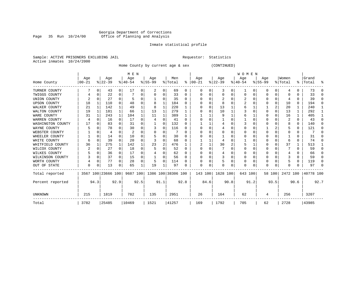#### Georgia Department of Corrections Page 35 Run 10/24/00 Office of Planning and Analysis

# Inmate statistical profile

|  | Sample: ACTIVE PRISONERS EXCLUDING JAIL |  |  | Requestor: Statistics |
|--|-----------------------------------------|--|--|-----------------------|
|  | Active inmates 10/24/2000               |  |  |                       |

Home County by current age & sex (CONTINUED)

|                   |                 |          |                  |                | M E N            |          |                                                |   |                |              |                 |          |                 |      | WOMEN            |          |                    |          |                  |              |                    |          |
|-------------------|-----------------|----------|------------------|----------------|------------------|----------|------------------------------------------------|---|----------------|--------------|-----------------|----------|-----------------|------|------------------|----------|--------------------|----------|------------------|--------------|--------------------|----------|
| Home County       | Age<br>$ 00-21$ |          | Age<br>$8 22-39$ |                | Age<br>$8 40-54$ |          | Age<br>$8 55-99$                               |   | Men<br>% Total | ွေ           | Age<br>$ 00-21$ |          | Age<br>$ 22-39$ |      | Age<br>$ 40-54 $ |          | Age<br>$8155 - 99$ |          | Women<br>% Total |              | Grand<br>%   Total | ႜ        |
| TURNER COUNTY     |                 | 0        | 43               | $\overline{0}$ | 17               | 0        | 2                                              | 0 | 69             | 0            | O               | $\Omega$ | 3               | 0    | 1                | 0        | 0                  | 0        | 4                | 0            | 73                 | $\Omega$ |
| TWIGGS COUNTY     |                 | 0        | 22               | 0              |                  |          |                                                | 0 | 33             | O            |                 |          | O               | N    | 0                | $\Omega$ | 0                  | 0        |                  |              | 33                 | $\Omega$ |
| UNION COUNTY      |                 |          | 27               | 0              |                  |          |                                                | 0 | 35             | 0            |                 |          |                 |      | 2                | $\Omega$ |                    | $\Omega$ |                  |              | 39                 | $\Omega$ |
| UPSON COUNTY      | 18              | 1        | 110              | 0              | 48               | O        |                                                | 1 | 184            | O            |                 | U        | 8               | 0    |                  |          |                    | $\Omega$ | 10               | 0            | 194                | $\Omega$ |
| WALKER COUNTY     | 21              | 1        | 142              | $\mathbf{1}$   | 49               |          | 8                                              | 1 | 220            |              |                 | $\Omega$ | 13              |      |                  |          |                    | 2        | 20               |              | 240                | 1        |
| WALTON COUNTY     | 19              | 1        | 181              | 1              | 66               |          | 13                                             | 1 | 279            |              |                 |          | 10              |      |                  |          | U                  | $\Omega$ | 13               | 1            | 292                | 1        |
| WARE COUNTY       | 31              |          | 243              | $\mathbf{1}$   | 104              |          | 11                                             | 1 | 389            |              |                 |          | q               |      |                  |          |                    | 0        | 16               | 1            | 405                | 1        |
| WARREN COUNTY     |                 | ∩        | 16               | $\Omega$       | 17               | 0        |                                                | U | 41             | U            |                 |          |                 |      |                  |          |                    | U        |                  | <sup>0</sup> | 43                 | ∩        |
| WASHINGTON COUNTY | 17              |          | 83               | 0              | 31               | O        |                                                | 0 | 132            | U            |                 |          |                 | N    |                  |          |                    | U        |                  | 0            | 140                | $\Omega$ |
| WAYNE COUNTY      |                 | O        | 78               | 0              | 30               | $\Omega$ |                                                | 0 | 116            | O            |                 |          |                 | 0    |                  |          |                    | 2        |                  | 0            | 121                | $\Omega$ |
| WEBSTER COUNTY    |                 | 0        | 4                | 0              |                  |          |                                                | U |                | U            |                 |          | O               | N    |                  |          |                    | U        |                  | O            |                    | ∩        |
| WHEELER COUNTY    |                 | $\Omega$ | 14               | 0              | 10               |          |                                                | U | 30             |              |                 |          |                 | N    |                  |          |                    |          |                  |              | 31                 | ∩        |
| WHITE COUNTY      |                 | $\Omega$ | 39               | 0              | 20               | O        | 3                                              | U | 68             | U            |                 |          |                 | N    |                  |          |                    | U        | б                | U            | 74                 | $\Omega$ |
| WHITFIELD COUNTY  | 36              |          | 275              | 1              | 142              |          | 23                                             | 2 | 476            |              |                 |          | 30              |      | 5                |          |                    | 0        | 37               |              | 513                |          |
| WILCOX COUNTY     |                 |          | 27               | 0              | 18               |          | 5                                              | U | 52             | <sup>0</sup> | $\Omega$        |          |                 | N    |                  | $\Omega$ | U                  | U        |                  | U            | 59                 | $\Omega$ |
| WILKES COUNTY     |                 | 0        | 36               | 0              | 17               | 0        |                                                | 0 | 62             | 0            |                 |          |                 | 0    |                  |          |                    | U        |                  | 0            | 66                 | $\Omega$ |
| WILKINSON COUNTY  |                 | $\Omega$ | 37               | $\Omega$       | 15               | $\Omega$ |                                                | 0 | 56             | 0            |                 |          | 3               | O    |                  | O        | 0                  | 0        |                  | U            | 59                 | $\Omega$ |
| WORTH COUNTY      |                 | 0        | 77               | 0              | 28               | $\Omega$ | 5                                              | 0 | 114            |              |                 |          |                 | 0    |                  | 0        | 0                  | 0        |                  | 0            | 119                | $\Omega$ |
| OUT OF STATE      | $\Omega$        | 0        | 13               | 0              | 65               |          | 19                                             |   | 97             | U            | $\Omega$        | 0        |                 | 0    | $\Omega$         | $\Omega$ | U                  | 0        |                  |              | 97                 | $\Omega$ |
| Total reported    |                 |          |                  |                |                  |          | 3567 100 23666 100 9687 100 1386 100 38306 100 |   |                |              | 143 100         |          | 1628 100        |      | 643 100          |          |                    |          | 58 100 2472 100  |              | 40778 100          |          |
| Percent reported  |                 | 94.3     |                  | 92.9           |                  | 92.5     | 91.1                                           |   |                | 92.8         |                 | 84.6     |                 | 90.8 |                  | 91.2     |                    | 93.5     |                  | 90.6         |                    | 92.7     |
| UNKNOWN           | 215             |          | 1819             |                | 782              |          | 135                                            |   | 2951           |              | 26              |          | 164             |      | 62               |          | 4                  |          | 256              |              | 3207               |          |
| Total             | 3782            |          | 25485            |                | 10469            |          | 1521                                           |   | 41257          |              | 169             |          | 1792            |      | 705              |          | 62                 |          | 2728             |              | 43985              |          |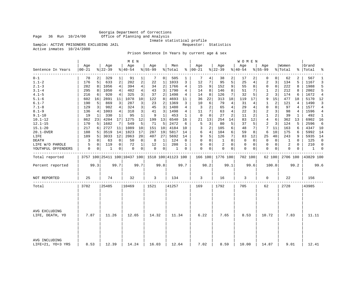Georgia Department of Corrections Office of Planning and Analysis

Inmate statistical profile<br>Requestor: Statistics

Sample: ACTIVE PRISONERS EXCLUDING JAIL Active inmates 10/24/2000

Prison Sentence In Years by current age & sex

|                                    |                   |          |                  |                | M E N            |                |                  |                 |                                                 |             |                      |      |                  |              | W O M E N          |         |                    |                |                  |          |                 |                |
|------------------------------------|-------------------|----------|------------------|----------------|------------------|----------------|------------------|-----------------|-------------------------------------------------|-------------|----------------------|------|------------------|--------------|--------------------|---------|--------------------|----------------|------------------|----------|-----------------|----------------|
| Sentence In Years                  | Age<br>$ 00 - 21$ |          | Age<br>$8 22-39$ |                | Age<br>$8 40-54$ |                | Age<br>$8 55-99$ |                 | Men<br>% Total                                  |             | Age<br>$8   00 - 21$ |      | Age<br>$8 22-39$ |              | Age<br>$8140 - 54$ |         | Age<br>$8155 - 99$ |                | Women<br>% Total | ွေ       | Grand<br> Total | ٩,             |
| ----------<br>$0 - 1$              | 78                |          | 329              | 1              | 91               | 1              | 7                | 0 <sup>1</sup>  | 505                                             |             | 7                    | 4    | 38               | 2            | 17                 |         | 0                  | $\overline{0}$ | 62               | 2        | 567             | 1              |
| $1.1 - 2$                          | 176               | 5        | 633              | $\overline{a}$ | 202              | 2              | 22               | 1               | 1033                                            | 3           | 12                   | 7    | 95               | 5            | 25                 | 4       | 2                  | 3              | 134              | 5        | 1167            | 3              |
| $2.1 - 3$                          | 282               | 8        | 1056             | $\overline{4}$ | 394              | $\overline{4}$ | 34               | $\overline{2}$  | 1766                                            | 4           | 15                   | 9    | 152              | 9            | 55                 | 8       | $\mathbf 0$        | $\mathsf{O}$   | 222              | 8        | 1988            | 5              |
| $3.1 - 4$                          | 295               | 8        | 1050             | 4              | 402              | 4              | 43               | 3               | 1790                                            | 4           | 14                   | 8    | 146              | 8            | 51                 | 7       | 1                  | 2              | 212              | 8        | 2002            | 5              |
| $4.1 - 5$                          | 216               | 6        | 920              | 4              | 325              | 3              | 37               | 2               | 1498                                            | 4           | 14                   | 8    | 126              | 7            | 32                 | 5       | 2                  | 3              | 174              | 6        | 1672            | 4              |
| $5.1 - 6$                          | 602               | 16       | 2891             | 11             | 1078             | 10             | 122              | 8               | 4693                                            | 11          | 36                   | 22   | 313              | 18           | 119                | 17      | 9                  | 15             | 477              | 18       | 5170            | 12             |
| $6.1 - 7$                          | 190               | 5        | 869              | 3              | 287              | 3              | 23               | 2               | 1369                                            | 3           | 10                   | 6    | 79               | 4            | 31                 | 4       | 1                  | 2              | 121              | 4        | 1490            | 3              |
| $7.1 - 8$                          | 129               | 3        | 982              | 4              | 324              | 3              | 45               | 3               | 1480                                            | 4           | 3                    | 2    | 65               | 4            | 29                 | 4       | 0                  | $\Omega$       | 97               | 4        | 1577            | 4              |
| $8.1 - 9$                          | 136               | 4        | 1003             | $\overline{4}$ | 318              | 3              | 41               | 3               | 1498                                            | 4           | 11                   | 7    | 63               | 4            | 22                 | 3       | 2                  | 3              | 98               | 4        | 1596            | $\overline{4}$ |
| $9.1 - 10$                         | 19                | 1        | 330              | 1              | 95               | $\mathbf{1}$   | 9                | 1               | 453                                             | 1           | 0                    | 0    | 27               | 2            | 11                 | 2       | $\mathbf{1}$       | 2              | 39               | 1        | 492             | 1              |
| $10.1 - 12$                        | 862               | 23       | 4204             | 17             | 1275             | 12             | 199              | 13              | 6540                                            | 16          | 21                   | 13   | 254              | 14           | 83                 | 12      | 4                  | 6              | 362              | 13       | 6902            | 16             |
| $12.1 - 15$                        | 170               | 5        | 1682             | 7              | 549              | 5              | 71               | 5               | 2472                                            | 6           | 5                    | 3    | 80               | 5            | 37                 | 5       | 2                  | 3              | 124              | 5        | 2596            | 6              |
| $15.1 - 20$                        | 217               | 6        | 2727             | 11             | 1089             | 10             | 151              | 10              | 4184                                            | 10          | 3                    | 2    | 105              | 6            | 48                 | 7       | 7                  | 11             | 163              | 6        | 4347            | 10             |
| 20.1-OVER                          | 188               | 5        | 3519             | 14             | 1823             | 17             | 287              | 19              | 5817                                            | 14          | 6                    | 4    | 104              | 6            | 59                 | 8       | 6                  | 10             | 175              | 6        | 5992            | 14             |
| LIFE                               | 189               | 5        | 3033             | 12             | 2063             | 20             | 407              | 27 <sup>1</sup> | 5692                                            | 14          | 9                    | 5    | 126              | 7            | 83                 | 12      | 25                 | 40             | 243              | 9        | 5935            | 14             |
| <b>DEATH</b>                       | 3                 | 0        | 63               | 0              | 50               | $\mathbf 0$    | 8                | 1               | 124                                             | $\mathbf 0$ | $\Omega$             | 0    | 1                | $\Omega$     | $\mathbf 0$        | 0       | $\mathbf{0}$       | $\mathbf 0$    | 1                | $\Omega$ | 125             | 0              |
| LIFE W/O PAROLE                    | 5                 | $\Omega$ | 119              | 0              | 72               | 1              | 12               | 1               | 208                                             | 1           | $\Omega$             | 0    | 2                | $\Omega$     | 0                  | 0       | $\mathbf 0$        | $\mathbf 0$    | 2                | $\Omega$ | 210             | $\Omega$       |
| YOUTHFUL OFFENDERS                 | $\mathsf 0$       | 0        | 1                | $\overline{0}$ | 0                | 0              | 0                | 0               | 1                                               | 0           | $\Omega$             | 0    | $\mathbf 0$      | $\mathbf{0}$ | $\mathbf 0$        | 0       | $\mathbf 0$        | 0              | 0                | 0        | 1               | 0              |
| Total reported                     |                   |          |                  |                |                  |                |                  |                 | 3757 100 25411 100 10437 100 1518 100 41123 100 |             |                      |      | 166 100 1776 100 |              |                    | 702 100 |                    | 62 100         | 2706 100         |          | 43829 100       |                |
| Percent reported                   |                   | 99.3     |                  | 99.7           |                  | 99.7           |                  | 99.8            |                                                 | 99.7        |                      | 98.2 |                  | 99.1         |                    | 99.6    |                    | 100.0          |                  | 99.2     |                 | 99.6           |
| NOT REPORTED                       | 25                |          | 74               |                | 32               |                | 3                |                 | 134                                             |             | 3                    |      | 16               |              | 3                  |         | $\mathbf 0$        |                | 22               |          | 156             |                |
|                                    |                   |          |                  |                |                  |                |                  |                 |                                                 |             |                      |      |                  |              |                    |         |                    |                |                  |          |                 |                |
| Total                              | 3782              |          | 25485            |                | 10469            |                | 1521             |                 | 41257                                           |             | 169                  |      | 1792             |              | 705                |         | 62                 |                | 2728             |          | 43985           |                |
| AVG EXCLUDING<br>LIFE, DEATH, YO   | 7.87              |          | 11.26            |                | 12.65            |                | 14.32            |                 | 11.34                                           |             | 6.22                 |      | 7.65             |              | 8.53               |         | 10.72              |                | 7.83             |          | 11.11           |                |
| AVG INCLUDING<br>LIFE=21, YO=3 YRS | 8.53              |          | 12.39            |                | 14.24            |                | 16.03            |                 | 12.64                                           |             | 7.02                 |      | 8.59             |              | 10.00              |         | 14.87              |                | 9.01             |          | 12.41           |                |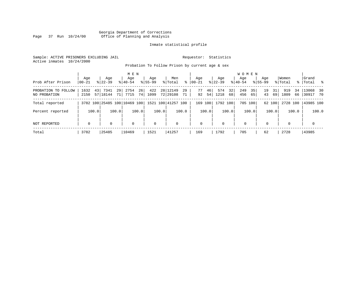# Georgia Department of Corrections Page 37 Run 10/24/00 Office of Planning and Analysis

# Inmate statistical profile

Sample: ACTIVE PRISONERS EXCLUDING JAIL **Requestor:** Statistics Active inmates 10/24/2000

Probation To Follow Prison by current age & sex

|                                     | Age                | Age                          | M E N<br>Age                 | Age         | Men                              | Age                  | Age                     | <b>WOMEN</b><br>Aqe    | Age                  | Women                   | Grand                   |
|-------------------------------------|--------------------|------------------------------|------------------------------|-------------|----------------------------------|----------------------|-------------------------|------------------------|----------------------|-------------------------|-------------------------|
| Prob After Prison                   | $00 - 21$          | $8122 - 39$                  | $8140 - 54$                  | $8155 - 99$ | ွေ<br>% Total                    | $ 00-21 $            | $8122 - 39$             | $8140 - 54$            | $8155 - 99$          | % Total                 | %   Total %             |
| PROBATION TO FOLLOW<br>NO PROBATION | 43<br>1632<br>2150 | 7341<br>29<br>57 18144<br>71 | 26<br>2754<br>7715<br>74 I   | 422<br>1099 | 28 12149<br>29<br>72 29108<br>71 | 46<br>77<br>92<br>54 | 32<br>574<br>1218<br>68 | 249<br>35<br>456<br>65 | 19<br>31<br>43<br>69 | 34<br>919<br>1809<br>66 | $13068$ 30<br>130917 70 |
| Total reported                      |                    |                              | 3782 100 25485 100 10469 100 |             | 1521 100 41257 100               | 169 100              | 1792 100                | 705 100                | 62 100               | 2728 100                | 43985 100               |
| Percent reported                    | 100.0              | 100.0                        | 100.0                        | 100.0       | 100.0                            | 100.0                | 100.0                   | 100.0                  | 100.0                | 100.0                   | 100.0                   |
| NOT REPORTED                        | $\mathbf 0$        | $\Omega$                     | 0                            | $\mathbf 0$ | $\mathbf 0$                      | $\mathbf 0$          | $\Omega$                | $\mathbf 0$            | $\Omega$             | $\Omega$                | $\mathbf 0$             |
| Total                               | 3782               | 25485                        | 10469                        | 1521        | 41257                            | 169                  | 1792                    | 705                    | 62                   | 2728                    | 43985                   |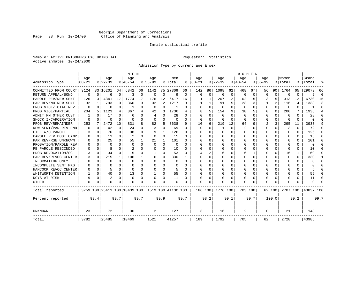# Georgia Department of Corrections Page 38 Run 10/24/00 Office of Planning and Analysis

# Inmate statistical profile

Sample: ACTIVE PRISONERS EXCLUDING JAIL **Requestor:** Statistics Active inmates 10/24/2000

Admission Type by current age & sex

|                      |                  |          |                  |          | M E N                        |          |                  |             |                    |          |                      |             |                  |          | <b>WOMEN</b>     |          |                    |          |                  |      |                    |            |
|----------------------|------------------|----------|------------------|----------|------------------------------|----------|------------------|-------------|--------------------|----------|----------------------|-------------|------------------|----------|------------------|----------|--------------------|----------|------------------|------|--------------------|------------|
| Admission Type       | Age<br>$00 - 21$ |          | Age<br>$8 22-39$ |          | Age<br>$8 40-54$             |          | Age<br>$8 55-99$ |             | Men<br>% Total     |          | Age<br>$8   00 - 21$ |             | Age<br>$ 22-39 $ |          | Age<br>$8 40-54$ |          | Age<br>$8155 - 99$ |          | Women<br>% Total |      | Grand<br>%   Total |            |
|                      |                  |          |                  |          |                              |          |                  |             |                    |          |                      |             |                  |          |                  |          |                    |          |                  |      |                    |            |
| COMMITTED FROM COURT | 3124             |          | 83 16201         | 64       | 6842                         | 66       | 1142             |             | 75 27309           | 66       | 142                  | 86          | 1098             | 62       | 468              | 67       | 56                 | 90       | 1764             | 65   | 29073              | 66         |
| RETURN APPEAL/BOND   | $\mathbf 0$      | $\Omega$ | 6                | 0        | 3                            | 0        | $\Omega$         | 0           | 9                  | 0        | $\mathbf 0$          | $\mathbf 0$ | $\Omega$         | 0        | 0                | 0        | $\Omega$           | $\Omega$ | O                | 0    | 9                  | $\sqrt{ }$ |
| PAROLE REV/NEW SENT  | 126              | 3        | 4341             | 17.      | 1774                         | 17       | 176              | 12          | 6417               | 16       |                      | 1           | 207              | 12       | 102              | 15       |                    | 5        | 313              | 12   | 6730               | 15         |
| PAR REV/NO NEW SENT  | 32               |          | 793              | 3        | 360                          | 3        | 32               | 2           | 1217               | 3        |                      |             | 91               | 5        | 23               | 3        |                    | 2        | 116              | 4    | 1333               | Р          |
| PROB VIOL/TOTAL REV  | 0                | $\Omega$ | 0                | 0        | -1                           | $\Omega$ | $\Omega$         | $\Omega$    |                    | 0        | $\Omega$             | $\Omega$    | $\Omega$         | $\Omega$ | $\Omega$         | $\Omega$ | $\Omega$           | $\Omega$ | $\Omega$         | 0    |                    | $\Omega$   |
| PROB VIOL/PARTIAL    | 204              | 5        | 1123             | 4        | 367                          | 4        | 42               | 3           | 1736               | 4        | 8                    | 5           | 154              | 9        | 38               | 5        | 0                  | $\Omega$ | 200              | 7    | 1936               | 4          |
| ADMIT FM OTHER CUST  |                  | $\Omega$ | 17               | 0        | 6                            | 0        | 4                | $\Omega$    | 28                 | 0        | $\Omega$             | $\Omega$    | $\Omega$         | $\Omega$ | $\Omega$         | O        | 0                  | $\Omega$ | 0                | 0    | 28                 | ∩          |
| SHOCK INCARCERATION  | $\Omega$         | $\Omega$ | O                | 0        | $\Omega$                     | 0        | $\Omega$         | 0           | 0                  | 0        | $\Omega$             | 0           | 0                | O        | 0                | O        | $\Omega$           | 0        | <sup>0</sup>     | 0    | U                  | ſ          |
| PROB REV/REMAINDER   | 253              | 7        | 2472             | 10       | 831                          | 8        | 82               | 5           | 3638               | 9        | 10                   | 6           | 219              | 12       | 64               | 9        | 2                  | 3        | 295              | 11   | 3933               |            |
| NEW SENT/PAR REV PND |                  | $\Omega$ | 42               | 0        | 24                           | 0        | 3                | $\mathbf 0$ | 69                 | 0        | $\Omega$             | $\Omega$    | -1               | 0        | 2                | O        | $\Omega$           | $\Omega$ | 3                | 0    | 72                 | n          |
| LIFE W/O PAROLE      |                  | $\Omega$ | 76               | 0        | 38                           | $\Omega$ | 9                | 1           | 126                | 0        | n                    | 0           | <sup>0</sup>     | $\Omega$ | O                | n        | $\Omega$           | $\Omega$ | $\Omega$         | 0    | 126                | n          |
| PAROLE REV BOOT CAMP |                  | $\Omega$ | 13               | 0        | $\overline{2}$               | $\Omega$ | $\Omega$         | 0           | 15                 | U        |                      | 0           | $\Omega$         | $\Omega$ | Ω                | n        | ∩                  | U        | O                | 0    | 15                 |            |
| PAR REV/RSN UNKNOWN  |                  | $\Omega$ | 25               | $\cap$   | 55                           | 1        | 21               | 1           | 101                | U        | ∩                    | 0           | $\Omega$         | $\Omega$ | Ω                | O        | ∩                  | $\Omega$ | n                | 0    | 101                |            |
| PROBATION/PAROLE REV |                  | ∩        | $\Omega$         | 0        | $\Omega$                     | $\Omega$ | $\Omega$         | $\Omega$    | $\Omega$           | U        | ∩                    | O           | U                | $\Omega$ | U                | O        | ∩                  | U        | U                | U    | $\Omega$           |            |
| PB PAROLE RESCINDED  |                  | $\Omega$ | 8                | U        | 2                            | U        | U                | $\Omega$    | 10                 | O        | ∩                    | 0           | U                | $\Omega$ | U                | O        | ∩                  | $\Omega$ | n                | U    | 10                 |            |
| PROB REVOCATION/SC   |                  | $\Omega$ | 34               | 0        | 15                           | U        |                  | O           | 53                 | O        |                      | 2           | 6                | O        | 6                |          | $\Omega$           | $\Omega$ | 16               |      | 69                 | n          |
| PAR REV/REVOC CENTER |                  | 0        | 215              | 1        | 106                          |          | 6                | 0           | 330                |          | <sup>0</sup>         | 0           |                  | O        | Ω                | O        | $\Omega$           | U        | <sup>0</sup>     | 0    | 330                |            |
| INFORMATION ONLY     |                  | $\Omega$ | O                | 0        | $\Omega$                     | 0        | O                | 0           | 0                  | 0        | <sup>0</sup>         | 0           | 0                | O        | U                | $\Omega$ | $\Omega$           | $\Omega$ | O                | 0    | U                  | ∩          |
| INCOMPLETE SENT PKG  |                  | $\Omega$ |                  | 0        | $\Omega$                     | 0        | O                | $\Omega$    | 0                  | O        | <sup>0</sup>         | $\Omega$    | O                | O        | U                | O        | O                  | $\Omega$ | O                | 0    |                    | n          |
| HANCOCK REVOC CENTER |                  | $\Omega$ | 5                | 0        | $\cap$                       | 0        | U                | $\Omega$    | 5                  | U        | ∩                    | $\Omega$    | O                | O        | U                | $\Omega$ | $\Omega$           | $\Omega$ |                  | 0    |                    | ∩          |
| WHITWORTH DETENTION  |                  | $\Omega$ | 40               | 0        | 13                           | 0        | 1                | 0           | 55                 | $\Omega$ | <sup>0</sup>         | 0           | $\Omega$         | O        | 0                | $\Omega$ | $\Omega$           | $\Omega$ |                  | 0    | 55                 | ∩          |
| DCYS AT RISK         |                  | $\Omega$ | $\overline{2}$   | $\Omega$ | $\Omega$                     | 0        |                  | $\Omega$    | 11                 | 0        |                      | 0           | 0                | $\Omega$ | 0                | 0        | $\Omega$           | $\Omega$ |                  | 0    | 11                 | C          |
| OTHER                | $\Omega$         | $\Omega$ | O                | U        | O                            | 0        | O                | $\Omega$    | $\Omega$           | O        | $\Omega$             | O           | O                | $\Omega$ | O                | O        | $\Omega$           | $\Omega$ |                  | U    | U                  |            |
| Total reported       |                  |          |                  |          | 3759 100 25413 100 10439 100 |          |                  |             | 1519 100 41130 100 |          | 166 100              |             | 1776 100         |          | 703 100          |          |                    | 62 100   | 2707 100         |      | 43837 100          |            |
| Percent reported     |                  | 99.4     |                  | 99.7     |                              | 99.7     |                  | 99.9        |                    | 99.7     |                      | 98.2        |                  | 99.1     |                  | 99.7     |                    | 100.0    |                  | 99.2 |                    | 99.7       |
| UNKNOWN              | 23               |          | 72               |          | 30                           |          | 2                |             | 127                |          | 3                    |             | 16               |          | 2                |          | 0                  |          | 21               |      | 148                |            |
| Total                | 3782             |          | 25485            |          | 10469                        |          | 1521             |             | 41257              |          | 169                  |             | 1792             |          | 705              |          | 62                 |          | 2728             |      | 43985              |            |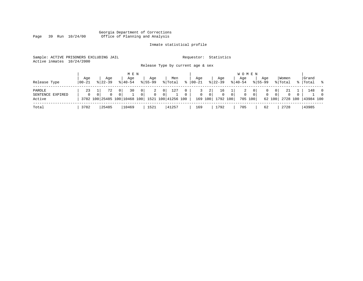#### Georgia Department of Corrections Page 39 Run 10/24/00 Office of Planning and Analysis

# Inmate statistical profile

| Sample: ACTIVE PRISONERS EXCLUDING JAIL | Requestor: Statistics             |           |
|-----------------------------------------|-----------------------------------|-----------|
| Active inmates 10/24/2000               |                                   |           |
|                                         | Release Type by current age & sex |           |
|                                         | M E N<br>$ -$                     | W O M E N |

| Release Type                         | Aqe<br>  00-21 | Aqe<br>$8122 - 39$ | Age<br>$8140 - 54$                                           | Age<br>$8155 - 99$              | Men<br>% Total                          | $\approx$ | Age<br>$ 00 - 21 $ | Age<br>$8 22-39$                  | $8 40-54$                | Age<br>$8155 - 99$                         | Age                          | Women<br>% Total                                                         |          | Grand<br>%   Total % |                                        |
|--------------------------------------|----------------|--------------------|--------------------------------------------------------------|---------------------------------|-----------------------------------------|-----------|--------------------|-----------------------------------|--------------------------|--------------------------------------------|------------------------------|--------------------------------------------------------------------------|----------|----------------------|----------------------------------------|
| PAROLE<br>SENTENCE EXPIRED<br>Active | 23<br>$\Omega$ | 72                 | 30<br>0 I<br>3782 100 25485 100 10468 100 1521 100 41256 100 | $\overline{0}$<br>2<br>$\Omega$ | 127<br>$\overline{0}$<br>0 <sup>1</sup> | $\circ$   | $\overline{0}$     | 2 <br>16<br>0<br>169 100 1792 100 | $\mathbf{0}$<br>$\Omega$ | 0 <sup>1</sup><br>2<br>$\Omega$<br>705 100 | $\mathbf{0}$<br>$\mathbf{0}$ | 21<br>0<br>$\overline{0}$<br>$\overline{0}$<br>62 100 2728 100 43984 100 | $\Omega$ | 148                  | $\overline{\phantom{0}}$<br>$\bigcirc$ |
| Total                                | 3782           | 25485              | 10469                                                        | 1521                            | 41257                                   |           | 169                | 1792                              |                          | 705                                        | 62                           | 2728                                                                     |          | 43985                |                                        |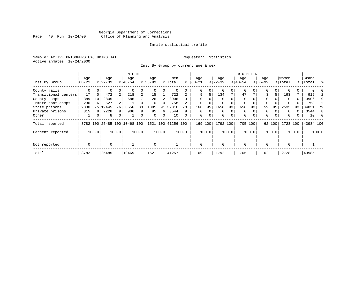# Georgia Department of Corrections<br>Page 40 Run 10/24/00 Office of Planning and Analysis Page 40 Run 10/24/00 Office of Planning and Analysis

# Inmate statistical profile

Sample: ACTIVE PRISONERS EXCLUDING JAIL **Requestor:** Statistics Active inmates 10/24/2000

Inst By Group by current age & sex

|                      |           |          |           |                | M E N                        |                |             |       |                    |          |             |          |             |             | <b>WOMEN</b> |          |             |        |          |       |           |       |
|----------------------|-----------|----------|-----------|----------------|------------------------------|----------------|-------------|-------|--------------------|----------|-------------|----------|-------------|-------------|--------------|----------|-------------|--------|----------|-------|-----------|-------|
|                      | Age       |          | Age       |                | Age                          |                | Age         |       | Men                |          | Aqe         |          | Age         |             | Age          |          | Age         |        | Women    |       | Grand     |       |
| Inst By Group        | $00 - 21$ |          | $8 22-39$ |                | $ 40-54 $                    |                | $8155 - 99$ |       | % Total            | ႜ        | $ 00 - 21 $ |          | $ 22-39$    |             | $ 40-54$     |          | $8155 - 99$ |        | % Total  |       | %   Total | ႜ     |
| County jails         | 0         |          | 0         | 0              |                              | 0              |             |       | 0                  |          | 0           | 0        |             | 0           | 0            |          | 0           | 0      |          |       |           |       |
| Transitional centers | 17        | $\Omega$ | 472       | $\overline{a}$ | 218                          | $\overline{a}$ | 15          |       | 722                | 2        | 9           | 5.       | 134         | 7           | 47           |          | 3           | 5      | 193      |       | 915       |       |
| County camps         | 389       | 10       | 2805      | 11             | 686                          |                | 26          |       | 3906               | q        | $\Omega$    |          |             |             | $\Omega$     |          | $\Omega$    |        | $\Omega$ | 0     | 3906      | 9     |
| Inmate boot camps    | 230       | 6        | 527       |                |                              |                |             |       | 758                |          |             |          |             |             | 0            |          | 0           |        |          |       | 758       |       |
| State prisons        | 2830      | 75       | 19445     | 76             | 8656                         | 83             | 1385        | 91    | 32316              | 78       | 160         | 95       | 1658        | 93          | 658          | 93       | 59          | 95     | 2535     | 93    | 34851     | 79    |
| Private prisons      | 315       | 8        | 2228      | 9              | 906                          | 9              | 95          | 6     | 3544               | 9        | $\Omega$    | $\Omega$ | $\Omega$    | $\Omega$    | $\Omega$     |          | $\Omega$    |        | $\Omega$ |       | 3544      | 8     |
| Other                | ᅩ         | 0        | 8         | 0 <sup>1</sup> |                              | 0              | $\Omega$    | 0     | 10                 | $\Omega$ | $\mathbf 0$ | 0        | $\mathbf 0$ | $\mathbf 0$ | $\mathbf 0$  | $\Omega$ | $\mathbf 0$ | 0      | 0        |       | 10        | - 0   |
| Total reported       |           |          |           |                | 3782 100 25485 100 10468 100 |                |             |       | 1521 100 41256 100 |          | 169         | 100      | 1792 100    |             | 705 100      |          |             | 62 100 | 2728     | 100   | 43984 100 |       |
| Percent reported     |           | 100.0    |           | 100.0          |                              | 100.0          |             | 100.0 |                    | 100.0    |             | 100.0    |             | 100.0       |              | 100.0    |             | 100.0  |          | 100.0 |           | 100.0 |
|                      | 0         |          | $\Omega$  |                |                              |                | $\Omega$    |       |                    |          | $\Omega$    |          | $\Omega$    |             | $\mathbf 0$  |          | $\Omega$    |        | $\Omega$ |       |           |       |
| Not reported         |           |          |           |                |                              |                |             |       |                    |          |             |          |             |             |              |          |             |        |          |       |           |       |
| Total                | 3782      |          | 25485     |                | 10469                        |                | 1521        |       | 41257              |          | 169         |          | 1792        |             | 705          |          | 62          |        | 2728     |       | 43985     |       |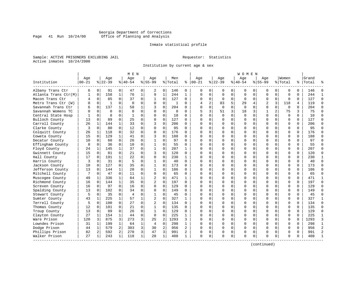# Georgia Department of Corrections<br>Page 41 Run 10/24/00 Office of Planning and Analysis Page 41 Run 10/24/00 Office of Planning and Analysis

# Inmate statistical profile

Sample: ACTIVE PRISONERS EXCLUDING JAIL **Requestor:** Statistics Active inmates 10/24/2000

Institution by current age & sex

| Age<br>Age<br>Institution<br>$00 - 21$<br>$8 22-39$<br>Albany Trans Ctr<br>6<br>0<br>91<br>158<br>Atlanta Trans Ctr(M)<br>$\mathbf{1}$<br>$\mathbf 0$<br>$\mathbf 0$<br>85<br>Macon Trans Ctr<br>4<br>$\mathbf 0$<br>Metro Trans Ctr (W)<br>$\mathbf{1}$<br>$\Omega$<br>137<br>Savannah Trans Ctr<br>$\Omega$<br>б<br>$\Omega$<br>Savannah Womens TC<br>$\Omega$<br>$\Omega$<br>$\mathbf 0$<br>8<br>Central State Hosp<br>Bulloch County<br>13<br>$\Omega$<br>89<br>Carroll County<br>26<br>1<br>144<br>Clarke County<br>3<br>0<br>80<br>Colquitt County<br>26<br>1<br>118<br>129<br>15<br>$\mathbf 0$<br>Coweta County<br>60<br>Decatur County<br>10<br>0 | M E N                      |                             |             |                         |              |                          |                | W O M E N |             |                |                |             |          |           |                |
|------------------------------------------------------------------------------------------------------------------------------------------------------------------------------------------------------------------------------------------------------------------------------------------------------------------------------------------------------------------------------------------------------------------------------------------------------------------------------------------------------------------------------------------------------------------------------------------------------------------------------------------------------------|----------------------------|-----------------------------|-------------|-------------------------|--------------|--------------------------|----------------|-----------|-------------|----------------|----------------|-------------|----------|-----------|----------------|
|                                                                                                                                                                                                                                                                                                                                                                                                                                                                                                                                                                                                                                                            | Age                        | Aqe                         |             | Men                     | Age          | Aqe                      |                | Aqe       |             | Aqe            |                | Women       |          | Grand     |                |
|                                                                                                                                                                                                                                                                                                                                                                                                                                                                                                                                                                                                                                                            | $8 40-54$                  | $8155 - 99$                 |             | % Total<br>ႜ            | $ 00-21$     | $ 22-39$                 |                | $ 40-54$  |             | $8155 - 99$    |                | % Total     |          | %   Total |                |
|                                                                                                                                                                                                                                                                                                                                                                                                                                                                                                                                                                                                                                                            | 0<br>47                    | 0<br>2                      | 0           | 146<br>0                | $\Omega$     | $\mathbf{0}$<br>0        | 0              | 0         | 0           | 0              | 0              | 0           | 0        | 146       | $\Omega$       |
|                                                                                                                                                                                                                                                                                                                                                                                                                                                                                                                                                                                                                                                            | $\mathbf{1}$<br>76         | $\mathbf{1}$<br>9           | $\mathbf 1$ | 244<br>$\mathbf{1}$     | $\Omega$     | $\Omega$<br>$\mathbf 0$  | $\mathbf 0$    | $\Omega$  | $\mathbf 0$ | $\Omega$       | $\Omega$       | $\mathbf 0$ | $\Omega$ | 244       | $\mathbf{1}$   |
|                                                                                                                                                                                                                                                                                                                                                                                                                                                                                                                                                                                                                                                            | $\Omega$<br>37             | 0<br>$\mathbf{1}$           | $\mathbf 0$ | 127<br>$\Omega$         | $\Omega$     | $\mathbf{0}$<br>$\Omega$ | $\mathbf 0$    | $\Omega$  | $\mathbf 0$ | 0              | $\Omega$       | $\mathbf 0$ | $\Omega$ | 127       | $\Omega$       |
|                                                                                                                                                                                                                                                                                                                                                                                                                                                                                                                                                                                                                                                            | $\Omega$<br>$\Omega$       | $\mathbf 0$<br>$\Omega$     | $\mathbf 0$ | $\Omega$<br>-1          |              | $\overline{a}$<br>83     | 5              | 29        | 4           | $\overline{a}$ | 3              | 118         | 4        | 119       | $\Omega$       |
|                                                                                                                                                                                                                                                                                                                                                                                                                                                                                                                                                                                                                                                            | $\mathbf{1}$<br>58         | 1<br>ζ                      | $\Omega$    | 204<br>$\Omega$         | $\cap$       | $\Omega$<br>0            | $\Omega$       | $\Omega$  | $\Omega$    | $\Omega$       | $\Omega$       | $\Omega$    | $\Omega$ | 204       | $\Omega$       |
|                                                                                                                                                                                                                                                                                                                                                                                                                                                                                                                                                                                                                                                            | $\Omega$<br>$\Omega$       | $\Omega$<br>$\Omega$        | $\Omega$    | $\mathbf 0$<br>$\Omega$ | 5            | 3<br>51                  | $\overline{3}$ | 18        | 3           | $\mathbf{1}$   | $\overline{a}$ | 75          | 3        | 75        | $\Omega$       |
|                                                                                                                                                                                                                                                                                                                                                                                                                                                                                                                                                                                                                                                            | $\mathbf 0$<br>1           | 0<br>$\Omega$               | 0           | 10<br>0                 | $\Omega$     | $\Omega$<br>$\Omega$     | $\mathbf 0$    | $\Omega$  | $\mathbf 0$ | $\mathbf 0$    | $\mathbf 0$    | $\mathbf 0$ | $\Omega$ | 10        | $\Omega$       |
|                                                                                                                                                                                                                                                                                                                                                                                                                                                                                                                                                                                                                                                            | $\Omega$<br>25             | $\Omega$<br>$\Omega$        | $\Omega$    | 127<br>$\Omega$         | $\cap$       | 0<br>$\Omega$            | 0              | $\Omega$  | $\Omega$    | $\Omega$       | $\Omega$       | $\Omega$    | $\Omega$ | 127       | $\Omega$       |
|                                                                                                                                                                                                                                                                                                                                                                                                                                                                                                                                                                                                                                                            | $\mathbf{1}$<br>33         | $\Omega$<br>3               | $\Omega$    | 206<br>$\Omega$         | $\cap$       | 0<br>$\Omega$            | $\Omega$       | $\Omega$  | 0           | $\Omega$       | $\Omega$       | $\Omega$    | $\Omega$ | 206       | $\Omega$       |
|                                                                                                                                                                                                                                                                                                                                                                                                                                                                                                                                                                                                                                                            | 0<br>12                    | $\Omega$<br>$\Omega$        | $\mathbf 0$ | 95<br>$\Omega$          |              | $\Omega$<br>$\Omega$     | 0              | C         | 0           | $\Omega$       | $\Omega$       | $\Omega$    | $\Omega$ | 95        | $\Omega$       |
|                                                                                                                                                                                                                                                                                                                                                                                                                                                                                                                                                                                                                                                            | 32<br>0                    | $\Omega$<br>$\Omega$        | $\Omega$    | 176<br>$\Omega$         | ∩            | 0<br>$\Omega$            | $\Omega$       | $\Omega$  | $\Omega$    | $\Omega$       | $\Omega$       | $\Omega$    | $\Omega$ | 176       | $\Omega$       |
|                                                                                                                                                                                                                                                                                                                                                                                                                                                                                                                                                                                                                                                            | $\mathbf{1}$<br>41         | $\Omega$<br>3               | $\Omega$    | 188<br>$\Omega$         | <sup>0</sup> | $\Omega$<br>$\Omega$     | $\Omega$       | $\Omega$  | $\Omega$    | $\Omega$       | $\Omega$       | $\Omega$    | $\Omega$ | 188       | ∩              |
|                                                                                                                                                                                                                                                                                                                                                                                                                                                                                                                                                                                                                                                            | $\mathbf 0$<br>26          | $\mathbf 0$<br>$\mathbf{1}$ | $\mathbf 0$ | 97<br>$\Omega$          | $\Omega$     | $\Omega$<br>0            | 0              |           | $\mathbf 0$ | $\Omega$       | 0              | $\mathbf 0$ | $\Omega$ | 97        | $\Omega$       |
| 36<br>Effingham County<br>8<br>$\mathbf 0$                                                                                                                                                                                                                                                                                                                                                                                                                                                                                                                                                                                                                 | $\Omega$<br>10             | $\mathbf 1$<br>0            | $\mathbf 0$ | 55<br>$\Omega$          | $\Omega$     | 0<br>O                   | 0              | U         | 0           | $\Omega$       | $\Omega$       | $\Omega$    | $\Omega$ | 55        | $\Omega$       |
| Floyd County<br>1<br>145<br>24                                                                                                                                                                                                                                                                                                                                                                                                                                                                                                                                                                                                                             | $\mathbf 1$<br>37          | 0<br>1                      | 0           | 207<br>1                | ∩            | 0<br>$\Omega$            | 0              | $\Omega$  | 0           | $\Omega$       | $\Omega$       | 0           | 0        | 207       | $\Omega$       |
| Gwinnett County<br>15<br>81<br>0                                                                                                                                                                                                                                                                                                                                                                                                                                                                                                                                                                                                                           | 0<br>21                    | 0<br>3                      | 0           | 120<br>$\Omega$         |              | $\Omega$<br>$\Omega$     | 0              | $\Omega$  | 0           | $\Omega$       | $\Omega$       | $\mathbf 0$ | $\Omega$ | 120       | $\Omega$       |
| 191<br>Hall County<br>17<br>$\Omega$                                                                                                                                                                                                                                                                                                                                                                                                                                                                                                                                                                                                                       | $\mathbf{1}$<br>2.2        | $\Omega$<br>$\Omega$        | $\Omega$    | 230<br>$\mathbf{1}$     | ∩            | $\Omega$<br>$\Omega$     | 0              | $\Omega$  | $\Omega$    | $\Omega$       | $\Omega$       | $\Omega$    | $\Omega$ | 230       | $\mathbf{1}$   |
| 31<br>Harris County<br>3<br>$\Omega$                                                                                                                                                                                                                                                                                                                                                                                                                                                                                                                                                                                                                       | $\Omega$<br>.5             | $\Omega$<br>$\mathbf{1}$    | $\Omega$    | 40<br>$\Omega$          | ∩            | $\Omega$<br>$\Omega$     | 0              | $\Omega$  | $\Omega$    | $\Omega$       | $\Omega$       | $\Omega$    | $\Omega$ | 40        | $\Omega$       |
| 127<br>Jackson County<br>10<br>$\mathbf 0$                                                                                                                                                                                                                                                                                                                                                                                                                                                                                                                                                                                                                 | $\Omega$<br>35             | $\mathbf 1$<br>$\Omega$     | $\mathbf 0$ | 173<br>$\Omega$         |              | $\Omega$<br>O            | 0              |           | $\mathbf 0$ | $\Omega$       | $\Omega$       | $\mathbf 0$ | $\Omega$ | 173       | $\Omega$       |
| 13<br>Jefferson County<br>0<br>144                                                                                                                                                                                                                                                                                                                                                                                                                                                                                                                                                                                                                         | 28<br>$\mathbf{1}$         | $\mathbf{1}$<br>0           | $\Omega$    | 186<br>$\Omega$         | $\Omega$     | 0<br>$\Omega$            | $\Omega$       | U         | 0           | $\Omega$       | $\Omega$       | $\Omega$    | $\Omega$ | 186       | $\Omega$       |
| Mitchell County<br>$\mathbf 0$<br>47<br>7                                                                                                                                                                                                                                                                                                                                                                                                                                                                                                                                                                                                                  | $\Omega$<br>11             | 0<br>$\Omega$               | $\mathbf 0$ | 65<br>0                 | <sup>0</sup> | 0<br>$\Omega$            | 0              | $\Omega$  | 0           | $\Omega$       | $\Omega$       | $\Omega$    | $\Omega$ | 65        | $\Omega$       |
| Muscogee County<br>336<br>49<br>1                                                                                                                                                                                                                                                                                                                                                                                                                                                                                                                                                                                                                          | $\mathbf{1}$<br>84         | 1<br>2                      | $\mathbf 0$ | 471<br>1                |              | $\Omega$<br>$\Omega$     | 0              | O         | 0           | $\Omega$       | $\Omega$       | $\mathbf 0$ | $\Omega$ | 471       | -1             |
| Richmond County<br>144<br>16<br>$\mathbf 0$                                                                                                                                                                                                                                                                                                                                                                                                                                                                                                                                                                                                                | $\mathbf{1}$<br>35         | $\overline{c}$<br>$\Omega$  | $\mathbf 0$ | 197<br>$\Omega$         | $\cap$       | 0<br>$\Omega$            | 0              | $\Omega$  | 0           | $\Omega$       | $\Omega$       | $\Omega$    | $\Omega$ | 197       | $\Omega$       |
| 16<br>97<br>Screven County<br>0                                                                                                                                                                                                                                                                                                                                                                                                                                                                                                                                                                                                                            | $\Omega$<br>16             | 0<br>0                      | $\mathbf 0$ | 129<br>0                | $\Omega$     | $\Omega$<br>$\Omega$     | $\mathbf 0$    | $\Omega$  | 0           | $\Omega$       | $\Omega$       | $\mathbf 0$ | $\Omega$ | 129       | $\Omega$       |
| Spalding County<br>$\mathbf 0$<br>102<br>13                                                                                                                                                                                                                                                                                                                                                                                                                                                                                                                                                                                                                | $\mathbf 0$<br>34          | $\mathbf 0$<br>$\Omega$     | $\mathbf 0$ | 149<br>$\Omega$         | $\Omega$     | $\Omega$<br>$\Omega$     | 0              |           | $\mathbf 0$ | $\Omega$       | 0              | $\mathbf 0$ | $\Omega$ | 149       | $\Omega$       |
| 35<br>Stewart County<br>5<br>$\Omega$                                                                                                                                                                                                                                                                                                                                                                                                                                                                                                                                                                                                                      | $\Omega$<br>$\overline{4}$ | $\Omega$<br>$\mathbf{1}$    | $\Omega$    | 45<br>$\Omega$          | $\Omega$     | $\Omega$<br>$\Omega$     | $\Omega$       | $\Omega$  | 0           | $\Omega$       | $\Omega$       | $\Omega$    | $\Omega$ | 45        | $\Omega$       |
| 225<br>Sumter County<br>43<br>1                                                                                                                                                                                                                                                                                                                                                                                                                                                                                                                                                                                                                            | $\mathbf{1}$<br>57         | $\overline{c}$<br>1         | $\Omega$    | 327<br>1                | $\cap$       | 0<br>$\Omega$            | 0              | $\Omega$  | 0           | $\Omega$       | $\Omega$       | $\Omega$    | $\Omega$ | 327       | $\mathbf{1}$   |
| Terrell County<br>100<br>5<br>0                                                                                                                                                                                                                                                                                                                                                                                                                                                                                                                                                                                                                            | 27<br>$\Omega$             | $\overline{2}$<br>0         | $\mathbf 0$ | 134<br>0                |              | $\Omega$<br>$\Omega$     | O              | C         | $\mathbf 0$ | $\Omega$       | $\Omega$       | $\Omega$    | $\Omega$ | 134       | $\Omega$       |
| Thomas County<br>12<br>101<br>0                                                                                                                                                                                                                                                                                                                                                                                                                                                                                                                                                                                                                            | 0<br>21                    | $\Omega$<br>1               | $\Omega$    | 135<br>0                | ∩            | $\cap$<br>$\Omega$       | 0              | $\Omega$  | $\Omega$    | $\Omega$       | $\Omega$       | $\Omega$    | $\Omega$ | 135       | $\Omega$       |
| Troup County<br>13<br>89<br>0                                                                                                                                                                                                                                                                                                                                                                                                                                                                                                                                                                                                                              | $\mathbf 0$<br>26          | 0<br>1                      | $\mathbf 0$ | 129<br>0                |              | $\Omega$<br>$\Omega$     | 0              | $\Omega$  | 0           | $\Omega$       | $\Omega$       | $\mathbf 0$ | $\Omega$ | 129       | $\Omega$       |
| Clayton County<br>27<br>$\mathbf 1$<br>154                                                                                                                                                                                                                                                                                                                                                                                                                                                                                                                                                                                                                 | $\mathbf{1}$<br>44         | $\mathbf 0$<br>$\Omega$     | $\mathbf 0$ | 225<br>1                |              | $\Omega$<br>0            | 0              |           | 0           | $\Omega$       | $\Omega$       | $\mathbf 0$ | $\Omega$ | 225       | $\mathbf{1}$   |
| 875<br>Ware Prison<br>120<br>3                                                                                                                                                                                                                                                                                                                                                                                                                                                                                                                                                                                                                             | 3<br>273                   | 3<br>25                     | 2           | 1293<br>3               | $\cap$       | 0<br>$\Omega$            | 0              | $\Omega$  | 0           | $\Omega$       | $\Omega$       | $\mathbf 0$ | $\Omega$ | 1293      | 3              |
| Lowndes Prison<br>199<br>31<br>$\mathbf 1$                                                                                                                                                                                                                                                                                                                                                                                                                                                                                                                                                                                                                 | $\mathbf{1}$<br>64         | $\mathbf 1$<br>4            | $\mathbf 0$ | 298<br>1                | ∩            | $\Omega$<br>$\Omega$     | $\Omega$       | $\Omega$  | 0           | $\Omega$       | $\Omega$       | $\Omega$    | $\Omega$ | 298       | $\mathbf{1}$   |
| Dodge Prison<br>579<br>44<br>1                                                                                                                                                                                                                                                                                                                                                                                                                                                                                                                                                                                                                             |                            |                             |             |                         |              |                          |                |           |             |                |                |             |          |           |                |
| Phillips Prison<br>592<br>82<br>2                                                                                                                                                                                                                                                                                                                                                                                                                                                                                                                                                                                                                          | 2<br>303                   | 3<br>30                     | 2           | 956<br>2                | ∩            | $\Omega$<br>$\Omega$     | $\Omega$       | $\Omega$  | 0           | $\Omega$       | $\Omega$       | $\mathbf 0$ | $\Omega$ | 956       | $\overline{2}$ |
| Walker Prison<br>27<br>243<br>1                                                                                                                                                                                                                                                                                                                                                                                                                                                                                                                                                                                                                            | 2<br>270                   | 3<br>47                     | 3           | 991<br>2                | <sup>0</sup> | 0<br>0                   | 0              | $\Omega$  | $\mathbf 0$ | $\Omega$       | $\Omega$       | $\Omega$    | $\Omega$ | 991       | $\mathcal{D}$  |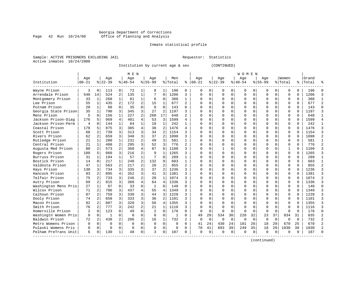#### Georgia Department of Corrections Page 42 Run 10/24/00 Office of Planning and Analysis

# Inmate statistical profile

|  | Sample: ACTIVE PRISONERS EXCLUDING JAIL |  |
|--|-----------------------------------------|--|
|  | Active inmates 10/24/2000               |  |

L Bample: Active Prequestor: Statistics

Institution by current age & sex

|  |  | (CONTINUED) |  |
|--|--|-------------|--|
|--|--|-------------|--|

|                      |           |                |          |                | M E N          |                |             |                |              |                |          |              |             |          | <b>WOMEN</b> |             |             |          |              |          |           |                |
|----------------------|-----------|----------------|----------|----------------|----------------|----------------|-------------|----------------|--------------|----------------|----------|--------------|-------------|----------|--------------|-------------|-------------|----------|--------------|----------|-----------|----------------|
|                      | Age       |                | Age      |                | Age            |                | Aqe         |                | Men          |                | Age      |              | Age         |          | Aqe          |             | Age         |          | Women        |          | Grand     |                |
| Institution          | $00 - 21$ |                | $ 22-39$ |                | $ 40-54 $      |                | $8155 - 99$ |                | % Total      | ៖              | $ 00-21$ |              | $ 22-39$    |          | $8 40-54$    |             | $8155 - 99$ |          | % Total      |          | %   Total | ዱ              |
| Wayne Prison         | 3         | $\Omega$       | 113      | 0              | 72             | 1              | 8           | 1              | 196          | 0              | O        | 0            | 0           | 0        | 0            | $\Omega$    | 0           | 0        | $\Omega$     | $\Omega$ | 196       | $\Omega$       |
| Arrendale Prison     | 540       | 14             | 524      | 2              | 135            | 1              |             | 0              | 1206         | 3              | $\Omega$ | 0            | $\Omega$    | $\Omega$ |              | $\Omega$    | $\Omega$    | $\Omega$ | $\Omega$     | $\Omega$ | 1206      | 3              |
| Montgomery Prison    | 33        | 1              | 268      | 1              | 81             | 1              | 6           | 0              | 388          | 1              | $\cap$   | $\Omega$     | $\Omega$    | $\Omega$ | O            | $\Omega$    | U           | $\Omega$ | $\Omega$     | $\Omega$ | 388       | 1              |
| Lee Prison           | 55        | $\mathbf{1}$   | 435      | $\overline{2}$ | 172            | $\overline{a}$ | 15          | $\mathbf{1}$   | 677          | $\overline{2}$ | U        | $\Omega$     | $\Omega$    | $\Omega$ |              | $\Omega$    | U           | $\Omega$ | $\Omega$     | $\Omega$ | 677       | 2              |
| Putnam Prison        | 20        | 1              | 88       | $\Omega$       | 35             | $\Omega$       | $\Omega$    | $\Omega$       | 143          | $\Omega$       |          | $\Omega$     | $\Omega$    | $\Omega$ |              | $\Omega$    | U           | $\Omega$ | $\Omega$     | $\Omega$ | 143       | $\Omega$       |
| Georgia State Prison | 35        | 1              | 790      | 3              | 345            | 3              | 27          | 2              | 1197         | 3              |          | $\Omega$     | $\Omega$    | U        |              | $\Omega$    | O           | $\Omega$ | $\Omega$     | $\Omega$ | 1197      | 3              |
| Mens Prison          | 5         | $\Omega$       | 156      | $\mathbf{1}$   | 227            | $\overline{a}$ | 260         | 17             | 648          | 2              |          | $\Omega$     | $\Omega$    | $\Omega$ |              | $\Omega$    | O           | $\Omega$ | $\Omega$     | $\Omega$ | 648       | $\mathbf{1}$   |
| Jackson Prison-Diag  | 176       | 5              | 969      | 4              | 401            | 4              | 53          | 3              | 1599         | 4              |          | 0            | O           | U        |              | $\Omega$    | U           | 0        | $\Omega$     | $\Omega$ | 1599      | $\overline{4}$ |
| Jackson Prison-Perm  | 4         | $\Omega$       | 144      | $\mathbf{1}$   | 84             | $\mathbf{1}$   | 10          | 1              | 242          | $\mathbf{1}$   |          | 0            | U           | 0        |              | $\Omega$    | U           | 0        | $\Omega$     | $\Omega$ | 242       | $\mathbf{1}$   |
| Coastal Prison       | 178       | 5              | 875      | 3              | 385            | 4              | 38          | 2              | 1476         | 4              |          | 0            | O           | U        |              | $\Omega$    | Ω           | 0        | $\Omega$     |          | 1476      | 3              |
| Scott Prison         | 68        | 2              | 739      | 3              | 313            | 3              | 34          | 2              | 1154         |                |          |              |             | U        |              | $\Omega$    |             | $\Omega$ | $\Omega$     |          | 1154      | 3              |
| Rivers Prison        | 62        |                | 659      | 3              | 340            | 3              | 37          | $\overline{c}$ | 1098         | ς              |          | U            | $\cap$      | U        |              | $\Omega$    | U           | $\cap$   | $\Omega$     |          | 1098      | $\overline{2}$ |
| Rutledge Prison      | 21        | 1              | 280      | $\mathbf{1}$   | 231            | $\overline{a}$ | 49          | 3              | 581          | $\mathbf{1}$   |          | $\Omega$     | U           | $\Omega$ |              | ∩           | U           | $\Omega$ | $\Omega$     | $\cap$   | 581       | $\mathbf{1}$   |
| Central Prison       | 21        | $\mathbf{1}$   | 408      | 2              | 295            | 3              | 52          | 3              | 776          | $\overline{a}$ |          | $\Omega$     | O           | U        |              | $\Omega$    | U           | $\Omega$ | $\Omega$     | $\Omega$ | 776       | $\overline{2}$ |
| Augusta Med Prison   | 80        | 2              | 573      | 2              | 368            | 4              | 87          | 6              | 1108         | ς              |          | $\Omega$     |             | U        |              | $\Omega$    | Ω           | $\Omega$ | $\mathbf{1}$ | $\Omega$ | 1109      | 3              |
| Rogers Prison        | 180       | 5              | 860      | 3              | 216            | $\overline{a}$ | 9           | $\mathbf{1}$   | 1265         | 3              |          | $\Omega$     | $\Omega$    | U        |              | $\Omega$    | U           | $\Omega$ | $\Omega$     | $\Omega$ | 1265      | 3              |
| Burruss Prison       | 31        | $\mathbf{1}$   | 194      | $\mathbf{1}$   | 57             | $\mathbf{1}$   | 7           | $\Omega$       | 289          | $\mathbf{1}$   | $\cap$   | 0            | O           | 0        |              | $\Omega$    | U           | $\Omega$ | $\Omega$     | $\Omega$ | 289       | $\mathbf{1}$   |
| Bostick Prison       | 14        | $\Omega$       | 217      | $\mathbf{1}$   | 240            | $\overline{2}$ | 132         | 9              | 603          | 1              | U        | 0            | O           | $\Omega$ |              | $\Omega$    | U           | $\Omega$ | $\Omega$     | $\Omega$ | 603       | $\mathbf{1}$   |
| Valdosta Prison      | 47        | 1              | 563      | 2              | 217            | $\overline{2}$ | 28          | $\overline{a}$ | 855          | $\overline{a}$ |          |              | O           | $\Omega$ |              | 0           |             | $\Omega$ | $\Omega$     |          | 855       | $\overline{2}$ |
| Hays Prison          | 130       | 3              | 734      | 3              | 335            | 3              | 37          | $\overline{a}$ | 1236         | 3              |          | <sup>n</sup> | U           | $\Omega$ |              | ∩           | U           | $\Omega$ | $\Omega$     |          | 1236      | 3              |
| Hancock Prison       | 93        | 2              | 895      | 4              | 352            | 3              | 41          | 3              | 1381         | ς              | n        | <sup>n</sup> | U           | $\Omega$ |              | $\Omega$    | U           | $\Omega$ | $\Omega$     | $\cap$   | 1381      | 3              |
| Telfair Prison       | 75        | 2              | 733      | 3              | 246            | $\overline{a}$ | 20          | $\mathbf{1}$   | 1074         | 3              |          | 0            | O           | $\Omega$ |              | $\Omega$    | U           | $\Omega$ | $\Omega$     | $\Omega$ | 1074      | $\overline{a}$ |
| Autry Prison         | 69        | $\overline{2}$ | 815      | 3              | 388            | $\overline{4}$ | 64          | 4              | 1336         | 3              |          | $\Omega$     | 0           | $\Omega$ |              | $\Omega$    | 0           | $\Omega$ | $\Omega$     |          | 1336      | 3              |
| Washington Mens Pris | 27        | $\mathbf{1}$   | 87       | $\Omega$       | 33             | $\Omega$       | 1           | 0              | 148          | $\Omega$       |          | $\Omega$     | 0           | 0        |              | $\Omega$    | 0           | $\Omega$ | $\Omega$     |          | 148       | $\Omega$       |
| Wilcox Prison        | 71        | 2              | 786      | 3              | 437            | 4              | 55          | 4              | 1349         | 3              |          | 0            | 0           | U        |              | $\Omega$    | 0           | 0        | $\Omega$     | $\Omega$ | 1349      | 3              |
| Calhoun Prison       | 87        | 2              | 759      | 3              | 338            | 3              | 44          | 3              | 1228         | 3              | n        | 0            | O           | 0        |              | $\Omega$    | O           | 0        | $\Omega$     | $\Omega$ | 1228      | 3              |
| Dooly Prison         | 74        | 2              | 658      | 3              | 333            | 3              | 36          | 2              | 1101         | 3              |          | 0            | O           | 0        |              | $\Omega$    | 0           | 0        | $\Omega$     | $\Omega$ | 1101      | 3              |
| Macon Prison         | 92        | 2              | 887      | 3              | 320            | 3              | 56          | 4              | 1355         | ς              |          |              |             | U        |              | $\Omega$    |             | 0        | $\Omega$     |          | 1355      | 3              |
| Smith Prison         | 76        | 2              | 777      | 3              | 242            | 2              | 21          | 1              | 1116         | 3              |          | $\Omega$     | $\Omega$    | $\Omega$ |              | $\Omega$    | $\Omega$    | $\Omega$ | $\Omega$     |          | 1116      | 3              |
| Homerville Prison    | 2         | $\Omega$       | 123      | $\Omega$       | 49             | $\Omega$       | 2           | $\Omega$       | 176          | $\Omega$       | $\Omega$ | $\Omega$     | $\Omega$    | $\Omega$ | ∩            | $\Omega$    | $\Omega$    | $\Omega$ | $\Omega$     | $\cap$   | 176       | $\Omega$       |
| Washingtn Women Pris | 0         | $\Omega$       | -1       | $\Omega$       | $\Omega$       | $\Omega$       | $\Omega$    | $\Omega$       | $\mathbf{1}$ | $\Omega$       | 49       | 29           | 534         | 30       | 228          | 32          | 23          | 37       | 834          | 31       | 835       | $\overline{a}$ |
| Baldwin Prison       | 72        | 2              | 438      | $\overline{a}$ | 206            | $\overline{a}$ | 16          | 1              | 732          | 2              | $\Omega$ | $\Omega$     | $\mathbf 0$ | $\Omega$ | <sup>0</sup> | $\mathbf 0$ | $\Omega$    | $\Omega$ | $\Omega$     | $\Omega$ | 732       | $\overline{a}$ |
| Metro Womens Prison  | $\Omega$  | $\Omega$       | O        | $\Omega$       | $\Omega$       | $\Omega$       | $\mathbf 0$ | $\mathbf 0$    | $\mathbf 0$  | $\Omega$       | 41       | 24           | 430         | 24       | 181          | 26          | 18          | 29       | 670          | 25       | 670       | $\overline{a}$ |
| Pulaski Womens Pris  | 0         | $\mathbf 0$    | $\Omega$ | $\Omega$       | $\overline{0}$ | 0              | O           | $\mathbf 0$    | $\Omega$     | $\Omega$       | 70       | 41           | 693         | 39       | 249          | 35          | 18          | 29       | 1030         | 38       | 1030      | $\overline{a}$ |
| Pelham PreTrans Unit | 6         | 0              | 130      | 1              | 48             | 0              | ર           | 0              | 187          | $\Omega$       | $\Omega$ | 0            | $\Omega$    | 0        | $\Omega$     | $\mathbf 0$ | 0           | $\Omega$ | $\Omega$     | $\Omega$ | 187       | $\Omega$       |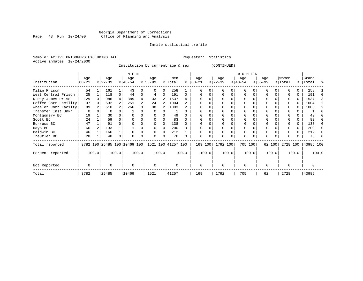# Georgia Department of Corrections<br>Page 43 Run 10/24/00 Office of Planning and Analysis Page 43 Run 10/24/00 Office of Planning and Analysis

# Inmate statistical profile

Sample: ACTIVE PRISONERS EXCLUDING JAIL **Requestor:** Statistics Active inmates 10/24/2000

Institution by current age & sex (CONTINUED)

|                      |          |       |           |          | M E N                        |       |                    |          |         |       |           |          |           |       | W O M E N |          |          |        |          |       |           |       |
|----------------------|----------|-------|-----------|----------|------------------------------|-------|--------------------|----------|---------|-------|-----------|----------|-----------|-------|-----------|----------|----------|--------|----------|-------|-----------|-------|
|                      | Age      |       | Age       |          | Age                          |       | Age                |          | Men     |       | Age       |          | Age       |       | Age       |          | Age      |        | Women    |       | Grand     |       |
| Institution          | $ 00-21$ |       | $ 22-39 $ |          | $8 40-54$                    |       | $ 55-99$           |          | % Total | ႜ     | $00 - 21$ |          | $ 22-39 $ |       | $ 40-54 $ |          | $ 55-99$ |        | % Total  |       | %   Total | ႜ     |
| Milan Prison         | 54       |       | 161       |          | 43                           | 0     | O                  | 0        | 258     |       |           |          |           | 0     | $\Omega$  |          | O        |        |          | 0     | 258       |       |
| West Central Prison  | 25       |       | 118       | $\Omega$ | 44                           | 0     | 4                  | 0        | 191     | 0     |           |          |           | 0     | $\Omega$  |          |          |        |          | 0     | 191       |       |
| D Ray James Prison   | 129      |       | 986       |          | 389                          |       | 33                 |          | 1537    |       |           |          |           |       | 0         |          |          |        |          | 0     | 1537      |       |
| Coffee Corr Facility | 97       |       | 632       |          | 251                          |       | 24                 |          | 1004    |       |           |          |           |       |           |          |          |        |          | U     | 1004      |       |
| Wheeler Corr Facilty | 89       |       | 610       |          | 266                          |       | 38                 |          | 1003    |       |           |          |           |       |           |          |          |        |          |       | 1003      |       |
| Transfer Inst Unkn   | 0        |       | $\Omega$  |          |                              |       |                    |          |         |       |           |          |           |       |           |          |          |        |          |       |           |       |
| Montgomery BC        | 19       |       | 30        |          |                              |       |                    |          | 49      |       |           |          |           |       |           |          |          |        |          |       | 49        |       |
| Scott BC             | 24       |       | 59        |          |                              |       |                    |          | 83      |       |           |          |           |       |           |          |          |        |          |       | 83        |       |
| Burruss BC           | 47       |       | 91        |          |                              |       |                    |          | 138     |       |           |          |           |       |           |          |          |        |          | 0     | 138       |       |
| Hays BC              | 66       |       | 133       |          |                              |       |                    | $\Omega$ | 200     |       |           |          |           |       |           |          |          |        |          | 0     | 200       | ∩     |
| Baldwin BC           | 46       |       | 166       |          |                              |       |                    | O        | 212     |       |           |          |           |       | $\Omega$  |          | $\Omega$ |        |          | 0     | 212       |       |
| Treutlen BC          | 28       |       | 48        |          | $\Omega$                     |       | U                  | 0        | 76      |       | $\Omega$  | $\Omega$ | $\Omega$  | 0     | $\Omega$  | $\Omega$ | $\Omega$ |        |          |       | 76        |       |
| Total reported       |          |       |           |          | 3782 100 25485 100 10469 100 |       | 1521 100 41257 100 |          |         |       | 169 100   |          | 1792 100  |       | 705 100   |          |          | 62 100 | 2728 100 |       | 43985 100 |       |
| Percent reported     |          | 100.0 |           | 100.0    |                              | 100.0 |                    | 100.0    |         | 100.0 |           | 100.0    |           | 100.0 |           | 100.0    |          | 100.0  |          | 100.0 |           | 100.0 |
| Not Reported         | $\Omega$ |       | U         |          | $\Omega$                     |       | $\Omega$           |          | O       |       | $\Omega$  |          | $\Omega$  |       | $\Omega$  |          | $\Omega$ |        |          |       |           |       |
| Total                | 3782     |       | 25485     |          | 10469                        |       | 1521               |          | 41257   |       | 169       |          | 1792      |       | 705       |          | 62       |        | 2728     |       | 43985     |       |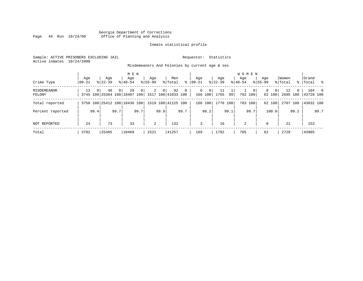# Georgia Department of Corrections Page 44 Run 10/24/00 Office of Planning and Analysis

# Inmate statistical profile

Sample: ACTIVE PRISONERS EXCLUDING JAIL **Requestor:** Statistics Active inmates 10/24/2000

Misdemeanors And Felonies by current age & sex

| Crime Type                   | Age<br>$00 - 21$ |          | Age<br>$8122 - 39$                 |          | M E N<br>Aqe<br>$8140 - 54$ |      | Aqe<br>$8155 - 99$ |                | Men<br>% Total           | ွေ             | Aqe<br>$ 00-21 $ |                                         | Aqe<br>$8 22-39$ |      | <b>WOMEN</b><br>Aqe<br>$8 40-54$ |                        | Age<br>$8155 - 99$ |                    | Women<br>% Total |          | Grand<br>%   Total % |       |
|------------------------------|------------------|----------|------------------------------------|----------|-----------------------------|------|--------------------|----------------|--------------------------|----------------|------------------|-----------------------------------------|------------------|------|----------------------------------|------------------------|--------------------|--------------------|------------------|----------|----------------------|-------|
| <b>MISDEMEANOR</b><br>FELONY | 13               | $\Omega$ | 48<br>3745 100 25364 100 10407 100 | $\Omega$ | 29                          | 0    | 2                  | 0 <sup>1</sup> | 92<br>1517 100 41033 100 | $\overline{0}$ |                  | $\mathbf{0}$<br>$\mathbf{0}$<br>166 100 | 11<br>1765       | 99   |                                  | $\mathbf 0$<br>702 100 | 0                  | $\Omega$<br>62 100 | 12<br>2695 100   | $\Omega$ | 43728 100            | 104 0 |
| Total reported               |                  |          | 3758 100 25412 100 10436 100       |          |                             |      |                    |                | 1519 100 41125 100       |                |                  | 166 100                                 | 1776 100         |      |                                  | 703 100                |                    | 62 100             | 2707 100         |          | 43832 100            |       |
| Percent reported             |                  | 99.4     |                                    | 99.7     |                             | 99.7 |                    | 99.9           |                          | 99.7           |                  | 98.2                                    |                  | 99.1 |                                  | 99.7                   |                    | 100.0              |                  | 99.2     |                      | 99.7  |
| NOT REPORTED                 | 24               |          | 73                                 |          | 33                          |      | $\overline{a}$     |                | 132                      |                | 3                |                                         | 16               |      | 2                                |                        | $\Omega$           |                    | 21               |          | 153                  |       |
| Total                        | 3782             |          | 25485                              |          | 10469                       |      | 1521               |                | 41257                    |                | 169              |                                         | 1792             |      | 705                              |                        | 62                 |                    | 2728             |          | 43985                |       |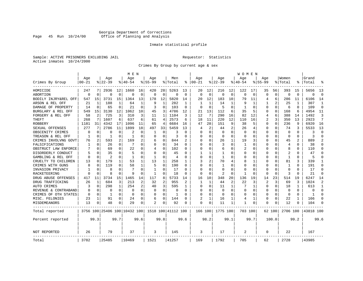# Georgia Department of Corrections<br>Page 45 Run 10/24/00 Office of Planning and Analysis Page 45 Run 10/24/00 Office of Planning and Analysis

# Inmate statistical profile

Sample: ACTIVE PRISONERS EXCLUDING JAIL **Requestor:** Statistics Active inmates 10/24/2000

Crimes By Group by current age & sex

|                      |           |                |           |          | M E N                        |              |              |              |                    |                |          |                |              |             | W O M E N    |          |             |             |                |              |           |                |
|----------------------|-----------|----------------|-----------|----------|------------------------------|--------------|--------------|--------------|--------------------|----------------|----------|----------------|--------------|-------------|--------------|----------|-------------|-------------|----------------|--------------|-----------|----------------|
|                      | Age       |                | Age       |          | Age                          |              | Aqe          |              | Men                |                | Age      |                | Age          |             | Aqe          |          | Aqe         |             | Women          |              | Grand     |                |
| Crimes By Group      | $00 - 21$ |                | $8 22-39$ |          | % 40-54                      |              | $8155 - 99$  |              | % Total            | နွ             | $ 00-21$ |                | $ 22-39$     |             | $ 40-54$     |          | $8155 - 99$ |             | % Total        |              | Total     |                |
| HOMICIDE             | 247       |                | 2936      | 12       | 1660                         | 16           | 420          | 28           | 5263               | 13             | 20       | 12             | 216          | 12          | 122          | 17       | 35          | 56          | 393            | 15           | 5656      | 13             |
| ABORTION             | $\Omega$  | $\Omega$       | $\Omega$  | 0        | $\Omega$                     | $\Omega$     | 0            | 0            | $\Omega$           | $\Omega$       | $\Omega$ | $\Omega$       | $\mathbf 0$  | $\mathbf 0$ | $\Omega$     | $\Omega$ | $\Omega$    | $\mathbf 0$ | $\Omega$       | $\Omega$     | $\Omega$  | $\Omega$       |
| BODILY INJRY&REL OFF | 547       | 15             | 3731      | 15       | 1364                         | 13           | 178          | 12           | 5820               | 14             | 20       | 12             | 183          | 10          | 79           | 11       | 4           | 6           | 286            | 11           | 6106      | 14             |
| ARSON & REL OFF      | 21        | 1              | 188       | 1        | 64                           | 1            | 9            | $\mathbf{1}$ | 282                | -1             |          |                | 14           | 1           |              | 1        |             | 2           | 25             | -1           | 307       | 1              |
| DAMAGE OF PROPERTY   | 14        | $\Omega$       | 65        | 0        | 21                           | $\Omega$     | 3            | $\Omega$     | 103                | $\Omega$       | ∩        | ∩              | 5            | 0           | 1            | $\Omega$ | U           | 0           | 6              | <sup>0</sup> | 109       | $\Omega$       |
| BURGLARY & REL OFF   | 549       | 15             | 3130      | 12       | 1062                         | 10           | 45           | 3            | 4786               | 12             | 21       | 13             | 112          | 6           | 35           | 5        | 0           | $\Omega$    | 168            | 6            | 4954      | 11             |
| FORGERY & REL OFF    | 58        | $\overline{2}$ | 725       | 3        | 310                          | 3            | 11           | 1            | 1104               | 3              | 12       | 7              | 290          | 16          | 82           | 12       | 4           | 6           | 388            | 14           | 1492      | 3              |
| THEFT                | 268       | 7              | 1607      | 6        | 637                          | 6            | 61           | 4            | 2573               | 6              | 18       | 11             | 220          | 12          | 110          | 16       | 2           | 3           | 350            | 13           | 2923      | 7              |
| <b>ROBBERY</b>       | 1181      | 31             | 4342      | 17       | 1096                         | 11           | 65           | 4            | 6684               | 16             | 47       | 28             | 151          | 9           | 38           | 5        | 0           | $\Omega$    | 236            | 9            | 6920      | 16             |
| SEXUAL OFFENSES      | 277       | 7              | 2786      | 11       | 1899                         | 18           | 497          | 33           | 5459               | 13             | 4        | $\overline{2}$ | 44           | 2           | 26           | 4        | 0           | 0           | 74             | 3            | 5533      | 13             |
| OBSCENITY CRIMES     | $\Omega$  | $\Omega$       | O         | O        | 2                            | O            | 1            | $\Omega$     | 3                  | O              | $\Omega$ | $\Omega$       | $\Omega$     | $\Omega$    | <sup>0</sup> | $\Omega$ | U           | 0           | $\Omega$       | <sup>0</sup> | 3         | $\Omega$       |
| TREASON & REL OFF    | 1         | 0              | -1        | 0        | -1                           | O            | O            | $\Omega$     | २                  | O              | O        | $\Omega$       | $\Omega$     | $\Omega$    | <sup>0</sup> | $\Omega$ | U           | 0           | $\Omega$       | 0            | २         | $\Omega$       |
| CRIMES INVOLVNG GOVT | 76        | $\overline{2}$ | 593       | 2        | 169                          | 2            | 6            | 0            | 844                |                | O        | $\Omega$       | 26           | 1           | 19           | 3        | Ω           | $\Omega$    | 45             |              | 889       | $\overline{2}$ |
| FALSIFICATIONS       | 1         | $\Omega$       | 26        | 0        | 7                            | 0            | U            | 0            | 34                 | $\Omega$       | ∩        | $\Omega$       | 3            | O           | 1            | $\Omega$ | U           | 0           | $\overline{4}$ | 0            | 38        | $\Omega$       |
| OBSTRUCT LAW ENFORCE |           | $\Omega$       | 69        | 0        | 22                           | O            | 4            | 0            | 102                | U              | $\Omega$ | $\Omega$       | 6            | O           | 2            | $\Omega$ | 0           | U           | 8              | O            | 110       | $\Omega$       |
| DISORDERLY CONDUCT   |           | $\Omega$       | 35        | 0        | 5                            | O            | U            | 0            | 45                 |                |          |                |              | N           |              | $\Omega$ | Ω           | U           | 2              |              | 47        | $\Omega$       |
| GAMBLING & REL OFF   | $\Omega$  | $\Omega$       | 2         | 0        | $\mathbf{1}$                 | $\Omega$     | $\mathbf{1}$ | $\Omega$     | $\overline{4}$     | $\Omega$       | $\Omega$ | $\Omega$       | $\mathbf{1}$ | O           | O            | $\Omega$ | U           | $\Omega$    | $\mathbf{1}$   | $\Omega$     | 5         | $\Omega$       |
| CRUELTY TO CHILDREN  | 13        | $\Omega$       | 179       | 1        | 53                           | 1            | 13           | 1            | 258                | 1              | 3        | 2              | 70           | 4           | 8            | 1        | U           | $\Omega$    | 81             | 3            | 339       | 1              |
| CRIMES WITH GUNS     |           | $\Omega$       | 119       | $\Omega$ | 58                           | $\mathbf{1}$ | 5            | $\Omega$     | 190                | $\Omega$       | $\Omega$ | $\Omega$       | 1            | O           |              | $\Omega$ | Ω           | $\Omega$    | $\mathbf{1}$   | $\Omega$     | 191       | $\Omega$       |
| INVASION PRIVACY     |           | $\Omega$       | 8         | 0        | 7                            | O            | $\mathbf{1}$ | $\Omega$     | 17                 | $\Omega$       | $\Omega$ | $\Omega$       | $\Omega$     | O           |              | $\Omega$ | U           | 0           | $\Omega$       | O            | 17        | $\Omega$       |
| RACKETEERING         |           | $\Omega$       | 8         | 0        | q                            | O            | $\mathbf{1}$ | 0            | 18                 | O              | $\Omega$ | $\Omega$       | 2            | 0           |              | $\Omega$ | O           | 0           | 3              | O            | 21        | $\Omega$       |
| DRUG ABUSE OFFENSES  | 417       | 11             | 3734      | 15       | 1465                         | 14           | 117          | 8            | 5733               | 14             | 16       | 10             | 348          | 20          | 136          | 19       | 14          | 23          | 514            | 19           | 6247      | 14             |
| DRUG TRAFFICKING     | 26        | 1              | 684       | 3        | 213                          | 2            | 32           | 2            | 955                | $\overline{c}$ | 1        | 1              | 44           | 2           | 22           | 3        | 2           | 3           | 69             | 3            | 1024      | $\overline{2}$ |
| <b>AUTO CRIMES</b>   | 3         | 0              | 298       | 1        | 254                          | 2            | 40           | 3            | 595                | 1              | $\Omega$ | $\Omega$       | 11           | 1           |              | 1        | $\Omega$    | $\Omega$    | 18             | -1           | 613       | 1              |
| REVENUE & CONTRABAND |           | 0              | 0         | 0        | $\Omega$                     | $\Omega$     | 0            | 0            | $\Omega$           | $\Omega$       | $\Omega$ | $\Omega$       | $\mathbf 0$  | $\Omega$    | 0            | $\Omega$ | 0           | 0           | $\Omega$       | $\Omega$     | $\Omega$  | $\Omega$       |
| CRIMES OF OTH STATES | $\Omega$  | $\Omega$       | -1        | 0        | $\Omega$                     | $\Omega$     | O            | $\Omega$     | 1                  | O              | $\Omega$ | $\Omega$       | $\Omega$     | 0           | <sup>0</sup> | $\Omega$ | 0           | 0           | $\Omega$       | $\Omega$     | 1         | $\Omega$       |
| MISC. FELONIES       | 23        | 1              | 91        | 0        | 24                           | 0            | 6            | $\Omega$     | 144                | U              |          |                | 16           |             | 4            | 1        | 0           | 0           | 22             |              | 166       | $\Omega$       |
| MISDEMEANORS         | 13        | 0              | 48        | 0        | 29                           | 0            | 2            | 0            | 92                 | O              | $\Omega$ | $\Omega$       | 11           | 1           |              | 0        | 0           | 0           | 12             |              | 104       | ∩              |
| Total reported       |           |                |           |          | 3756 100 25406 100 10432 100 |              |              |              | 1518 100 41112 100 |                | 166 100  |                | 1775 100     |             | 703 100      |          |             | 62 100      | 2706 100       |              | 43818 100 |                |
| Percent reported     |           | 99.3           |           | 99.7     |                              | 99.6         |              | 99.8         |                    | 99.6           |          | 98.2           |              | 99.1        |              | 99.7     |             | 100.0       |                | 99.2         |           | 99.6           |
| NOT REPORTED         | 26        |                | 79        |          | 37                           |              | 3            |              | 145                |                | 3        |                | 17           |             | 2            |          | 0           |             | 22             |              | 167       |                |
| Total                | 3782      |                | 25485     |          | 10469                        |              | 1521         |              | 41257              |                | 169      |                | 1792         |             | 705          |          | 62          |             | 2728           |              | 43985     |                |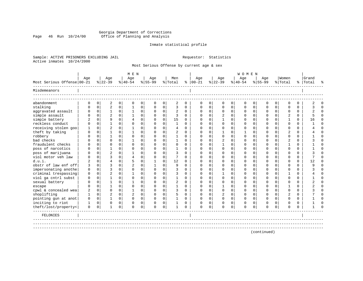# Georgia Department of Corrections Page 46 Run 10/24/00 Office of Planning and Analysis

# Inmate statistical profile

Sample: ACTIVE PRISONERS EXCLUDING JAIL **Requestor:** Statistics Active inmates 10/24/2000

Most Serious Offense by current age & sex

|                            |              |             |                |              | M E N          |             |             |             |                |             |               |              |                |          | <b>WOMEN</b> |             |             |              |                |          |           |          |
|----------------------------|--------------|-------------|----------------|--------------|----------------|-------------|-------------|-------------|----------------|-------------|---------------|--------------|----------------|----------|--------------|-------------|-------------|--------------|----------------|----------|-----------|----------|
|                            | Age          |             | Age            |              | Age            |             | Age         |             | Men            |             | Aqe           |              | Age            |          | Age          |             | Aqe         |              | Women          |          | Grand     |          |
| Most Serious Offense 00-21 |              |             | $8 22-39$      |              | $8 40-54$      |             | $8 55-99$   |             | % Total        |             | $8   00 - 21$ |              | $ 22-39$       |          | $ 40-54$     |             | $8155 - 99$ |              | % Total        |          | %   Total | °        |
| Misdemeanors               |              |             |                |              |                |             |             |             |                |             |               |              |                |          |              |             |             |              |                |          |           |          |
| abandonment                | 0            | $\mathbf 0$ | 2              | $\mathbf 0$  | $\mathbf 0$    | 0           | $\mathbf 0$ | 0           | 2              | $\mathbf 0$ | $\mathbf 0$   | 0            | 0              | 0        | $\mathbf 0$  | $\mathbf 0$ | 0           | $\mathbf 0$  | $\Omega$       | $\Omega$ | 2         | $\Omega$ |
| stalking                   | U            | $\Omega$    | $\overline{2}$ | $\Omega$     |                | 0           | $\Omega$    | 0           | 3              | $\Omega$    | $\cap$        | $\Omega$     | $\Omega$       | $\Omega$ | $\cap$       | $\Omega$    | $\Omega$    | $\Omega$     | $\Omega$       | $\Omega$ |           | $\Omega$ |
| aggravated assault         | U            | $\mathbf 0$ | 1              | $\mathbf 0$  | $\mathbf{1}$   | $\mathbf 0$ | O           | 0           | 2              | $\Omega$    | $\Omega$      | $\Omega$     | $\mathbf 0$    | $\Omega$ | $\Omega$     | $\mathbf 0$ | $\Omega$    | $\Omega$     | $\Omega$       | $\Omega$ |           | $\Omega$ |
| simple assault             | U            | $\mathbf 0$ | $\overline{a}$ | $\Omega$     |                | $\mathbf 0$ | $\Omega$    | $\mathbf 0$ | 3              | $\Omega$    | ∩             | $\Omega$     | 2              | $\Omega$ | $\Omega$     | $\Omega$    | O           | $\Omega$     | $\overline{2}$ | 0        |           | $\Omega$ |
| simple battery             | 2            | $\Omega$    | 9              | $\Omega$     | 4              | $\mathbf 0$ | $\Omega$    | $\mathbf 0$ | 15             | $\Omega$    | ∩             | 0            | -1             | $\Omega$ | n            | $\Omega$    | O           | $\Omega$     |                | $\Omega$ | 16        | $\Omega$ |
| reckless conduct           | U            | $\Omega$    |                | $\Omega$     | $\cap$         | 0           | U           | $\Omega$    | $\mathbf{1}$   | $\Omega$    | ∩             | <sup>n</sup> | U              | $\Omega$ |              | $\Omega$    | U           | $\Omega$     | ∩              | $\Omega$ |           | $\Omega$ |
| receiving stolen goo       |              | $\Omega$    |                | $\Omega$     |                | $\Omega$    | $\Omega$    | $\Omega$    | $\overline{4}$ | $\Omega$    | $\Omega$      |              | O              | $\Omega$ | <sup>0</sup> | $\Omega$    | O           | $\Omega$     | $\Omega$       | $\Omega$ |           | $\Omega$ |
| theft by taking            | U            | $\Omega$    |                | $\Omega$     |                | $\Omega$    | O           | $\Omega$    | 2              | $\Omega$    | $\Omega$      |              |                | U        |              | $\Omega$    |             | $\Omega$     |                | $\Omega$ |           | $\Omega$ |
| robbery                    |              | $\Omega$    |                | $\Omega$     | $\cap$         | 0           | O           | $\Omega$    |                | $\Omega$    | $\Omega$      |              | $\Omega$       | $\Omega$ |              | $\Omega$    |             | $\Omega$     | $\Omega$       | $\Omega$ |           | $\Omega$ |
| bad checks                 |              | $\Omega$    | $\Omega$       | $\Omega$     |                | $\Omega$    | O           | $\Omega$    |                | $\Omega$    | O             |              | 2              | $\Omega$ |              | $\Omega$    |             | $\Omega$     | $\overline{2}$ | $\Omega$ |           | $\Omega$ |
| fraudulent checks          |              | $\Omega$    | O              | $\Omega$     | $\cap$         | $\Omega$    | O           | $\Omega$    | $\Omega$       | $\Omega$    |               |              |                | U        |              | $\Omega$    |             | $\Omega$     |                | $\Omega$ |           | $\Omega$ |
| poss of narcotics          |              | $\Omega$    |                | $\Omega$     | $\cap$         | $\Omega$    | U           | $\Omega$    |                | $\Omega$    | ∩             |              | $\Omega$       | 0        |              | $\Omega$    | U           | $\Omega$     | $\cap$         | $\Omega$ |           | $\Omega$ |
| poss of marijuana          |              | $\Omega$    | $\overline{a}$ | $\Omega$     |                | $\Omega$    | O           | $\Omega$    | 3              | $\Omega$    |               |              | O              | $\Omega$ |              | $\Omega$    |             | $\Omega$     | $\cap$         | $\Omega$ |           | $\Omega$ |
| viol motor yeh law         | U            | $\cap$      | 3              | $\Omega$     | $\overline{4}$ | $\Omega$    | O           | $\mathbf 0$ |                | $\Omega$    | ∩             |              | U              | 0        |              | $\Omega$    |             | $\Omega$     | ∩              | $\Omega$ |           | $\Omega$ |
| d.u.i.                     | 2            | $\Omega$    | $\overline{4}$ | $\Omega$     | 5              | $\Omega$    |             | $\Omega$    | 12             | $\Omega$    | ∩             |              | $\cap$         | U        |              | $\Omega$    | U           | $\Omega$     | $\cap$         | $\Omega$ | 12        | $\Omega$ |
| obstr of law enf off       | 3            | $\Omega$    | ζ              | $\Omega$     |                | $\Omega$    |             | $\Omega$    | 9              | $\Omega$    | ∩             | <sup>n</sup> | $\Omega$       | $\Omega$ |              | $\Omega$    | U           | 0            | ∩              | $\Omega$ |           | $\Omega$ |
| impersonating anothe       | 0            | $\Omega$    | ζ              | <sup>0</sup> | $\cap$         | $\Omega$    | U           | $\Omega$    | 3              | $\Omega$    | ∩             | <sup>n</sup> | $\Omega$       | 0        |              | $\Omega$    | U           | <sup>n</sup> | ∩              | $\Omega$ |           | $\cap$   |
| criminal trespassing       | $\Omega$     | $\Omega$    | $\overline{c}$ | $\Omega$     | $\mathbf{1}$   | $\Omega$    | U           | $\Omega$    | 3              | $\Omega$    | ∩             |              | -1             | U        |              | $\Omega$    | U           | $\cap$       |                | $\Omega$ |           | $\cap$   |
| viol ga cntrl subst        | U            | $\cap$      |                | $\Omega$     | $\cap$         | $\Omega$    | U           | $\Omega$    | $\mathbf{1}$   | $\Omega$    | U             | U            | $\Omega$       | 0        |              | $\Omega$    | U           | <sup>n</sup> | ∩              | $\Omega$ |           | $\cap$   |
| sexual battery             | U            | $\Omega$    |                | $\Omega$     |                | $\Omega$    | U           | $\Omega$    | 2              | $\Omega$    | U             |              | $\Omega$       | $\Omega$ |              | $\Omega$    | U           | $\cap$       | $\Omega$       | $\Omega$ |           | $\cap$   |
| escape                     | U            | $\Omega$    |                | $\Omega$     | $\Omega$       | $\Omega$    | O           | $\Omega$    | -1             | $\Omega$    | n             |              | ำ              | $\Omega$ |              | $\Omega$    | O           | $\Omega$     |                | $\Omega$ |           | $\Omega$ |
| cpwl & concealed wea       | 2            | $\Omega$    | U              | $\Omega$     |                | 0           | O           | $\Omega$    | 3              | $\Omega$    | U             | <sup>n</sup> | $\Omega$       | $\Omega$ |              | $\Omega$    | O           | $\Omega$     | $\Omega$       | $\Omega$ |           | $\cap$   |
| shoplifting                | $\mathbf{1}$ | $\Omega$    | $\overline{c}$ | $\Omega$     | $\overline{c}$ | $\Omega$    | 0           | $\Omega$    | 5              | $\Omega$    | O             | 0            | $\overline{a}$ | $\Omega$ | <sup>0</sup> | $\Omega$    | 0           | $\Omega$     | $\overline{2}$ | $\Omega$ |           | $\cap$   |
| pointing gun at anot       | 0            | $\Omega$    | 1              | $\Omega$     | $\Omega$       | $\Omega$    | $\Omega$    | $\Omega$    | 1              | $\Omega$    | O             | $\Omega$     | $\Omega$       | $\Omega$ | $\Omega$     | $\Omega$    | O           | $\Omega$     | $\Omega$       | $\Omega$ |           | $\cap$   |
| inciting to riot           |              | $\Omega$    | $\Omega$       | $\Omega$     | 0              | 0           |             | $\mathbf 0$ |                | $\Omega$    |               | $\Omega$     | $\Omega$       | $\Omega$ |              | $\Omega$    | 0           | $\Omega$     | $\Omega$       | $\Omega$ |           |          |
| theft/lost/property<       | 0            | 0           | 1              | $\mathbf 0$  | $\Omega$       | 0           | $\Omega$    | $\mathbf 0$ | 1              | $\Omega$    | $\Omega$      | $\Omega$     | $\Omega$       | 0        | $\Omega$     | 0           | $\Omega$    | 0            | $\Omega$       | $\Omega$ |           | ∩        |
| FELONIES                   |              |             |                |              |                |             |             |             |                |             |               |              |                |          |              |             |             |              |                |          |           |          |
|                            |              |             |                |              |                |             |             |             |                |             |               |              |                |          |              |             |             |              |                |          |           |          |
|                            |              |             |                |              |                |             |             |             |                |             |               |              |                |          |              |             |             |              |                |          |           |          |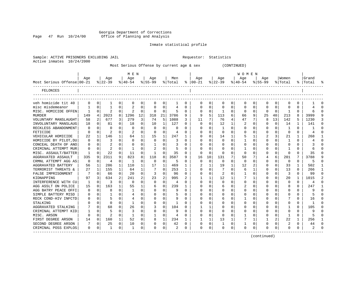Georgia Department of Corrections Page 47 Run 10/24/00 Office of Planning and Analysis

# Inmate statistical profile

|  |                           | Sample: ACTIVE PRISONERS EXCLUDING JAIL | Requestor: Statistics |  |
|--|---------------------------|-----------------------------------------|-----------------------|--|
|  | Active inmates 10/24/2000 |                                         |                       |  |

Active inmates 10/24/2000

# Most Serious Offense by current age & sex (CONTINUED)

|                            |          |             |                |              | M E N          |             |              |              |         |              |               |          |                |          | <b>WOMEN</b> |          |           |                |                |          |       |                |
|----------------------------|----------|-------------|----------------|--------------|----------------|-------------|--------------|--------------|---------|--------------|---------------|----------|----------------|----------|--------------|----------|-----------|----------------|----------------|----------|-------|----------------|
|                            | Age      |             | Age            |              | Age            |             | Aqe          |              | Men     |              | Age           |          | Aqe            |          | Aqe          |          | Aqe       |                | Women          |          | Grand |                |
| Most Serious Offense 00-21 |          |             | $8 22-39$      |              | $ 40-54 $      |             | $ 55-99$     |              | % Total |              | $8   00 - 21$ |          | $ 22-39 $      |          | $ 40-54 $    |          | $8 55-99$ |                | % Total        | ႜ        | Total |                |
| FELONIES                   |          |             |                |              |                |             |              |              |         |              |               |          |                |          |              |          |           |                |                |          |       |                |
|                            |          |             |                |              |                |             |              |              |         |              |               |          |                |          |              |          |           |                |                |          |       |                |
| veh homicide tit 40        | 0        | 0           | 1              | 0            | 0              | 0           | $\Omega$     | 0            | ı       | 0            | 0             | 0        | 0              | 0        | 0            | 0        | 0         | 0              | $\Omega$       | $\Omega$ |       | 0              |
| misc misdemeanor           |          | $\Omega$    |                | 0            | $\overline{c}$ | 0           |              | 0            | 4       | $\Omega$     |               | 0        | $\Omega$       | $\Omega$ |              | $\Omega$ | 0         | $\Omega$       | $\Omega$       | $\Omega$ |       | $\Omega$       |
| MISC. HOMICIDE OFFEN       |          | $\mathbf 0$ | 2              | 0            |                | 0           | 0            | 0            |         | $\Omega$     |               | O        | -1             | 0        |              | $\Omega$ | C         | 0              | -1             | $\Omega$ |       | $\Omega$       |
| <b>MURDER</b>              | 149      | 4           | 2023           | 8            | 1296           | 12          | 318          | 21           | 3786    | 9            | 9             | 5        | 113            | 6        | 66           | 9        | 25        | 40             | 213            | 8        | 3999  | 9              |
| VOLUNTARY MANSLAUGHT       | 58       | 2           | 677            | 3            | 279            | 3           | 74           | 5            | 1088    | ٦            | 11            |          | 76             | 4        | 47           |          | 8         | 13             | 142            |          | 1230  | ζ              |
| INVOLUNTARY MANSLAUG       | 18       | $\Omega$    | 81             | O            | 18             | $\Omega$    | 10           | $\mathbf{1}$ | 127     | $\Omega$     | O             |          | 12             |          |              | O        | O         | $\Omega$       | 14             |          | 141   | $\Omega$       |
| RECKLESS ABANDONMENT       | O        | 0           | O              | U            | 0              | $\Omega$    | 0            | $\Omega$     | 0       | <sup>0</sup> | O             |          | -1             | O        | O            | $\Omega$ | O         | $\Omega$       | -1             | 0        |       | $\Omega$       |
| FETICIDE                   | 0        | $\Omega$    | 2              | $\Omega$     | 2              | $\Omega$    | 0            | 0            | 4       | 0            |               | $\Omega$ | 0              | O        |              | $\Omega$ | 0         | $\Omega$       | $\Omega$       | $\Omega$ | 4     | $\cap$         |
| VEHICULAR HOMICIDE         | 22       | 1           | 146            | 1            | 64             | 1           | 15           | 1            | 247     | 1            |               | $\Omega$ | 14             |          |              | 1        | 2         | 3              | 21             |          | 268   |                |
| HOMICIDE BY PILOT, DU      | 0        | $\mathbf 0$ | 3              | 0            | $\Omega$       | $\Omega$    | 0            | $\Omega$     | 3       | O            |               | 0        | 0              | 0        |              | $\Omega$ | 0         | 0              | -1             | $\Omega$ |       | $\Omega$       |
| CONCEAL DEATH OF ANO       | 0        | $\mathbf 0$ |                | O            | 0              | 0           | 1            | 0            | 3       | $\Omega$     |               |          | 0              | U        |              | $\Omega$ | Ω         | $\Omega$       | $\Omega$       | $\Omega$ |       | $\cap$         |
| CRIMINAL ATTEMPT MUR       | 0        | $\Omega$    | 2              | $\Omega$     | $\mathbf{1}$   | $\Omega$    | 2            | $\Omega$     | 5       | $\Omega$     |               | $\Omega$ | -C             | O        |              | $\Omega$ | Ω         | ∩              | 1              | $\Omega$ |       | $\Omega$       |
| MISC. ASSAULT/BATTER       | 1        | $\Omega$    | 22             | $\Omega$     | 11             | $\Omega$    | $\mathbf{1}$ | 0            | 35      | $\Omega$     | ∩             | $\Omega$ | $\cap$         | O        | $\Omega$     | $\Omega$ | Ω         | $\Omega$       | $\Omega$       | $\Omega$ | 35    | $\Omega$       |
| AGGRAVATED ASSAULT         | 335      | 9           | 2311           | 9            | 823            | 8           | 118          | 8            | 3587    | 9            | 16            | 10       | 131            | 7        | 50           | 7        |           | 6              | 201            | 7        | 3788  | 9              |
| CRMNL ATTEMPT AGG AS       | 0        | $\Omega$    | 4              | $\Omega$     | 1              | $\mathbf 0$ | $\Omega$     | 0            | 5       | $\Omega$     | 0             | $\Omega$ | 0              | 0        | 0            | $\Omega$ | 0         | $\Omega$       | $\Omega$       | $\Omega$ | 5     | $\Omega$       |
| AGGRAVATED BATTERY         | 56       | 1           | 286            | 1            | 110            | 1           | 17           | 1            | 469     | 1            |               |          | 19             | 1        | 12           | 2        | 0         | $\Omega$       | 33             |          | 502   | 1              |
| TERRORIST THREATS &        | 27       | 1           | 155            | $\mathbf{1}$ | 64             | 1           | 7            | 0            | 253     | 1            |               |          |                | N        | 6            |          | O         | $\Omega$       | 13             | $\Omega$ | 266   | $\mathbf{1}$   |
| FALSE IMPRISONMENT         |          | $\Omega$    | 66             | $\Omega$     | 20             | 0           | 3            | 0            | 96      | $\Omega$     |               |          | $\overline{2}$ | O        |              | $\Omega$ | C         | $\Omega$       | 3              | $\Omega$ | 99    | $\Omega$       |
| KIDNAPPING                 | 97       | 3           | 634            |              | 241            | 2           | 23           | 2            | 995     |              |               |          | 12             |          |              |          |           | O              | 20             |          | 1015  | $\overline{a}$ |
| INTERFERENCE WITH CU       | 1        | $\Omega$    | 3              | O            | $\Omega$       | $\Omega$    | $\Omega$     | $\Omega$     | 4       | $\Omega$     | ∩             |          | 0              | 0        |              | $\Omega$ | ი         | U              | $\Omega$       | $\Omega$ | 4     | $\Omega$       |
| AGG ASSLT ON POLICE        | 15       | 0           | 163            | 1            | 55             | 1           | 6            | $\Omega$     | 239     | 1            |               |          | 6              | O        |              | $\Omega$ | U         | U              | 8              | $\Omega$ | 247   | $\mathbf{1}$   |
| AGG BATRY PEACE OFFI       | $\Omega$ | $\Omega$    | 8              | 0            | -1             | 0           |              | $\Omega$     | q       | $\Omega$     |               |          | ∩              | U        |              | ∩        | U         | U              | ∩              | $\Omega$ | 9     | <sup>n</sup>   |
| SIMPLE BATTERY MISD        |          | $\Omega$    |                | 0            | 4              | $\Omega$    |              | $\Omega$     | 5       | <sup>0</sup> |               | $\Omega$ | 0              | O        |              | $\Omega$ | $\left($  | $\Omega$       | $\Omega$       | $\Omega$ |       | $\Omega$       |
| RECK COND-HIV INFCTD       |          | $\Omega$    | 5              | 0            |                | $\Omega$    | O            | $\Omega$     | 9       | 0            |               | O        | 6              | 0        |              | $\Omega$ |           | $\Omega$       |                | $\Omega$ | 16    | $\Omega$       |
| STALKING                   |          | $\Omega$    | $\Omega$       | 0            | -1             | $\Omega$    |              | $\Omega$     | 1       | 0            |               | O        | 0              | O        |              | $\Omega$ |           | $\Omega$       | $\Omega$       | $\Omega$ |       | $\cap$         |
| AGGRAVATED STALKING        |          | $\mathbf 0$ | 68             | 0            | 26             | 0           |              | 0            | 104     | 0            |               |          | 0              | O        |              | 0        |           | O              |                | $\Omega$ | 105   | $\Omega$       |
| CRIMINAL ATTEMPT KID       |          | 0           | 5              | O            | 3              | $\Omega$    | O            | 0            | 9       | ∩            |               | $\Omega$ | $\Omega$       | O        |              | $\Omega$ |           | $\Omega$       | $\Omega$       | $\Omega$ | 9     | $\cap$         |
| MISC. ARSON                | $\Omega$ | $\Omega$    | $\overline{2}$ | $\Omega$     | -1             | $\Omega$    | 1            | 0            | 4       | $\Omega$     |               | $\Omega$ | -C             | O        |              | $\Omega$ | O         | $\Omega$       | 1              | $\Omega$ |       | $\Omega$       |
| FIRST DEGREE ARSON         | 14       | 0           | 160            | $\mathbf{1}$ | 52             | $\Omega$    | 8            | 1            | 234     | 1            |               |          | 13             | 1        |              | 1        |           | $\overline{2}$ | 22             | 1        | 256   | -1             |
| SECOND DEGREE ARSON        | 7        | 0           | 25             | $\Omega$     | 10             | 0           | O            | 0            | 42      | $\Omega$     | O             | $\Omega$ |                | 0        |              | $\Omega$ | 0         | $\Omega$       | $\overline{2}$ | $\Omega$ | 44    | $\Omega$       |
| CRIMINAL POSS EXPLOS       | 0        | 0           | 1              | 0            | -1             | 0           | $\Omega$     | 0            | 2       | 0            | $\Omega$      | 0        | $\Omega$       | 0        | $\Omega$     | 0        | O         | $\mathbf 0$    | $\Omega$       | $\Omega$ |       | $\Omega$       |
|                            |          |             |                |              |                |             |              |              |         |              |               |          |                |          |              |          |           |                |                |          |       |                |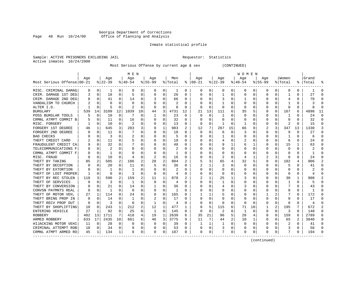# Georgia Department of Corrections Page 48 Run 10/24/00 Office of Planning and Analysis

# Inmate statistical profile

Sample: ACTIVE PRISONERS EXCLUDING JAIL **Requestor:** Statistics Active inmates 10/24/2000

Most Serious Offense by current age & sex (CONTINUED)

|                            |          |          |           |             | M E N     |          |           |          |         |          |               |              |              |          | W O M E N |          |             |              |          |              |                |          |
|----------------------------|----------|----------|-----------|-------------|-----------|----------|-----------|----------|---------|----------|---------------|--------------|--------------|----------|-----------|----------|-------------|--------------|----------|--------------|----------------|----------|
|                            | Age      |          | Age       |             | Aqe       |          | Age       |          | Men     |          | Aqe           |              | Age          |          | Age       |          | Age         |              | Women    |              | Grand          |          |
| Most Serious Offense 00-21 |          |          | $8 22-39$ |             | $8 40-54$ |          | $8 55-99$ |          | % Total |          | $8   00 - 21$ |              | $ 22-39 $    |          | $ 40-54 $ |          | $8155 - 99$ |              | % Total  |              | %   Total      |          |
| MISC. CRIMINAL DAMAG       | 0        | 0        |           | 0           | 0         | 0        | 0         | 0        | 1       | 0        | 0             | 0            | 0            | 0        | 0         | 0        | 0           | 0            | 0        | 0            |                | $\Omega$ |
| CRIM. DAMAGE 1ST DEG       | 3        | 0        | 18        | 0           | 5         | 0        | $\Omega$  | 0        | 26      | 0        | $\Omega$      | 0            | $\mathbf{1}$ | 0        | $\Omega$  | 0        | O           | O            |          | 0            | 27             | $\cap$   |
| CRIM. DAMAGE 2ND DEG       | 8        | $\Omega$ | 41        | 0           | 14        | 0        |           | O        | 66      | 0        | C             | $\Omega$     | 3            | 0        | 1         | $\Omega$ | O           | O            | 4        | 0            | 70             |          |
| VANDALISM TO CHURCH        |          | $\Omega$ | U         | U           | $\Omega$  | U        |           | 0        | 2       | U        |               | $\Omega$     | -1           | $\Omega$ | $\Omega$  | $\Omega$ | O           | 0            |          | 0            |                |          |
| ALTER I.D.                 |          | $\Omega$ | 5         | O           | 2         | 0        | O         | 0        | 8       | U        | C             | $\mathbf 0$  | $\Omega$     | 0        | 0         | 0        | 0           | $\Omega$     | 0        | O            |                |          |
| <b>BURGLARY</b>            | 539      | 14       | 3109      | 12          | 1039      | 10       | 44        | 3        | 4731    | 12       | 21            | 13           | 111          | 6        | 35        | 5        | 0           | 0            | 167      | 6            | 4898           | 11       |
| POSS BURGLAR TOOLS         | 5        | 0        | 10        | $\mathbf 0$ |           | 0        | 1         | 0        | 23      | 0        | 0             | $\mathbf 0$  | -1           | 0        | $\Omega$  | 0        | 0           | O            | 1        | 0            | 24             | ∩        |
| CRMNL ATMPT COMMIT B       |          | $\Omega$ | 11        | 0           | 16        | 0        | $\Omega$  | 0        | 32      | 0        | C             | $\Omega$     | $\Omega$     | $\Omega$ | $\Omega$  | $\Omega$ | 0           | 0            | 0        | $\Omega$     | 32             | ∩        |
| MISC. FORGERY              |          | $\Omega$ | 10        | 0           | 2         | 0        | O         | 0        | 13      | 0        | $\Omega$      | $\Omega$     | -1           | 0        | 1         | 0        | 0           | $\Omega$     | 2        | O            | 15             | $\Omega$ |
| FORGERY 1ST DEGREE         | 46       | 1        | 645       | 3           | 283       | 3        | 9         | 1        | 983     | 2        | 12            | 7            | 267          | 15       | 66        | 9        | 2           | 3            | 347      | 13           | 1330           | 3        |
| FORGERY 2ND DEGREE         |          | n        | 11        | 0           |           | U        | $\Omega$  | O        | 18      | U        | $\Omega$      | $\Omega$     | 6            | $\Omega$ | 3         | C        | O           | U            | q        | U            | 27             | $\cap$   |
| <b>BAD CHECKS</b>          |          | $\Omega$ | 3         | 0           | 2         | 0        | $\Omega$  | 0        | 5       | 0        | C             | $\Omega$     | -1           | 0        | U         | $\Omega$ | 0           | 0            |          | O            | 6              | $\cap$   |
| THEFT CREDIT CARD          |          | 0        | 11        | 0           | 5         | 0        |           | 0        | 18      | 0        | 0             | 0            | 4            | 0        | 2         | 0        | O           | $\Omega$     | 6        | 0            | 24             |          |
| FRAUDULENT CREDIT CA       |          | 0        | 32        | 0           |           | 0        |           | 0        | 48      | 0        |               | 0            | 9            | 1        | 6         | 1        | 0           | 0            | 15       |              | 63             |          |
| TELECOMMUNICATIONS<br>F    | 0        | 0        |           | 0           | 0         | 0        |           | 0        | 2       | U        |               | 0            |              | 0        | O         | 0        | O           | O            | 0        | 0            |                |          |
| CRMNL ATMPT COMMIT F       |          | $\Omega$ | 1         | 0           | O         | 0        | $\Omega$  | 0        | 1       | U        |               | $\Omega$     | $\Omega$     | 0        | $\Omega$  | $\Omega$ | O           | O            | $\Omega$ | 0            | -1             | ∩        |
| MISC. FRAUD                | U        | $\Omega$ | 10        | 0           | 4         | 0        | 2         | $\Omega$ | 16      | 0        | C             | 0            | 2            | $\Omega$ | 4         | 1        |             | 3            | 8        | 0            | 24             | ∩        |
| THEFT BY TAKING            | 85       | 2        | 505       | 2           | 186       | 2        | 28        | 2        | 804     | 2        |               | 3            | 65           | 4        | 32        | 5        | 0           | $\Omega$     | 102      | 4            | 906            |          |
| THEFT BY DECEPTION         |          | 0        | 20        | O           | 11        | 0        | 5         | $\Omega$ | 36      | 0        |               | 1            |              | 0        | $\Omega$  | $\Omega$ | 0           | O            | 5        | N            | 41             |          |
| THEFT BY EXTORTION         |          | $\Omega$ |           |             |           | 0        |           | O        | 2       | U        | C             | $\Omega$     | $\Omega$     | 0        | $\Omega$  | $\Omega$ | 0           | O            | $\Omega$ | 0            |                |          |
| THEFT OF LOST PROPER       |          | 0        | $\Omega$  | 0           | 3         | 0        | O         | 0        | 4       | 0        | 0             | 0            | 0            | 0        | 0         | 0        | O           | 0            | 0        | 0            | $\overline{4}$ |          |
| THEFT BY REC STOLEN        | 118      | 3        | 590       | 2           | 159       | 2        | 11        | 1        | 878     | 2        | 2             | $\mathbf{1}$ | 25           | 1        | 3         | $\Omega$ | 0           | $\Omega$     | 30       | $\mathbf{1}$ | 908            |          |
| THEFT OF SERVICES          |          | $\Omega$ | 3         | 0           | 1         | 0        | $\Omega$  | $\Omega$ | 4       | 0        |               | 0            | -1           | 0        |           | 0        | 0           | 0            | -1       | 0            | 5              |          |
| THEFT BY CONVERSION        |          | $\Omega$ | 21        | 0           | 14        | 0        |           | 0        | 36      | 0        |               | $\Omega$     | 4            | 0        | 3         | $\Omega$ | O           | O            |          | 0            | 43             |          |
| CONVSN PAYMNTS REAL        | O        | $\Omega$ | -1        | 0           | $\Omega$  | 0        | $\Omega$  | 0        | -1      | U        |               | $\Omega$     |              | 0        | 0         | $\Omega$ | 0           | 0            | 0        | 0            | -1             | $\cap$   |
| THEFT OF MOTOR VEH         | 27       | 1        | 114       | 0           | 24        | 0        | $\Omega$  | $\Omega$ | 165     | 0        |               | 1            |              | 0        | 0         | $\Omega$ |             |              |          | 0            | 172            | ∩        |
| THEFT BRING PROP IN        | 0        | 0        | 14        |             |           | 0        |           | 0        | 17      | 0        |               | 0            |              | 0        | $\Omega$  | 0        | 0           | O            | O        |              | 17             |          |
| THEFT RECV PROP OUT        | $\Omega$ | $\Omega$ | 3         | O           | $\Omega$  | U        |           | $\Omega$ | 4       | U        | C             | 0            | C            | $\Omega$ | $\Omega$  | $\Omega$ | $\Omega$    | $\Omega$     | C        | N            | $\overline{4}$ |          |
| THEFT BY SHOPLIFTING       | 10       | $\Omega$ | 243       | 1           | 212       | 2        | 12        | 1        | 477     | 1        |               | 5            | 115          | 6        | 71        | 10       | 1           | $\mathbf{2}$ | 195      | 7            | 672            |          |
| ENTERING VEHICLE           | 27       | -1       | 92        | 0           | 25        | 0        | 1         | $\Omega$ | 145     | 0        | $\Omega$      | $\Omega$     | 2            | $\Omega$ | -1        | $\Omega$ | 0           | $\Omega$     | 3        | 0            | 148            | ∩        |
| <b>ROBBERY</b>             | 482      | 13       | 1711      | 7           | 418       | 4        | 19        | 1        | 2630    | 6        | 35            | 21           | 96           | 5        | 28        | 4        | 0           | $\Omega$     | 159      | 6            | 2789           |          |
| ARMED ROBBERY              | 633      | 17       | 2435      | 10          | 661       | 6        | 46        | 3        | 3775    | 9        | 11            | 7            | 44           | 2        | 10        | 1        | 0           | 0            | 65       | 2            | 3840           | 9        |
| HIJACKING MOTOR VEHI       | 11       | $\Omega$ | 28        | $\Omega$    | $\Omega$  | $\Omega$ | $\Omega$  | 0        | 39      | $\Omega$ | -1            | $\mathbf 1$  | 1            | $\Omega$ | $\Omega$  | $\Omega$ | $\Omega$    | $\Omega$     |          | $\Omega$     | 41             | $\cap$   |
| CRIMINAL ATTEMPT ROB       | 10       | $\Omega$ | 34        | $\Omega$    | 9         | 0        | $\Omega$  | 0        | 53      | U        |               | 0            | 3            | 0        | $\Omega$  | 0        | O           | $\Omega$     | 3        | 0            | 56             | $\cap$   |
| CRMNL ATMPT ARMED RO       | 45       | 1        | 134       | 1           | R         | 0        | $\Omega$  | 0        | 187     | 0        | $\Omega$      | 0            |              | 0        | $\Omega$  | 0        | O           | $\Omega$     | 7        | 0            | 194            |          |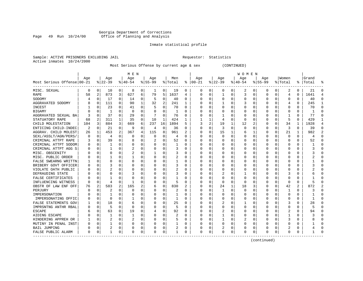#### Georgia Department of Corrections Page 49 Run 10/24/00 Office of Planning and Analysis

# Inmate statistical profile

| Sample: ACTIVE PRISONERS EXCLUDING JAIL | Requestor: Statistics |  |
|-----------------------------------------|-----------------------|--|
| Active inmates 10/24/2000               |                       |  |

Most Serious Offense by current age & sex (CONTINUED)

|                            |     |             |          |          | M E N          |          |           |          |         |              |               |          |              |          | <b>WOMEN</b> |             |             |          |              |          |           |                |
|----------------------------|-----|-------------|----------|----------|----------------|----------|-----------|----------|---------|--------------|---------------|----------|--------------|----------|--------------|-------------|-------------|----------|--------------|----------|-----------|----------------|
|                            | Age |             | Age      |          | Age            |          | Age       |          | Men     |              | Age           |          | Age          |          | Age          |             | Age         |          | Women        |          | Grand     |                |
| Most Serious Offense 00-21 |     |             | $ 22-39$ |          | $8 40-54$      |          | $8 55-99$ |          | % Total |              | $8   00 - 21$ |          | $ 22-39 $    |          | $ 40-54 $    |             | $8155 - 99$ |          | % Total      |          | %   Total | န္             |
| MISC. SEXUAL               | 0   | 0           | 10       | 0        | 8              | 0        | 1         | 0        | 19      | 0            | 0             | 0        | 0            | 0        | 2            | 0           | 0           | 0        | 2            | 0        | 21        | $\Omega$       |
| RAPE                       | 58  | 2           | 873      | 3        | 627            | 6        | 79        | 5        | 1637    | 4            | O             | 0        | $\mathbf{1}$ | 0        | 3            | 0           | $\Omega$    | 0        | 4            | 0        | 1641      | $\overline{4}$ |
| SODOMY                     |     | $\Omega$    | 17       | $\Omega$ | 14             | 0        | 5         | $\Omega$ | 40      | 0            | C             | $\Omega$ | $\Omega$     | $\Omega$ | U            | $\mathbf 0$ | $\Omega$    | $\Omega$ | $\Omega$     | $\Omega$ | 40        |                |
| AGGRAVATED SODOMY          | 8   | $\Omega$    | 111      | $\Omega$ | 90             | 1        | 32        | 2        | 241     | 1            | C             | $\Omega$ | 1            | $\Omega$ | 3            | $\Omega$    | O           | O        | 4            | $\Omega$ | 245       | -1             |
| INCEST                     |     | $\Omega$    | 23       | 0        | 41             | 0        | 5         | 0        | 70      | 0            |               | $\Omega$ | $\Omega$     | 0        | 0            | $\Omega$    | 0           | 0        | 0            | 0        | 70        | $\Omega$       |
| <b>BIGAMY</b>              |     | 0           | 1        | 0        | 0              | 0        |           | 0        | -1      | 0            |               | 0        |              | 0        |              | 0           | 0           | 0        | 0            | 0        |           | $\Omega$       |
| AGGRAVATED SEXUAL BA       | 3   | $\Omega$    | 37       | 0        | 29             | 0        |           | $\Omega$ | 76      | 0            |               | 0        | -1           | 0        | 0            | 0           | 0           | 0        |              | 0        | 77        | $\Omega$       |
| STATUATORY RAPE            | 68  | 2           | 311      | 1        | 35             | $\Omega$ | 10        | 1        | 424     | $\mathbf{1}$ |               | 1        | 4            | $\Omega$ | $\Omega$     | $\Omega$    | O           | $\Omega$ | 5            | $\Omega$ | 429       | $\mathbf{1}$   |
| CHILD MOLESTATION          | 104 | 3           | 884      | 3        | 669            | 6        | 237       | 16       | 1894    | 5            | Р             | 2        | 19           | 1        | 12           | 2           | 0           | $\Omega$ | 34           | 1        | 1928      | $\overline{4}$ |
| ENTICING CHILD-INDEC       | 2   | 0           | 21       | 0        | 9              | 0        | 4         | 0        | 36      | 0            | O             | 0        | 3            | 0        | $\mathbf 0$  | $\mathbf 0$ | 0           | $\Omega$ | 3            | 0        | 39        | $\Omega$       |
| AGGRAV. CHILD MOLEST       | 26  | 1           | 453      | 2        | 367            | 4        | 115       | 8        | 961     | 2            | O             | 0        | 15           | 1        | 6            | 1           | $\Omega$    | $\Omega$ | 21           |          | 982       | $\overline{2}$ |
| SEXL/ASSLT/AGN/PERS/       | O   | $\Omega$    | 4        | O        | $\Omega$       | $\Omega$ | O         | $\Omega$ | 4       | U            | C             | $\Omega$ | $\Omega$     | $\Omega$ | $\Omega$     | $\Omega$    | $\Omega$    | $\Omega$ | $\Omega$     | $\Omega$ |           | $\cap$         |
| CRIMINAL ATTPT RAPE        |     | 0           | 39       | 0        | 8              | 0        |           | 0        | 52      | 0            | O             | $\Omega$ | 0            | 0        | 0            | $\Omega$    | 0           | 0        | $\Omega$     | $\Omega$ | 52        | ∩              |
| CRIMINAL ATTPT SODOM       | 0   | 0           | 1        | 0        | 0              | 0        |           | 0        | -1      | 0            |               | $\Omega$ | $\Omega$     | $\Omega$ | 0            | 0           | 0           | 0        | $\Omega$     | 0        |           |                |
| CRIMINAL ATTPT AGG S       |     | 0           | 1        | 0        | 2              | 0        |           | $\Omega$ | 3       | 0            |               | 0        | 0            | 0        |              | 0           | 0           | 0        | O            | 0        |           |                |
| MISC. OBSCENITY            |     | $\Omega$    | O        | O        |                | 0        |           | 0        | 3       | U            |               | 0        | 0            | $\Omega$ | U            | $\mathbf 0$ | O           | $\Omega$ | $\Omega$     | $\Omega$ |           |                |
| MISC. PUBLIC ORDER         |     | $\Omega$    |          | 0        | -1             | 0        |           | 0        | 2       | U            | C             | 0        | U            | 0        | $\Omega$     | 0           | O           | 0        | <sup>0</sup> | 0        |           | ∩              |
| FALSE SWEARNG WRITTN       |     | $\Omega$    | $\Omega$ | 0        | 0              | 0        |           | 0        |         | 0            | C             | 0        | 0            | $\Omega$ | O            | 0           | O           | 0        | <sup>0</sup> | 0        |           | ∩              |
| BRIBERY GOVT OFFICER       | O   | $\Omega$    |          | O        | 0              | 0        |           | $\Omega$ | 3       | 0            |               | 0        | C            | 0        | 0            | 0           | O           | O        | C            | U        |           |                |
| VIOLATE OATH PUBLIC        |     | $\Omega$    |          | O        | O              | 0        |           | $\Omega$ | 2       | U            | C             | $\Omega$ | U            | O        | U            | $\Omega$    | O           | U        | $\cap$       | $\Omega$ |           |                |
| DEFRAUDING STATE           |     | n           | O        |          |                | 0        | O         | 0        | 3       | 0            | C             | $\Omega$ | 2            | 0        |              | $\Omega$    | 0           | O        | 3            | 0        |           |                |
| FALSE CERTIFICATES         |     | n           |          | O        | O              | U        |           | $\Omega$ |         | U            | O             | 0        | O            | $\Omega$ | 0            | 0           | 0           | 0        | 0            | N        |           |                |
| INFLUENCING WITNESS        | 0   | $\Omega$    | 4        | 0        |                | 0        |           | 0        | 5       | 0            | 0             | 0        | $\Omega$     | 0        | $\Omega$     | $\mathbf 0$ | 0           | $\Omega$ | $\mathbf 0$  | 0        |           |                |
| OBSTR OF LAW ENF OFF       | 76  | 2           | 583      | 2        | 165            | 2        | b         | 0        | 830     | 2            |               | 0        | 24           | 1        | 18           | 3           | 0           | 0        | 42           | 2        | 872       |                |
| PERJURY                    | U   | $\Omega$    | 2        | O        | $\Omega$       | O        |           | 0        | 2       | O            | $\cap$        | $\Omega$ | $\mathbf{1}$ | $\Omega$ | $\Omega$     | $\mathbf 0$ | $\Omega$    | $\Omega$ | $\mathbf{1}$ | $\Omega$ |           | $\Omega$       |
| IMPERSONATION              |     | $\Omega$    | 1        | 0        | 0              | 0        | O         | 0        | -1      | U            | C             | 0        | $\Omega$     | 0        | O            | 0           | 0           | $\Omega$ | 0            | 0        |           | $\Omega$       |
| IMPERSONATING OFFIC        | O   | $\Omega$    | $\Omega$ | O        |                | 0        | O         | 0        | 1       | U            | C             | 0        | $\Omega$     | $\Omega$ | O            | 0           | O           | 0        | 0            | O        |           |                |
| FALSE STATEMENTS GOV       |     | 0           | 18       | O        | 6              | 0        | O         | $\Omega$ | 25      | 0            |               | 0        | 2            | 0        |              | 0           | 0           | O        | 3            |          | 28        |                |
| IMPRSNTNG ANTHR RBAL       |     | $\mathbf 0$ | 5        | O        | $\Omega$       | 0        |           | $\Omega$ | 5       | U            | C             | $\Omega$ | $\Omega$     | $\Omega$ | $\Omega$     | 0           | O           | O        | $\Omega$     | O        |           |                |
| <b>ESCAPE</b>              |     | n           | 63       | 0        | 19             | 0        |           | $\Omega$ | 92      | 0            | C             | $\Omega$ | 2            | 0        | O            | $\Omega$    | O           | O        | 2            | 0        | 94        | ∩              |
| AIDING ESCAPE              |     | $\Omega$    | 1        | 0        | 1              | 0        |           | $\Omega$ | 2       | U            | O             | $\Omega$ | -1           | $\Omega$ | O            | 0           | O           | $\Omega$ |              | 0        |           |                |
| HINDERING APPREH OR        |     | $\mathbf 0$ | 2        | $\Omega$ | $\overline{c}$ | 0        |           | 0        | 5       | U            |               | 0        | -1           | $\Omega$ | 2            | 0           | 0           | $\Omega$ | 3            | $\Omega$ |           |                |
| MUTINY IN PENAL INST       |     | $\Omega$    |          | O        | 0              | 0        |           | 0        |         | 0            |               | 0        | 0            | 0        | 0            | 0           | 0           | O        | $\Omega$     | 0        |           |                |
| <b>BAIL JUMPING</b>        |     | 0           | 2        | O        | 0              | 0        |           | 0        | 2       | 0            | C             | 0        |              | 0        | U            | 0           | O           | 0        | 2            | 0        |           | $\Omega$       |
| FALSE PUBLIC ALARM         | 0   | 0           | 1        | 0        | $\Omega$       | 0        | ∩         | 0        | 1       | 0            | $\Omega$      | 0        | 0            | 0        | 0            | 0           | O           | 0        | $\Omega$     | 0        |           | ∩              |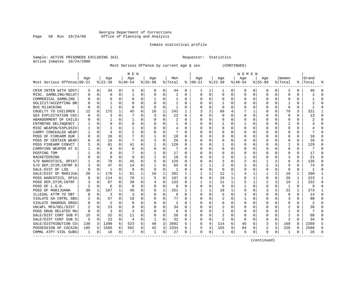# Georgia Department of Corrections<br>Page 50 Run 10/24/00 office of Planning and Analysis Page 50 Run 10/24/00 Office of Planning and Analysis

# Inmate statistical profile

Sample: ACTIVE PRISONERS EXCLUDING JAIL **Requestor:** Statistics Active inmates 10/24/2000

Most Serious Offense by current age & sex (CONTINUED)

|                            | M E N    |             |           |          |                |          |              |             |         |          | W O M E N |             |              |          |          |              |             |              |              |              |           |          |
|----------------------------|----------|-------------|-----------|----------|----------------|----------|--------------|-------------|---------|----------|-----------|-------------|--------------|----------|----------|--------------|-------------|--------------|--------------|--------------|-----------|----------|
|                            | Aqe      |             | Age       |          | Age            |          | Aqe          |             | Men     |          | Aqe       |             | Aqe          |          | Age      |              | Aqe         |              | Women        |              | Grand     |          |
| Most Serious Offense 00-21 |          |             | $8 22-39$ |          | $8 40-54$      |          | $8 55-99$    |             | % Total | ႜ        | $ 00-21$  |             | $ 22-39$     |          | $ 40-54$ |              | $8155 - 99$ |              | % Total      |              | %   Total |          |
| CRIM INTER WITH GOVT       | 5        | 0           | 34        | 0        | 5              | 0        | 0            | 0           | 44      | 0        | 1         | 1           | 1            | 0        | 0        | 0            | $\Omega$    | 0            | 2            | 0            | 46        |          |
| MISC. GAMBLING/RELAT       | O        | 0           | $\Omega$  | 0        | $\mathbf{1}$   | 0        | 0            | $\Omega$    | 1       | U        | 0         | 0           | $\Omega$     | 0        | O        | $\mathbf 0$  | $\Omega$    | $\Omega$     | <sup>0</sup> | 0            |           | $\cap$   |
| COMMERICAL GAMBLING        |          | 0           | 0         | 0        | 0              | 0        |              | 0           | 1       | 0        | 0         | 0           | 0            | 0        | 0        | 0            | O           | 0            | <sup>0</sup> | 0            |           | $\cap$   |
| SOLICIT/ACCEPTING BR       |          | 0           |           | 0        | 0              | 0        | O            | $\Omega$    | 1       | 0        | 0         | $\Omega$    |              | 0        | Ω        | 0            | O           | 0            |              | 0            | 2         | n        |
| BUS HIJACKING              |          | 0           | 1         | 0        | 0              | 0        | 0            | $\mathbf 0$ | 1       | 0        |           | 0           | 0            | $\Omega$ |          | 0            |             | 0            | $\Omega$     | 0            |           |          |
| CRUELTY TO CHILDREN        | 12       | 0           | 175       | 1        | 45             | 0        | 10           | 1           | 242     | 1        |           | 2           | 69           | 4        |          | 1            | $\Omega$    | 0            | 79           | 3            | 321       |          |
| SEX EXPLOITATION CHI       | O        | 0           | 3         | 0        | 7              | 0        | 3            | 0           | 13      | $\Omega$ | $\Omega$  | 0           | $\Omega$     | 0        | 0        | 0            | O           | 0            | n            | 0            | 13        | $\Omega$ |
| ABANDONMENT OF CHILD       | 0        | 0           |           | 0        |                | 0        | O            | 0           | 2       | 0        | 0         | 0           | 0            | 0        | 0        | 0            | 0           | 0            | 0            | 0            |           | $\Omega$ |
| CNTRBTNG DELINOENCY        |          | 0           | 0         | O        | 0              | 0        | O            | 0           |         | 0        | 0         | 0           |              | 0        |          | 0            | 0           | 0            | 2            | 0            |           | $\cap$   |
| MISC WEAPON/EXPLOSIV       |          | $\mathbf 0$ |           |          |                | U        | O            | $\Omega$    | 4       | U        | 0         | 0           | 0            | $\Omega$ | 0        | 0            | O           |              | <sup>0</sup> | U            |           |          |
| CARRY CONCEALED WEAP       |          | 0           | 4         | U        | 2              | 0        | O            | O           | 7       | $\Omega$ | $\Omega$  | $\Omega$    | $\Omega$     | 0        | O        | $\Omega$     | O           | 0            | O            | 0            |           |          |
| POSS OF FIREARM DUR        | 0        | 0           | 10        | $\Omega$ |                | 0        |              | 0           | 18      | 0        | 0         | $\Omega$    | 0            | 0        | 0        | $\Omega$     | O           | <sup>0</sup> | O            | 0            | 18        | -C       |
| POSS OF CERTAIN WEAP       |          | 0           | 16        | 0        |                | 0        | 3            | $\mathbf 0$ | 26      | 0        | 0         | 0           | 0            | 0        | 0        | 0            | 0           | 0            | 0            | 0            | 26        | n        |
| POSS FIREARM CONVCT        | 5        | $\mathbf 0$ | 81        | $\Omega$ | 41             | 0        |              | 0           | 128     | 0        |           | $\Omega$    | 1            | 0        | Ω        | $\Omega$     | O           | 0            |              | 0            | 129       | $\cap$   |
| CARRYING WEAPON AT S       | 1        | 0           | 6         | 0        | $\Omega$       | 0        | O            | 0           | 7       | $\Omega$ | $\Omega$  | $\Omega$    | <sup>0</sup> | O        | O        | $\Omega$     | $\Omega$    | 0            | <sup>0</sup> | 0            | 7         | $\Omega$ |
| PEEPING TOM                |          | 0           | 8         | 0        |                | 0        | 1            | 0           | 17      | 0        | O         | 0           | 0            | 0        | 0        | 0            | O           | 0            | O            | 0            | 17        | $\Omega$ |
| RACKETEERING               |          | 0           | 8         | 0        | q              | 0        |              | 0           | 18      | 0        | 0         | 0           |              | 0        |          | 0            | 0           | 0            | 3            | 0            | 21        | $\Omega$ |
| S/D NARCOTICS, OPIAT       |          | 0           | 78        | O        | 45             | 0        | 5            | $\Omega$    | 129     | 0        |           | 0           |              | 0        | 2        | 0            |             |              | 6            | 0            | 135       | C        |
| S/D DEP, STIM, CNTRF D     | 3        | 0           | 47        | O        | 14             | 0        |              | $\Omega$    | 65      | $\Omega$ |           | 1           |              | 0        | 3        | $\Omega$     |             | 3            |              | 0            | 74        | C        |
| SALE-DIST OF LSD           | 0        | 0           | 1         | 0        | 0              | 0        | 0            | 0           | 1       | 0        | 0         | 0           | $\Omega$     | 0        | 0        | <sup>0</sup> | O           | 0            | $\Omega$     | 0            | -1        |          |
| SALE/DIST OF MARIJUA       | 20       | 1           | 170       | 1        | 81             | 1        | 10           | 1           | 281     | 1        | 1         | 1           | 12           | 1        |          | 1            |             | 2            | 18           | 1            | 299       |          |
| POSS NARCOTICS, OPIA       | 8        | 0           | 114       | 0        | 70             | 1        | 5            | $\mathbf 0$ | 197     | 0        | $\Omega$  | $\mathbf 0$ | 18           | 1        | 8        | 1            | $\Omega$    | 0            | 26           | 1            | 223       | -1       |
| POSS DEP, STIM, CNTRF      |          | $\mathbf 0$ | 87        | $\Omega$ | 39             | $\Omega$ | 4            | 0           | 133     | 0        | 1         | 1           | 11           | 1        | 5        | 1            |             | 3            | 19           | $\mathbf{1}$ | 152       | $\cap$   |
| POSS OF L.S.D.             |          | 0           | 6         | $\Omega$ | $\Omega$       | 0        | O            | 0           | 8       | $\Omega$ | $\Omega$  | 0           | $\Omega$     | $\Omega$ |          | $\Omega$     | $\Omega$    | 0            | 1            | $\Omega$     | 9         | $\Omega$ |
| POSS OF MARIJUANA          | 30       | 1           | 167       | 1        | 46             | 0        | 8            | 1           | 251     | 1        | 1         | 1           | 18           | 1        | 0        | 0            | 3           |              | 22           | 1            | 273       | -1       |
| ILLEGAL ATTM TO OBT        | 0        | 0           | 3         | 0        | 3              | 0        | 0            | 0           | 6       | U        | 0         | 0           | 5            | 0        | 3        | 0            | $\Omega$    | 0            | 8            | 0            | 14        | $\Omega$ |
| VIOLATE GA CNTRL SBS       |          | 0           | 57        | 0        | 18             | 0        | O            | $\Omega$    | 77      | U        | 0         | 0           |              | 0        |          | 0            | O           |              | 3            | U            | 80        | $\cap$   |
| VIOLATE DNGROUS DRGS       | $\Omega$ | $\Omega$    |           |          | $\Omega$       | 0        | O            | O           | 2       | U        | C         | 0           | $\Omega$     | 0        | O        | $\Omega$     | $\Omega$    |              | $\Omega$     | 0            |           |          |
| UNLWFL MFG/DEL/DIST        |          | 0           | 23        | 0        | 9              | 0        | O            | 0           | 34      | 0        | O         | 0           |              | 0        | O        | <sup>0</sup> | O           | 0            | 2            | 0            | 36        |          |
| POSS DRUG RELATED MA       | 0        | 0           | 3         | 0        | 3              | 0        |              | 0           | 6       | 0        | 0         | $\Omega$    | 1            | 0        | 0        | 0            | O           | 0            |              | 0            |           |          |
| SALE/DIST CONT SUB P       | 15       | 0           | 32        | 0        | 11             | 0        |              | 0           | 58      | 0        | O         | 0           | 2            | 0        | 0        | 0            | 0           | 0            | 2            | U            | 60        |          |
| SALE/DIST CONT SUB S       | 5        | 0           | 22        | 0        | $\overline{4}$ | 0        | $\mathbf{1}$ | 0           | 32      | 0        | $\Omega$  | 0           | 2            | 0        | $\Omega$ | 0            | $\Omega$    | 0            | 2            | 0            | 34        | $\cap$   |
| SALE/DISTRIBUTION CO       | 130      | 3           | 1399      | 6        | 523            | 5        | 40           | 3           | 2092    | 5.       | 6         | 4           | 114          | 6        | 45       | 6            | 3           | 5            | 168          | 6            | 2260      |          |
| POSSESSION OF COCAIN       | 195      | .5          | 1505      | 6        | 592            | 6        | 42           | 3           | 2334    | 6        | 5         | 3           | 155          | 9        | 64       | 9            | 2           | 3            | 226          | 8            | 2560      | 6        |
| CRMNL ATPT VIOL SUBS       | 1        | 0           | 18        | 0        | 7              | 0        | 1            | 0           | 27      | 0        | $\Omega$  | 0           | 1            | 0        | $\Omega$ | 0            | $\Omega$    | 0            | -1           | 0            | 28        |          |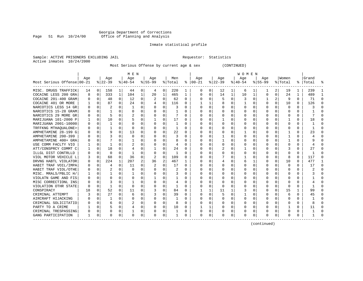#### Georgia Department of Corrections Page 51 Run 10/24/00 Office of Planning and Analysis

# Inmate statistical profile

| Sample: ACTIVE PRISONERS EXCLUDING JAIL | Requestor: Statistics |  |
|-----------------------------------------|-----------------------|--|
| Active inmates 10/24/2000               |                       |  |

Most Serious Offense by current age & sex (CONTINUED)

|                            | M E N    |              |              |          |                |          |          |          |         |          | W O M E N     |              |          |             |           |          |             |              |              |              |           |          |
|----------------------------|----------|--------------|--------------|----------|----------------|----------|----------|----------|---------|----------|---------------|--------------|----------|-------------|-----------|----------|-------------|--------------|--------------|--------------|-----------|----------|
|                            | Age      |              | Age          |          | Age            |          | Age      |          | Men     |          | Age           |              | Age      |             | Age       |          | Age         |              | Women        |              | Grand     |          |
| Most Serious Offense 00-21 |          |              | $ 22-39 $    |          | $ 40-54 $      |          | $ 55-99$ |          | % Total |          | $8   00 - 21$ |              | $ 22-39$ |             | $ 40-54 $ |          | $8155 - 99$ |              | % Total      |              | %   Total |          |
| MISC. DRUGS TRAFFICK       | 14       | $\mathbf{0}$ | 158          | 1        | 44             | 0        | 4        | 0        | 220     |          |               | 01           | 12       | 1           | 6         |          |             | 2            | 19           |              | 239       |          |
| COCAINE LESS 200 GRA       | 8        | 0            | 333          | 1        | 104            | 1        | 20       | 1        | 465     | 1        | $\Omega$      | 0            | 14       | $\mathbf 1$ | 10        | 1        | 0           | 0            | 24           | 1            | 489       |          |
| COCAINE 201-400 GRAM       | O        | 0            | 48           | $\Omega$ | 12             | 0        | 2        | 0        | 62      | $\Omega$ | <sup>0</sup>  | 0            | 5        | 0           | 3         | 0        | 1           | 2            | 9            | $\Omega$     | 71        | $\Omega$ |
| COCAINE 401 OR MORE        |          | $\Omega$     | 87           | $\Omega$ | 24             | $\Omega$ | 4        | $\Omega$ | 116     | 0        |               | $\mathbf{1}$ | 8        | $\Omega$    |           | $\Omega$ | 0           | $\Omega$     | 10           | $\Omega$     | 126       | $\Omega$ |
| NARCOTICS LESS 14 GR       |          | $\Omega$     | 2            | 0        | $\mathbf{1}$   | $\Omega$ | O        | $\Omega$ | 3       | $\Omega$ | <sup>0</sup>  | $\Omega$     | $\Omega$ | $\Omega$    | ∩         | $\Omega$ | O           | $\Omega$     | $\Omega$     | $\Omega$     |           | $\cap$   |
| NARCOTICS 15-28 GRAM       |          | $\mathbf 0$  | $\mathbf{1}$ | 0        | $\Omega$       | 0        | 0        | $\Omega$ |         | 0        |               | $\Omega$     | 0        | 0           |           | 0        | 0           | $\Omega$     | 0            | $\Omega$     |           |          |
| NARCOTICS 29 MORE GR       |          | 0            | 5            | 0        | $\overline{c}$ | 0        | 0        | 0        |         | 0        |               | $\Omega$     |          | 0           |           | 0        | 0           | 0            | 0            | 0            |           |          |
| MARIJUANA 101-2000 P       |          | 0            | 10           | 0        |                | 0        |          | $\Omega$ | 17      | 0        |               | 0            |          | U           |           | 0        | O           | 0            |              | 0            | 18        |          |
| MARIJUANA 2001-10000       |          | $\Omega$     | -1           | U        | O              | O        | O        | $\Omega$ |         | U        |               | 0            | $\Omega$ | 0           |           | $\Omega$ | O           | $\cap$       | <sup>0</sup> | 0            |           |          |
| TRFFKNG MTHAQUALONE>       |          | $\Omega$     | 1            | U        | $\Omega$       | O        |          | $\Omega$ | -1      | U        |               | 0            | ∩        | O           |           | 0        | U           | <sup>n</sup> | $\Omega$     | 0            |           |          |
| AMPHETAMINE 28-199 G       |          | $\Omega$     | 9            | U        | 13             | O        | U        | $\Omega$ | 22      | $\Omega$ | ∩             | $\Omega$     | ∩        | O           |           | $\Omega$ |             |              |              | 0            | 23        |          |
| AMPHETAMINE 200-399        |          | $\Omega$     |              | U        | $\Omega$       | 0        | U        | $\Omega$ | 3       | O        | <sup>0</sup>  | 0            |          | 0           |           | 0        | U           | U            |              | 0            |           |          |
| AMPHETAMINE 400+ GRA       |          | $\Omega$     |              | U        |                | 0        | O        | $\Omega$ | 8       | O        | <sup>0</sup>  | O            |          | 0           |           | 0        | 0           | O            |              | 0            |           |          |
| USE COMM FACLTY VIO        |          | 0            |              | U        | 2              | 0        |          | O        | 4       | O        |               | U            | $\Omega$ | U           |           | 0        |             | 0            | C            | 0            |           |          |
| ATT/CONSPRCY COMMT C       |          | 0            | 18           | $\Omega$ | 4              | 0        |          | 0        | 24      | $\Omega$ |               | 0            |          | U           |           | 0        | U           | 0            | 3            | 0            | 27        |          |
| ILLGL DIST CONTRLLD        |          | $\Omega$     | $\Omega$     | $\Omega$ | -1             | $\Omega$ | O        | $\Omega$ | -1      | 0        |               | $\Omega$     | U        | 0           | O         | $\Omega$ | O           | $\Omega$     | O            | 0            |           | $\cap$   |
| VIOL MOTOR VEHICLE L       |          | $\Omega$     | 68           | $\Omega$ | 36             | $\Omega$ | 2        | $\Omega$ | 109     | O        |               | $\Omega$     |          | U           |           | $\Omega$ | O           | $\Omega$     | 8            | $\Omega$     | 117       | $\cap$   |
| DRVNG HABTL VIOLATOR       |          | 0            | 224          | 1        | 207            | 2        | 36       | 2        | 467     | 1        |               | $\Omega$     | 4        | 0           | 6         | 1        | 0           | $\Omega$     | 10           | $\Omega$     | 477       | -1       |
| HABIT TRAF VOIL/IMPA       |          | 0            | 4            | $\Omega$ | 11             | $\Omega$ |          | $\Omega$ | 17      | $\Omega$ |               | $\Omega$     | 0        | 0           |           | 0        | 0           | $\Omega$     | $\Omega$     | $\Omega$     | 17        | $\Omega$ |
| HABIT TRAF VIOL/OTHE       |          | $\Omega$     |              | 0        | $\Omega$       | $\Omega$ |          | $\Omega$ | 2       | O        |               | $\Omega$     |          | O           |           | 0        | O           | 0            | $\Omega$     | O            | ৴.        |          |
| MISC. MRALS/PBLIC H/       |          | $\Omega$     |              | 0        |                | O        | O        | $\Omega$ | 3       | O        |               | 0            |          | O           |           | $\Omega$ | U           | 0            | $\Omega$     | 0            |           |          |
| VIOLATN GAME AND FIS       |          | $\Omega$     | O            |          | 0              | 0        |          | $\Omega$ |         | O        |               | $\Omega$     | O        | O           |           | O        | O           |              | n            | 0            |           |          |
| MISC CORRECTIONL INS       |          | $\Omega$     |              |          |                | O        | U        | $\Omega$ | 4       | $\Omega$ | ∩             | $\cap$       | ∩        | U           |           | $\Omega$ | U           |              | ∩            | <sup>n</sup> |           |          |
| VIOLATION OTHR STATE       | $\Omega$ | 0            | $\mathbf{1}$ | U        | $\Omega$       | $\Omega$ | O        | $\Omega$ |         | $\Omega$ | $\cap$        | $\Omega$     | $\Omega$ | O           |           | 0        | 0           | $\Omega$     | $\Omega$     | 0            |           |          |
| CONSPIRACY                 | 18       | 0            | 52           | 0        | 11             | 0        |          | $\Omega$ | 84      | $\Omega$ |               |              | 11       | 1           |           | 0        | 0           | $\Omega$     | 1.5          |              | 99        |          |
| CRIMINAL ATTEMPT           |          | 0            | 27           | 0        | 6              | 0        |          | $\Omega$ | 39      | 0        |               | 0            | 5        | U           |           | 0        | O           | 0            | 6            | 0            | 45        |          |
| AIRCRAFT HIJACKING         |          | 0            | 1            | 0        | $\Omega$       | 0        | O        | 0        | 1       | $\Omega$ | <sup>0</sup>  | 0            | $\Omega$ | U           |           | 0        | O           | 0            | 0            | 0            |           | $\Omega$ |
| CRIMINAL SOLICITATIO       |          | $\Omega$     | 6            | $\Omega$ | $\overline{2}$ | 0        | O        | $\Omega$ | 8       | 0        | ∩             | $\Omega$     | 0        | 0           | O         | $\Omega$ | 0           | $\Omega$     | 0            | 0            |           | ∩        |
| PARTY TO A CRIME           |          | $\Omega$     |              | $\Omega$ | 4              | 0        | O        | $\Omega$ | 10      | $\Omega$ |               | $\mathbf{1}$ | 0        | $\Omega$    | U         | $\Omega$ | 0           | 0            |              | $\Omega$     | 11        | ∩        |
| CRIMINAL TRESPASSING       |          | 0            | 0            | 0        |                | 0        | 0        | 0        |         | 0        | 0             | 0            | 0        | 0           |           | 0        | 0           | 0            | 0            | $\Omega$     |           | ∩        |
| GANG PARTICIPATION         |          | 0            | $\Omega$     | 0        | $\Omega$       | 0        | $\Omega$ | 0        |         | 0        | $\Omega$      | 0            | 0        | 0           |           | 0        | 0           | $\Omega$     | 0            | 0            |           |          |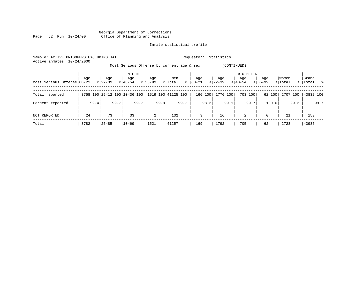Georgia Department of Corrections Page 52 Run 10/24/00 Office of Planning and Analysis

# Inmate statistical profile

| Sample: ACTIVE PRISONERS EXCLUDING JAIL<br>Active inmates | 10/24/2000 |           |                              |                |                                           | Requestor:   | Statistics  |                     |             |          |             |
|-----------------------------------------------------------|------------|-----------|------------------------------|----------------|-------------------------------------------|--------------|-------------|---------------------|-------------|----------|-------------|
|                                                           |            |           |                              |                | Most Serious Offense by current age & sex |              | (CONTINUED) |                     |             |          |             |
|                                                           | Age        | Age       | M E N<br>Age                 | Age            | Men                                       | Age          | Age         | <b>WOMEN</b><br>Age | Age         | Women    | Grand       |
| Most Serious Offense 00-21                                |            | $8 22-39$ | $8140 - 54$                  | $8155 - 99$    | $\frac{8}{6}$<br>% Total                  | 00-21        | $ 22-39 $   | $8 40-54$           | $8155 - 99$ | % Total  | %   Total % |
| Total reported                                            |            |           | 3758 100 25412 100 10436 100 |                | 1519 100 41125 100                        | 166 100      | 1776 100    | 703 100             | 62 100      | 2707 100 | 43832 100   |
| Percent reported                                          | 99.4       | 99.7      | 99.7                         | 99.9           | 99.7                                      | 98.2         | 99.1        | 99.7                | 100.0       | 99.2     | 99.7        |
| NOT REPORTED                                              | 24         | 73        | 33                           | $\overline{a}$ | 132                                       | $\mathbf{3}$ | 16          | 2                   | $\mathbf 0$ | 21       | 153         |
| Total                                                     | 3782       | 25485     | 10469                        | 1521           | 41257                                     | 169          | 1792        | 705                 | 62          | 2728     | 43985       |